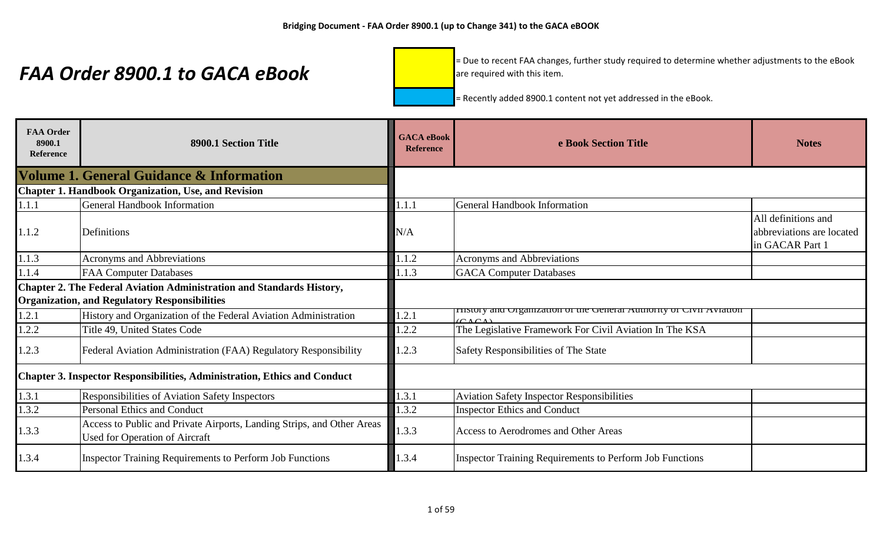= Due to recent FAA changes, further study required to determine whether adjustments to the eBook are required with this item.

| <b>FAA Order</b><br>8900.1<br><b>Reference</b> | 8900.1 Section Title                                                                                                          | <b>GACA</b> eBook<br><b>Reference</b> | e Book Section Title                                                                | <b>Notes</b>                                                        |
|------------------------------------------------|-------------------------------------------------------------------------------------------------------------------------------|---------------------------------------|-------------------------------------------------------------------------------------|---------------------------------------------------------------------|
|                                                | <b>Volume 1. General Guidance &amp; Information</b>                                                                           |                                       |                                                                                     |                                                                     |
|                                                | <b>Chapter 1. Handbook Organization, Use, and Revision</b>                                                                    |                                       |                                                                                     |                                                                     |
| 1.1.1                                          | <b>General Handbook Information</b>                                                                                           | 1.1.1                                 | <b>General Handbook Information</b>                                                 |                                                                     |
| 1.1.2                                          | Definitions                                                                                                                   | N/A                                   |                                                                                     | All definitions and<br>abbreviations are located<br>in GACAR Part 1 |
| 1.1.3                                          | <b>Acronyms and Abbreviations</b>                                                                                             | 1.1.2                                 | Acronyms and Abbreviations                                                          |                                                                     |
| 1.1.4                                          | <b>FAA Computer Databases</b>                                                                                                 | 1.1.3                                 | <b>GACA</b> Computer Databases                                                      |                                                                     |
|                                                | Chapter 2. The Federal Aviation Administration and Standards History,<br><b>Organization, and Regulatory Responsibilities</b> |                                       |                                                                                     |                                                                     |
| 1.2.1                                          | History and Organization of the Federal Aviation Administration                                                               | 1.2.1                                 | <b>FISOLY and Organization of the General Authority of Civil Aviation</b><br>(CACA) |                                                                     |
| 1.2.2                                          | Title 49, United States Code                                                                                                  | 1.2.2                                 | The Legislative Framework For Civil Aviation In The KSA                             |                                                                     |
| 1.2.3                                          | Federal Aviation Administration (FAA) Regulatory Responsibility                                                               | 1.2.3                                 | Safety Responsibilities of The State                                                |                                                                     |
|                                                | <b>Chapter 3. Inspector Responsibilities, Administration, Ethics and Conduct</b>                                              |                                       |                                                                                     |                                                                     |
| 1.3.1                                          | Responsibilities of Aviation Safety Inspectors                                                                                | 1.3.1                                 | <b>Aviation Safety Inspector Responsibilities</b>                                   |                                                                     |
| 1.3.2                                          | <b>Personal Ethics and Conduct</b>                                                                                            | 1.3.2                                 | <b>Inspector Ethics and Conduct</b>                                                 |                                                                     |
| 1.3.3                                          | Access to Public and Private Airports, Landing Strips, and Other Areas<br>Used for Operation of Aircraft                      | 1.3.3                                 | Access to Aerodromes and Other Areas                                                |                                                                     |
| 1.3.4                                          | <b>Inspector Training Requirements to Perform Job Functions</b>                                                               | 1.3.4                                 | Inspector Training Requirements to Perform Job Functions                            |                                                                     |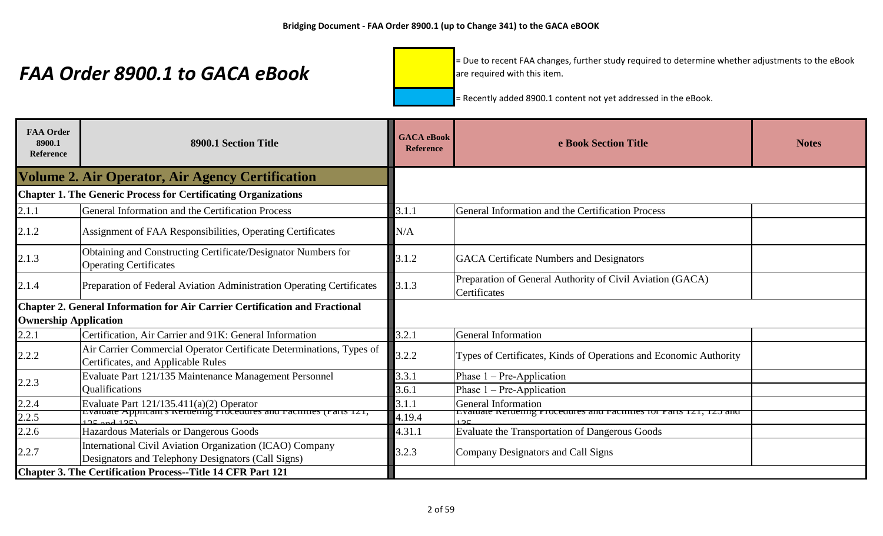= Due to recent FAA changes, further study required to determine whether adjustments to the eBook are required with this item.

| <b>FAA Order</b><br>8900.1<br><b>Reference</b> | 8900.1 Section Title                                                                                                  | <b>GACA</b> eBook<br><b>Reference</b> | e Book Section Title                                                      | <b>Notes</b> |
|------------------------------------------------|-----------------------------------------------------------------------------------------------------------------------|---------------------------------------|---------------------------------------------------------------------------|--------------|
|                                                | <b>Volume 2. Air Operator, Air Agency Certification</b>                                                               |                                       |                                                                           |              |
|                                                | <b>Chapter 1. The Generic Process for Certificating Organizations</b>                                                 |                                       |                                                                           |              |
| 2.1.1                                          | General Information and the Certification Process                                                                     | 3.1.1                                 | General Information and the Certification Process                         |              |
| 2.1.2                                          | Assignment of FAA Responsibilities, Operating Certificates                                                            | N/A                                   |                                                                           |              |
| 2.1.3                                          | Obtaining and Constructing Certificate/Designator Numbers for<br><b>Operating Certificates</b>                        | 3.1.2                                 | <b>GACA</b> Certificate Numbers and Designators                           |              |
| 2.1.4                                          | Preparation of Federal Aviation Administration Operating Certificates                                                 | 3.1.3                                 | Preparation of General Authority of Civil Aviation (GACA)<br>Certificates |              |
|                                                | Chapter 2. General Information for Air Carrier Certification and Fractional                                           |                                       |                                                                           |              |
| <b>Ownership Application</b>                   |                                                                                                                       |                                       |                                                                           |              |
| 2.2.1                                          | Certification, Air Carrier and 91K: General Information                                                               | 3.2.1                                 | <b>General Information</b>                                                |              |
| 2.2.2                                          | Air Carrier Commercial Operator Certificate Determinations, Types of<br>Certificates, and Applicable Rules            | 3.2.2                                 | Types of Certificates, Kinds of Operations and Economic Authority         |              |
| 2.2.3                                          | Evaluate Part 121/135 Maintenance Management Personnel                                                                | 3.3.1                                 | Phase $1 - Pre-Application$                                               |              |
|                                                | <b>Qualifications</b>                                                                                                 | 3.6.1                                 | Phase $1 - Pre-Application$                                               |              |
| 2.2.4                                          | Evaluate Part 121/135.411(a)(2) Operator<br>Evaluate Applicant's Kertiening Frocedures and Facturies (Farts 121,      | 3.1.1                                 | <b>General Information</b>                                                |              |
| 2.2.5                                          |                                                                                                                       | 4.19.4                                | Evaluate Neftering Frocedures and Factures for Farts 121, 125 and         |              |
| 2.2.6                                          | Hazardous Materials or Dangerous Goods                                                                                | 4.31.1                                | Evaluate the Transportation of Dangerous Goods                            |              |
| 2.2.7                                          | <b>International Civil Aviation Organization (ICAO) Company</b><br>Designators and Telephony Designators (Call Signs) | 3.2.3                                 | <b>Company Designators and Call Signs</b>                                 |              |
|                                                | <b>Chapter 3. The Certification Process--Title 14 CFR Part 121</b>                                                    |                                       |                                                                           |              |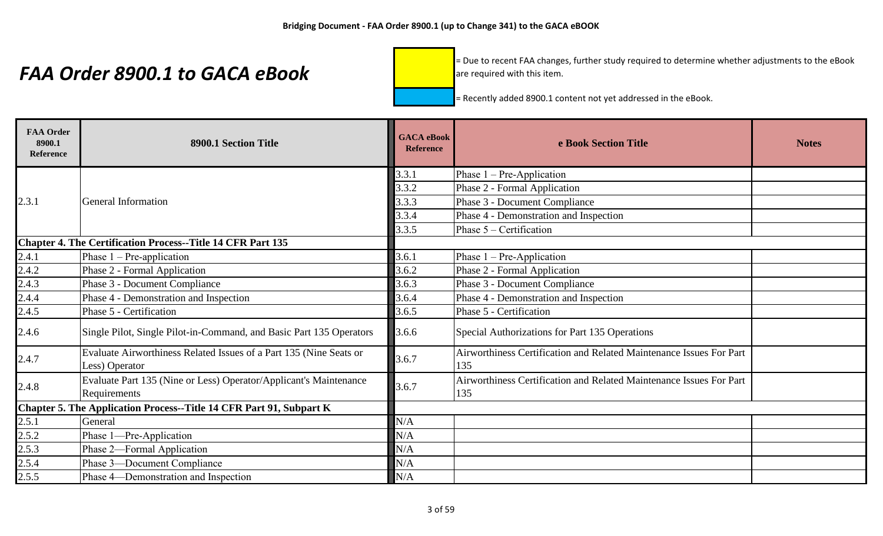= Due to recent FAA changes, further study required to determine whether adjustments to the eBook are required with this item.

| <b>FAA Order</b><br>8900.1<br><b>Reference</b> | 8900.1 Section Title                                                                 | <b>GACA</b> eBook<br><b>Reference</b> | e Book Section Title                                                       | <b>Notes</b> |
|------------------------------------------------|--------------------------------------------------------------------------------------|---------------------------------------|----------------------------------------------------------------------------|--------------|
|                                                |                                                                                      | 3.3.1                                 | Phase $1 - Pre-Application$                                                |              |
|                                                |                                                                                      | 3.3.2                                 | Phase 2 - Formal Application                                               |              |
| 2.3.1                                          | <b>General Information</b>                                                           | 3.3.3                                 | Phase 3 - Document Compliance                                              |              |
|                                                |                                                                                      | 3.3.4                                 | Phase 4 - Demonstration and Inspection                                     |              |
|                                                |                                                                                      | 3.3.5                                 | Phase $5 -$ Certification                                                  |              |
|                                                | Chapter 4. The Certification Process--Title 14 CFR Part 135                          |                                       |                                                                            |              |
| 2.4.1                                          | Phase $1 - Pre-application$                                                          | 3.6.1                                 | Phase $1 - Pre-Application$                                                |              |
|                                                | Phase 2 - Formal Application                                                         | 3.6.2                                 | Phase 2 - Formal Application                                               |              |
|                                                | Phase 3 - Document Compliance                                                        | 3.6.3                                 | Phase 3 - Document Compliance                                              |              |
|                                                | Phase 4 - Demonstration and Inspection                                               | 3.6.4                                 | Phase 4 - Demonstration and Inspection                                     |              |
| $\frac{2.4.2}{2.4.3}$<br>$\frac{2.4.3}{2.4.4}$ | Phase 5 - Certification                                                              | 3.6.5                                 | Phase 5 - Certification                                                    |              |
| 2.4.6                                          | Single Pilot, Single Pilot-in-Command, and Basic Part 135 Operators                  | 3.6.6                                 | Special Authorizations for Part 135 Operations                             |              |
| 2.4.7                                          | Evaluate Airworthiness Related Issues of a Part 135 (Nine Seats or<br>Less) Operator | 3.6.7                                 | Airworthiness Certification and Related Maintenance Issues For Part<br>135 |              |
| 2.4.8                                          | Evaluate Part 135 (Nine or Less) Operator/Applicant's Maintenance<br>Requirements    | 3.6.7                                 | Airworthiness Certification and Related Maintenance Issues For Part<br>135 |              |
|                                                | Chapter 5. The Application Process--Title 14 CFR Part 91, Subpart K                  |                                       |                                                                            |              |
| 2.5.1                                          | General                                                                              | N/A                                   |                                                                            |              |
| 2.5.2                                          | Phase 1-Pre-Application                                                              | N/A                                   |                                                                            |              |
|                                                | Phase 2-Formal Application                                                           | N/A                                   |                                                                            |              |
| $\frac{2.5.3}{2.5.4}$                          | Phase 3-Document Compliance                                                          | N/A                                   |                                                                            |              |
| 2.5.5                                          | Phase 4—Demonstration and Inspection                                                 | N/A                                   |                                                                            |              |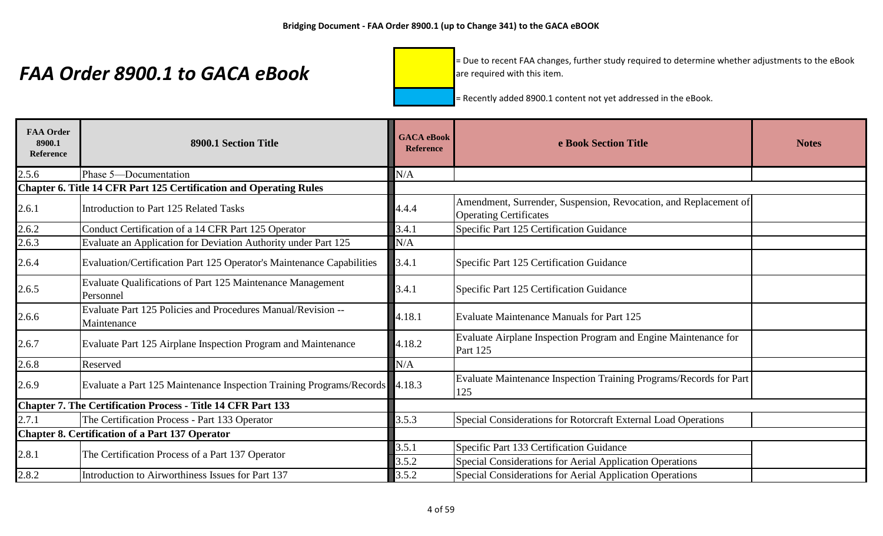= Due to recent FAA changes, further study required to determine whether adjustments to the eBook are required with this item.

| <b>FAA Order</b><br>8900.1<br>Reference | 8900.1 Section Title                                                        | <b>GACA</b> eBook<br><b>Reference</b> | e Book Section Title                                                                              | <b>Notes</b> |
|-----------------------------------------|-----------------------------------------------------------------------------|---------------------------------------|---------------------------------------------------------------------------------------------------|--------------|
| 2.5.6                                   | Phase 5-Documentation                                                       | N/A                                   |                                                                                                   |              |
|                                         | <b>Chapter 6. Title 14 CFR Part 125 Certification and Operating Rules</b>   |                                       |                                                                                                   |              |
| 2.6.1                                   | <b>Introduction to Part 125 Related Tasks</b>                               | 4.4.4                                 | Amendment, Surrender, Suspension, Revocation, and Replacement of<br><b>Operating Certificates</b> |              |
| 2.6.2                                   | Conduct Certification of a 14 CFR Part 125 Operator                         | 3.4.1                                 | Specific Part 125 Certification Guidance                                                          |              |
| 2.6.3                                   | Evaluate an Application for Deviation Authority under Part 125              | N/A                                   |                                                                                                   |              |
| 2.6.4                                   | Evaluation/Certification Part 125 Operator's Maintenance Capabilities       | 3.4.1                                 | Specific Part 125 Certification Guidance                                                          |              |
| 2.6.5                                   | Evaluate Qualifications of Part 125 Maintenance Management<br>Personnel     | 3.4.1                                 | Specific Part 125 Certification Guidance                                                          |              |
| 2.6.6                                   | Evaluate Part 125 Policies and Procedures Manual/Revision --<br>Maintenance | 4.18.1                                | <b>Evaluate Maintenance Manuals for Part 125</b>                                                  |              |
| 2.6.7                                   | Evaluate Part 125 Airplane Inspection Program and Maintenance               | 4.18.2                                | Evaluate Airplane Inspection Program and Engine Maintenance for<br>Part 125                       |              |
| 2.6.8                                   | Reserved                                                                    | N/A                                   |                                                                                                   |              |
| 2.6.9                                   | Evaluate a Part 125 Maintenance Inspection Training Programs/Records 4.18.3 |                                       | Evaluate Maintenance Inspection Training Programs/Records for Part<br>125                         |              |
|                                         | <b>Chapter 7. The Certification Process - Title 14 CFR Part 133</b>         |                                       |                                                                                                   |              |
| 2.7.1                                   | The Certification Process - Part 133 Operator                               | 3.5.3                                 | Special Considerations for Rotorcraft External Load Operations                                    |              |
|                                         | <b>Chapter 8. Certification of a Part 137 Operator</b>                      |                                       |                                                                                                   |              |
| 2.8.1                                   | The Certification Process of a Part 137 Operator                            | 3.5.1                                 | Specific Part 133 Certification Guidance                                                          |              |
|                                         |                                                                             | 3.5.2                                 | <b>Special Considerations for Aerial Application Operations</b>                                   |              |
| 2.8.2                                   | Introduction to Airworthiness Issues for Part 137                           | 3.5.2                                 | Special Considerations for Aerial Application Operations                                          |              |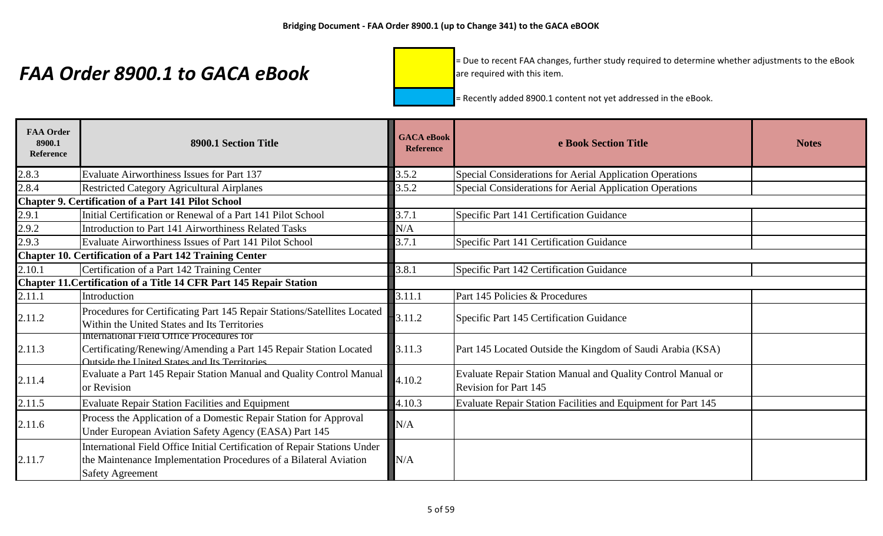= Due to recent FAA changes, further study required to determine whether adjustments to the eBook are required with this item.

| <b>FAA Order</b><br>8900.1<br><b>Reference</b> | 8900.1 Section Title                                                                                                                                                      | <b>GACA</b> eBook<br><b>Reference</b> | e Book Section Title                                                                         | <b>Notes</b> |
|------------------------------------------------|---------------------------------------------------------------------------------------------------------------------------------------------------------------------------|---------------------------------------|----------------------------------------------------------------------------------------------|--------------|
| 2.8.3                                          | <b>Evaluate Airworthiness Issues for Part 137</b>                                                                                                                         | 3.5.2                                 | Special Considerations for Aerial Application Operations                                     |              |
| 2.8.4                                          | <b>Restricted Category Agricultural Airplanes</b>                                                                                                                         | 3.5.2                                 | Special Considerations for Aerial Application Operations                                     |              |
|                                                | <b>Chapter 9. Certification of a Part 141 Pilot School</b>                                                                                                                |                                       |                                                                                              |              |
| 2.9.1                                          | Initial Certification or Renewal of a Part 141 Pilot School                                                                                                               | 3.7.1                                 | Specific Part 141 Certification Guidance                                                     |              |
| 2.9.2                                          | Introduction to Part 141 Airworthiness Related Tasks                                                                                                                      | N/A                                   |                                                                                              |              |
| 2.9.3                                          | Evaluate Airworthiness Issues of Part 141 Pilot School                                                                                                                    | 3.7.1                                 | Specific Part 141 Certification Guidance                                                     |              |
|                                                | <b>Chapter 10. Certification of a Part 142 Training Center</b>                                                                                                            |                                       |                                                                                              |              |
| 2.10.1                                         | Certification of a Part 142 Training Center                                                                                                                               | 3.8.1                                 | Specific Part 142 Certification Guidance                                                     |              |
|                                                | Chapter 11. Certification of a Title 14 CFR Part 145 Repair Station                                                                                                       |                                       |                                                                                              |              |
| 2.11.1                                         | Introduction                                                                                                                                                              | 3.11.1                                | Part 145 Policies & Procedures                                                               |              |
| 2.11.2                                         | Procedures for Certificating Part 145 Repair Stations/Satellites Located<br>Within the United States and Its Territories                                                  | 3.11.2                                | Specific Part 145 Certification Guidance                                                     |              |
| 2.11.3                                         | International Field Office Procedures for<br>Certificating/Renewing/Amending a Part 145 Repair Station Located<br>Outside the United States and Its Territories.          | 3.11.3                                | Part 145 Located Outside the Kingdom of Saudi Arabia (KSA)                                   |              |
| 2.11.4                                         | Evaluate a Part 145 Repair Station Manual and Quality Control Manual<br>or Revision                                                                                       | 4.10.2                                | Evaluate Repair Station Manual and Quality Control Manual or<br><b>Revision for Part 145</b> |              |
| 2.11.5                                         | <b>Evaluate Repair Station Facilities and Equipment</b>                                                                                                                   | 4.10.3                                | Evaluate Repair Station Facilities and Equipment for Part 145                                |              |
| 2.11.6                                         | Process the Application of a Domestic Repair Station for Approval<br>Under European Aviation Safety Agency (EASA) Part 145                                                | N/A                                   |                                                                                              |              |
| 2.11.7                                         | International Field Office Initial Certification of Repair Stations Under<br>the Maintenance Implementation Procedures of a Bilateral Aviation<br><b>Safety Agreement</b> | N/A                                   |                                                                                              |              |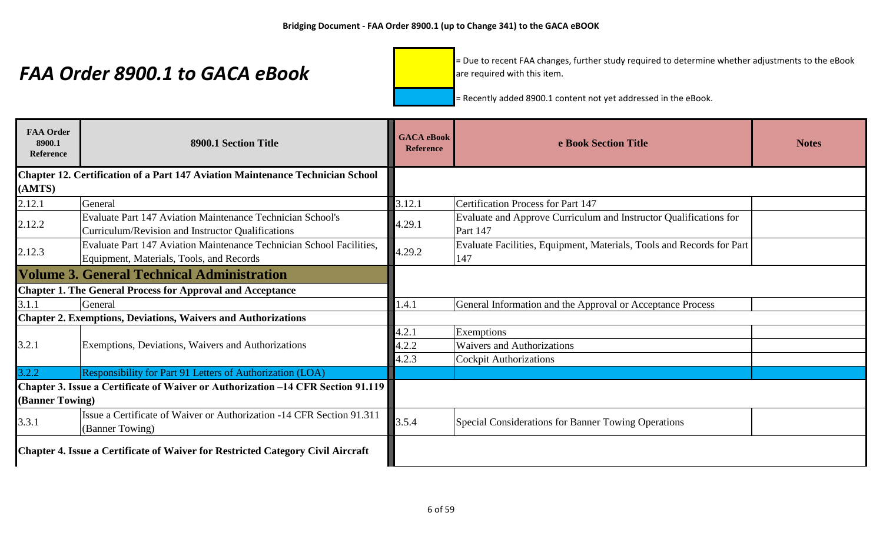= Due to recent FAA changes, further study required to determine whether adjustments to the eBook are required with this item.

| <b>FAA Order</b><br>8900.1<br><b>Reference</b> | 8900.1 Section Title                                                                                                   | <b>GACA</b> eBook<br><b>Reference</b> | e Book Section Title                                                                 | <b>Notes</b> |
|------------------------------------------------|------------------------------------------------------------------------------------------------------------------------|---------------------------------------|--------------------------------------------------------------------------------------|--------------|
|                                                | <b>Chapter 12. Certification of a Part 147 Aviation Maintenance Technician School</b>                                  |                                       |                                                                                      |              |
| (AMTS)                                         |                                                                                                                        |                                       |                                                                                      |              |
| 2.12.1                                         | General                                                                                                                | 3.12.1                                | <b>Certification Process for Part 147</b>                                            |              |
| 2.12.2                                         | <b>Evaluate Part 147 Aviation Maintenance Technician School's</b><br>Curriculum/Revision and Instructor Qualifications | 4.29.1                                | Evaluate and Approve Curriculum and Instructor Qualifications for<br><b>Part 147</b> |              |
| 2.12.3                                         | Evaluate Part 147 Aviation Maintenance Technician School Facilities,<br>Equipment, Materials, Tools, and Records       | 4.29.2                                | Evaluate Facilities, Equipment, Materials, Tools and Records for Part<br>147         |              |
|                                                | <b>Volume 3. General Technical Administration</b>                                                                      |                                       |                                                                                      |              |
|                                                | <b>Chapter 1. The General Process for Approval and Acceptance</b>                                                      |                                       |                                                                                      |              |
| 3.1.1                                          | General                                                                                                                | 1.4.1                                 | General Information and the Approval or Acceptance Process                           |              |
|                                                | <b>Chapter 2. Exemptions, Deviations, Waivers and Authorizations</b>                                                   |                                       |                                                                                      |              |
|                                                |                                                                                                                        | 4.2.1                                 | Exemptions                                                                           |              |
| 3.2.1                                          | Exemptions, Deviations, Waivers and Authorizations                                                                     | 4.2.2                                 | <b>Waivers and Authorizations</b>                                                    |              |
|                                                |                                                                                                                        | 4.2.3                                 | <b>Cockpit Authorizations</b>                                                        |              |
| 3.2.2                                          | Responsibility for Part 91 Letters of Authorization (LOA)                                                              |                                       |                                                                                      |              |
| (Banner Towing)                                | Chapter 3. Issue a Certificate of Waiver or Authorization –14 CFR Section 91.119                                       |                                       |                                                                                      |              |
| 3.3.1                                          | Issue a Certificate of Waiver or Authorization -14 CFR Section 91.311<br>(Banner Towing)                               | 3.5.4                                 | Special Considerations for Banner Towing Operations                                  |              |
|                                                | Chapter 4. Issue a Certificate of Waiver for Restricted Category Civil Aircraft                                        |                                       |                                                                                      |              |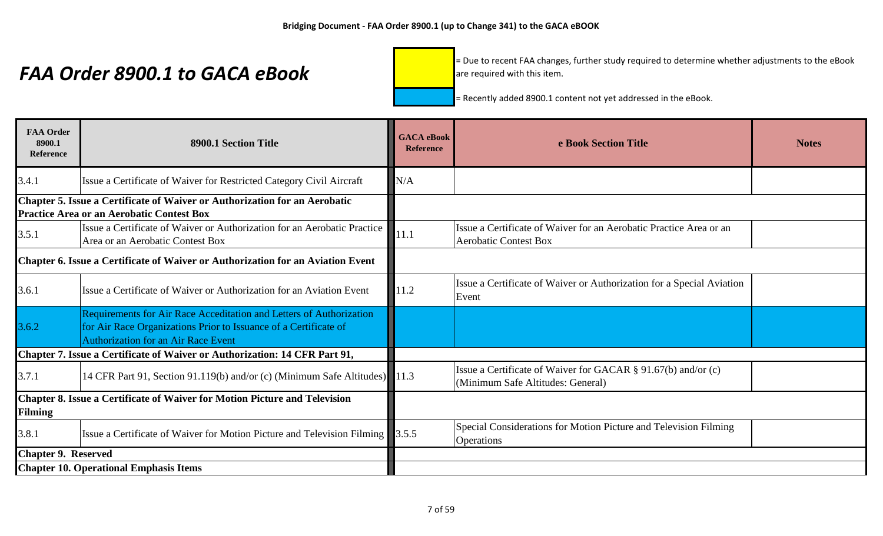= Due to recent FAA changes, further study required to determine whether adjustments to the eBook are required with this item.

| <b>FAA Order</b><br>8900.1<br><b>Reference</b>                                  | 8900.1 Section Title                                                                                                                                                                  | <b>GACA</b> eBook<br><b>Reference</b> | e Book Section Title                                                                               | <b>Notes</b> |
|---------------------------------------------------------------------------------|---------------------------------------------------------------------------------------------------------------------------------------------------------------------------------------|---------------------------------------|----------------------------------------------------------------------------------------------------|--------------|
| 3.4.1                                                                           | Issue a Certificate of Waiver for Restricted Category Civil Aircraft                                                                                                                  | N/A                                   |                                                                                                    |              |
|                                                                                 | Chapter 5. Issue a Certificate of Waiver or Authorization for an Aerobatic<br><b>Practice Area or an Aerobatic Contest Box</b>                                                        |                                       |                                                                                                    |              |
| 3.5.1                                                                           | Issue a Certificate of Waiver or Authorization for an Aerobatic Practice<br>Area or an Aerobatic Contest Box                                                                          | 11.1                                  | Issue a Certificate of Waiver for an Aerobatic Practice Area or an<br><b>Aerobatic Contest Box</b> |              |
| Chapter 6. Issue a Certificate of Waiver or Authorization for an Aviation Event |                                                                                                                                                                                       |                                       |                                                                                                    |              |
| 3.6.1                                                                           | Issue a Certificate of Waiver or Authorization for an Aviation Event                                                                                                                  | 11.2                                  | Issue a Certificate of Waiver or Authorization for a Special Aviation<br>Event                     |              |
| 3.6.2                                                                           | Requirements for Air Race Acceditation and Letters of Authorization<br>for Air Race Organizations Prior to Issuance of a Certificate of<br><b>Authorization for an Air Race Event</b> |                                       |                                                                                                    |              |
|                                                                                 | Chapter 7. Issue a Certificate of Waiver or Authorization: 14 CFR Part 91,                                                                                                            |                                       |                                                                                                    |              |
| 3.7.1                                                                           | 14 CFR Part 91, Section 91.119(b) and/or (c) (Minimum Safe Altitudes) 11.3                                                                                                            |                                       | Issue a Certificate of Waiver for GACAR § 91.67(b) and/or (c)<br>(Minimum Safe Altitudes: General) |              |
| <b>Filming</b>                                                                  | Chapter 8. Issue a Certificate of Waiver for Motion Picture and Television                                                                                                            |                                       |                                                                                                    |              |
| 3.8.1                                                                           | Issue a Certificate of Waiver for Motion Picture and Television Filming                                                                                                               | 3.5.5                                 | Special Considerations for Motion Picture and Television Filming<br><b>Operations</b>              |              |
| <b>Chapter 9. Reserved</b>                                                      |                                                                                                                                                                                       |                                       |                                                                                                    |              |
|                                                                                 | <b>Chapter 10. Operational Emphasis Items</b>                                                                                                                                         |                                       |                                                                                                    |              |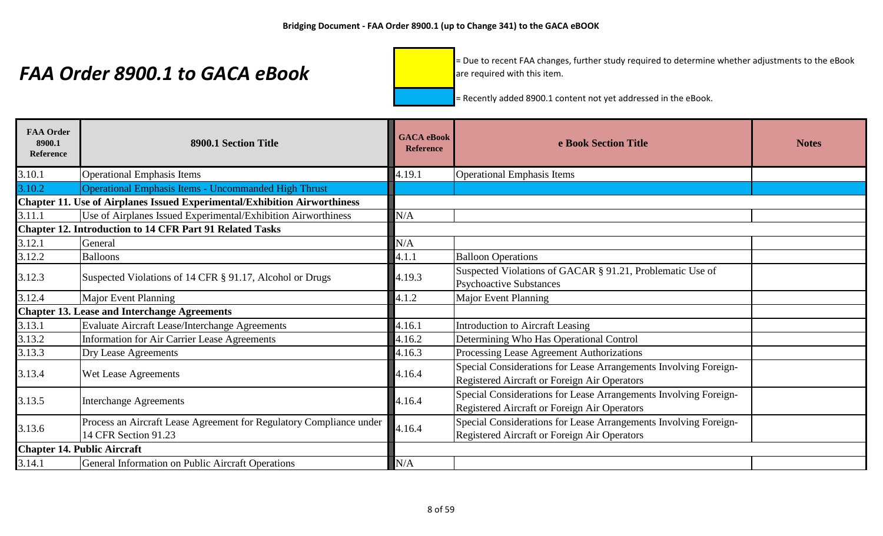= Due to recent FAA changes, further study required to determine whether adjustments to the eBook are required with this item.

| <b>FAA Order</b><br>8900.1<br>Reference | 8900.1 Section Title                                                                        | <b>GACA</b> eBook<br><b>Reference</b> | e Book Section Title                                                                                             | <b>Notes</b> |
|-----------------------------------------|---------------------------------------------------------------------------------------------|---------------------------------------|------------------------------------------------------------------------------------------------------------------|--------------|
| 3.10.1                                  | <b>Operational Emphasis Items</b>                                                           | 4.19.1                                | <b>Operational Emphasis Items</b>                                                                                |              |
| 3.10.2                                  | Operational Emphasis Items - Uncommanded High Thrust                                        |                                       |                                                                                                                  |              |
|                                         | Chapter 11. Use of Airplanes Issued Experimental/Exhibition Airworthiness                   |                                       |                                                                                                                  |              |
| 3.11.1                                  | Use of Airplanes Issued Experimental/Exhibition Airworthiness                               | N/A                                   |                                                                                                                  |              |
|                                         | <b>Chapter 12. Introduction to 14 CFR Part 91 Related Tasks</b>                             |                                       |                                                                                                                  |              |
| 3.12.1                                  | General                                                                                     | N/A                                   |                                                                                                                  |              |
| 3.12.2                                  | Balloons                                                                                    | 4.1.1                                 | <b>Balloon Operations</b>                                                                                        |              |
| 3.12.3                                  | Suspected Violations of 14 CFR § 91.17, Alcohol or Drugs                                    | 4.19.3                                | Suspected Violations of GACAR § 91.21, Problematic Use of<br><b>Psychoactive Substances</b>                      |              |
| 3.12.4                                  | <b>Major Event Planning</b>                                                                 | 4.1.2                                 | <b>Major Event Planning</b>                                                                                      |              |
|                                         | <b>Chapter 13. Lease and Interchange Agreements</b>                                         |                                       |                                                                                                                  |              |
| 3.13.1                                  | Evaluate Aircraft Lease/Interchange Agreements                                              | 4.16.1                                | <b>Introduction to Aircraft Leasing</b>                                                                          |              |
| 3.13.2                                  | <b>Information for Air Carrier Lease Agreements</b>                                         | 4.16.2                                | Determining Who Has Operational Control                                                                          |              |
| 3.13.3                                  | Dry Lease Agreements                                                                        | 4.16.3                                | Processing Lease Agreement Authorizations                                                                        |              |
| 3.13.4                                  | Wet Lease Agreements                                                                        | 4.16.4                                | Special Considerations for Lease Arrangements Involving Foreign-<br>Registered Aircraft or Foreign Air Operators |              |
| 3.13.5                                  | <b>Interchange Agreements</b>                                                               | 4.16.4                                | Special Considerations for Lease Arrangements Involving Foreign-<br>Registered Aircraft or Foreign Air Operators |              |
| 3.13.6                                  | Process an Aircraft Lease Agreement for Regulatory Compliance under<br>14 CFR Section 91.23 | 4.16.4                                | Special Considerations for Lease Arrangements Involving Foreign-<br>Registered Aircraft or Foreign Air Operators |              |
|                                         | <b>Chapter 14. Public Aircraft</b>                                                          |                                       |                                                                                                                  |              |
| 3.14.1                                  | General Information on Public Aircraft Operations                                           | N/A                                   |                                                                                                                  |              |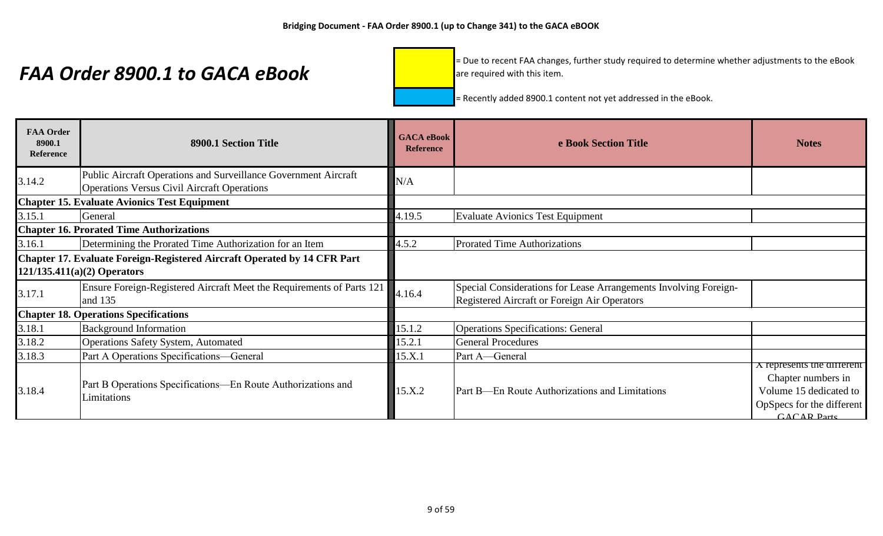= Due to recent FAA changes, further study required to determine whether adjustments to the eBook are required with this item.

| <b>FAA Order</b><br>8900.1<br><b>Reference</b> | 8900.1 Section Title                                                                                                  | <b>GACA</b> eBook<br><b>Reference</b> | e Book Section Title                                                                                                    | <b>Notes</b>                                                                                                             |
|------------------------------------------------|-----------------------------------------------------------------------------------------------------------------------|---------------------------------------|-------------------------------------------------------------------------------------------------------------------------|--------------------------------------------------------------------------------------------------------------------------|
| 3.14.2                                         | Public Aircraft Operations and Surveillance Government Aircraft<br><b>Operations Versus Civil Aircraft Operations</b> | N/A                                   |                                                                                                                         |                                                                                                                          |
|                                                | <b>Chapter 15. Evaluate Avionics Test Equipment</b>                                                                   |                                       |                                                                                                                         |                                                                                                                          |
| 3.15.1                                         | General                                                                                                               | 4.19.5                                | <b>Evaluate Avionics Test Equipment</b>                                                                                 |                                                                                                                          |
|                                                | <b>Chapter 16. Prorated Time Authorizations</b>                                                                       |                                       |                                                                                                                         |                                                                                                                          |
| 3.16.1                                         | Determining the Prorated Time Authorization for an Item                                                               | 4.5.2                                 | Prorated Time Authorizations                                                                                            |                                                                                                                          |
|                                                | Chapter 17. Evaluate Foreign-Registered Aircraft Operated by 14 CFR Part                                              |                                       |                                                                                                                         |                                                                                                                          |
|                                                | $121/135.411(a)(2)$ Operators                                                                                         |                                       |                                                                                                                         |                                                                                                                          |
| 3.17.1                                         | Ensure Foreign-Registered Aircraft Meet the Requirements of Parts 121<br>and 135                                      | 4.16.4                                | Special Considerations for Lease Arrangements Involving Foreign-<br><b>Registered Aircraft or Foreign Air Operators</b> |                                                                                                                          |
|                                                | <b>Chapter 18. Operations Specifications</b>                                                                          |                                       |                                                                                                                         |                                                                                                                          |
| 3.18.1                                         | <b>Background Information</b>                                                                                         | 15.1.2                                | <b>Operations Specifications: General</b>                                                                               |                                                                                                                          |
| 3.18.2                                         | <b>Operations Safety System, Automated</b>                                                                            | 15.2.1                                | <b>General Procedures</b>                                                                                               |                                                                                                                          |
| 3.18.3                                         | Part A Operations Specifications—General                                                                              | 15.X.1                                | Part A-General                                                                                                          |                                                                                                                          |
| 3.18.4                                         | Part B Operations Specifications—En Route Authorizations and<br>Limitations                                           | 15.X.2                                | Part B—En Route Authorizations and Limitations                                                                          | A represents the different<br>Chapter numbers in<br>Volume 15 dedicated to<br>OpSpecs for the different<br>$GACAP$ Parts |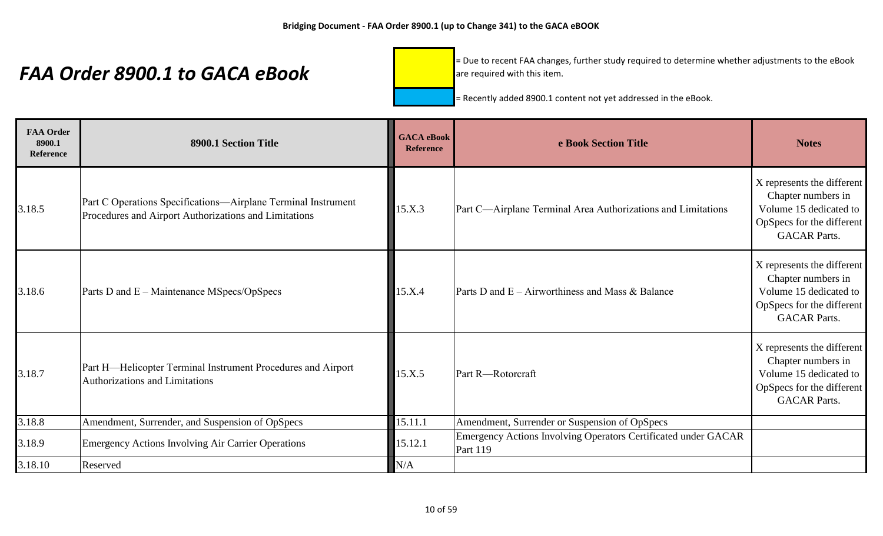= Due to recent FAA changes, further study required to determine whether adjustments to the eBook are required with this item.

| <b>FAA Order</b><br>8900.1<br><b>Reference</b> | 8900.1 Section Title                                                                                                   | <b>GACA</b> eBook<br><b>Reference</b> | e Book Section Title                                                       | <b>Notes</b>                                                                                                                   |
|------------------------------------------------|------------------------------------------------------------------------------------------------------------------------|---------------------------------------|----------------------------------------------------------------------------|--------------------------------------------------------------------------------------------------------------------------------|
| 3.18.5                                         | Part C Operations Specifications—Airplane Terminal Instrument<br>Procedures and Airport Authorizations and Limitations | 15.X.3                                | Part C-Airplane Terminal Area Authorizations and Limitations               | X represents the different<br>Chapter numbers in<br>Volume 15 dedicated to<br>OpSpecs for the different<br><b>GACAR Parts.</b> |
| 3.18.6                                         | Parts D and E – Maintenance MSpecs/OpSpecs                                                                             | 15.X.4                                | Parts D and $E -$ Airworthiness and Mass & Balance                         | X represents the different<br>Chapter numbers in<br>Volume 15 dedicated to<br>OpSpecs for the different<br><b>GACAR Parts.</b> |
| 3.18.7                                         | Part H-Helicopter Terminal Instrument Procedures and Airport<br><b>Authorizations and Limitations</b>                  | 15.X.5                                | Part R-Rotorcraft                                                          | X represents the different<br>Chapter numbers in<br>Volume 15 dedicated to<br>OpSpecs for the different<br><b>GACAR Parts.</b> |
| 3.18.8                                         | Amendment, Surrender, and Suspension of OpSpecs                                                                        | 15.11.1                               | Amendment, Surrender or Suspension of OpSpecs                              |                                                                                                                                |
| 3.18.9                                         | <b>Emergency Actions Involving Air Carrier Operations</b>                                                              | 15.12.1                               | Emergency Actions Involving Operators Certificated under GACAR<br>Part 119 |                                                                                                                                |
| 3.18.10                                        | Reserved                                                                                                               | N/A                                   |                                                                            |                                                                                                                                |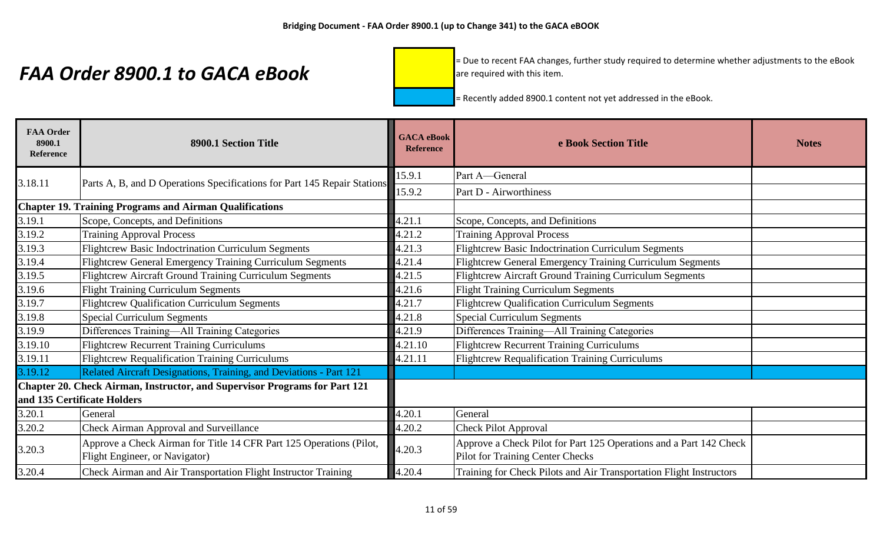= Due to recent FAA changes, further study required to determine whether adjustments to the eBook are required with this item.

| <b>FAA Order</b><br>8900.1<br>Reference | 8900.1 Section Title                                                                                      | <b>GACA</b> eBook<br><b>Reference</b> | e Book Section Title                                                                                          | <b>Notes</b> |
|-----------------------------------------|-----------------------------------------------------------------------------------------------------------|---------------------------------------|---------------------------------------------------------------------------------------------------------------|--------------|
| 3.18.11                                 | Parts A, B, and D Operations Specifications for Part 145 Repair Stations                                  | 15.9.1                                | Part A-General                                                                                                |              |
|                                         |                                                                                                           | 15.9.2                                | Part D - Airworthiness                                                                                        |              |
|                                         | <b>Chapter 19. Training Programs and Airman Qualifications</b>                                            |                                       |                                                                                                               |              |
| 3.19.1                                  | Scope, Concepts, and Definitions                                                                          | 4.21.1                                | Scope, Concepts, and Definitions                                                                              |              |
| 3.19.2                                  | <b>Training Approval Process</b>                                                                          | 4.21.2                                | <b>Training Approval Process</b>                                                                              |              |
| 3.19.3                                  | <b>Flightcrew Basic Indoctrination Curriculum Segments</b>                                                | 4.21.3                                | <b>Flightcrew Basic Indoctrination Curriculum Segments</b>                                                    |              |
| 3.19.4                                  | <b>Flightcrew General Emergency Training Curriculum Segments</b>                                          | 4.21.4                                | <b>Flightcrew General Emergency Training Curriculum Segments</b>                                              |              |
| 3.19.5                                  | Flightcrew Aircraft Ground Training Curriculum Segments                                                   | 4.21.5                                | <b>Flightcrew Aircraft Ground Training Curriculum Segments</b>                                                |              |
| 3.19.6                                  | <b>Flight Training Curriculum Segments</b>                                                                | 4.21.6                                | <b>Flight Training Curriculum Segments</b>                                                                    |              |
| 3.19.7                                  | <b>Flightcrew Qualification Curriculum Segments</b>                                                       | 4.21.7                                | <b>Flightcrew Qualification Curriculum Segments</b>                                                           |              |
| 3.19.8                                  | <b>Special Curriculum Segments</b>                                                                        | 4.21.8                                | <b>Special Curriculum Segments</b>                                                                            |              |
| 3.19.9                                  | Differences Training-All Training Categories                                                              | 4.21.9                                | Differences Training-All Training Categories                                                                  |              |
| 3.19.10                                 | <b>Flightcrew Recurrent Training Curriculums</b>                                                          | 4.21.10                               | <b>Flightcrew Recurrent Training Curriculums</b>                                                              |              |
| 3.19.11                                 | <b>Flightcrew Requalification Training Curriculums</b>                                                    | 4.21.11                               | Flightcrew Requalification Training Curriculums                                                               |              |
| 3.19.12                                 | Related Aircraft Designations, Training, and Deviations - Part 121                                        |                                       |                                                                                                               |              |
|                                         | Chapter 20. Check Airman, Instructor, and Supervisor Programs for Part 121<br>and 135 Certificate Holders |                                       |                                                                                                               |              |
| 3.20.1                                  | General                                                                                                   | 4.20.1                                | General                                                                                                       |              |
| 3.20.2                                  | <b>Check Airman Approval and Surveillance</b>                                                             | 4.20.2                                | <b>Check Pilot Approval</b>                                                                                   |              |
| 3.20.3                                  | Approve a Check Airman for Title 14 CFR Part 125 Operations (Pilot,<br>Flight Engineer, or Navigator)     | 4.20.3                                | Approve a Check Pilot for Part 125 Operations and a Part 142 Check<br><b>Pilot for Training Center Checks</b> |              |
| 3.20.4                                  | Check Airman and Air Transportation Flight Instructor Training                                            | 4.20.4                                | Training for Check Pilots and Air Transportation Flight Instructors                                           |              |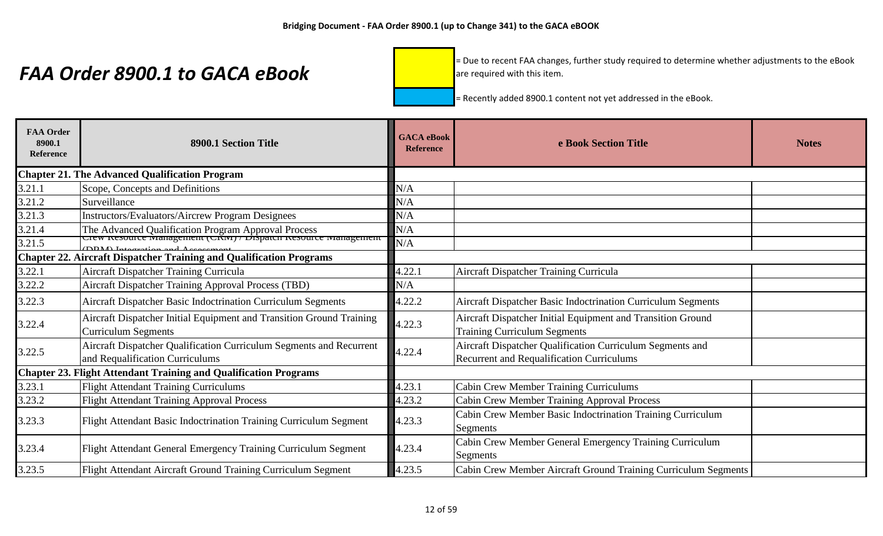= Due to recent FAA changes, further study required to determine whether adjustments to the eBook are required with this item.

| <b>FAA Order</b><br>8900.1<br><b>Reference</b> | 8900.1 Section Title                                                                                                  | <b>GACA</b> eBook<br><b>Reference</b> | e Book Section Title                                                                                          | <b>Notes</b> |
|------------------------------------------------|-----------------------------------------------------------------------------------------------------------------------|---------------------------------------|---------------------------------------------------------------------------------------------------------------|--------------|
|                                                | <b>Chapter 21. The Advanced Qualification Program</b>                                                                 |                                       |                                                                                                               |              |
| 3.21.1                                         | Scope, Concepts and Definitions                                                                                       | N/A                                   |                                                                                                               |              |
| 3.21.2                                         | Surveillance                                                                                                          | N/A                                   |                                                                                                               |              |
| 3.21.3                                         | Instructors/Evaluators/Aircrew Program Designees                                                                      | N/A                                   |                                                                                                               |              |
| 3.21.4                                         | The Advanced Qualification Program Approval Process<br>Crew Resource Management (CRNI) / Dispatch Resource Management | N/A                                   |                                                                                                               |              |
| 3.21.5                                         |                                                                                                                       | N/A                                   |                                                                                                               |              |
|                                                | <b>Chapter 22. Aircraft Dispatcher Training and Qualification Programs</b>                                            |                                       |                                                                                                               |              |
| 3.22.1                                         | Aircraft Dispatcher Training Curricula                                                                                | 4.22.1                                | Aircraft Dispatcher Training Curricula                                                                        |              |
| 3.22.2                                         | <b>Aircraft Dispatcher Training Approval Process (TBD)</b>                                                            | N/A                                   |                                                                                                               |              |
| 3.22.3                                         | Aircraft Dispatcher Basic Indoctrination Curriculum Segments                                                          | 4.22.2                                | Aircraft Dispatcher Basic Indoctrination Curriculum Segments                                                  |              |
| 3.22.4                                         | Aircraft Dispatcher Initial Equipment and Transition Ground Training<br>Curriculum Segments                           | 4.22.3                                | Aircraft Dispatcher Initial Equipment and Transition Ground<br><b>Training Curriculum Segments</b>            |              |
| 3.22.5                                         | Aircraft Dispatcher Qualification Curriculum Segments and Recurrent<br>and Requalification Curriculums                | 4.22.4                                | Aircraft Dispatcher Qualification Curriculum Segments and<br><b>Recurrent and Requalification Curriculums</b> |              |
|                                                | <b>Chapter 23. Flight Attendant Training and Qualification Programs</b>                                               |                                       |                                                                                                               |              |
| 3.23.1                                         | <b>Flight Attendant Training Curriculums</b>                                                                          | 4.23.1                                | <b>Cabin Crew Member Training Curriculums</b>                                                                 |              |
| 3.23.2                                         | <b>Flight Attendant Training Approval Process</b>                                                                     | 4.23.2                                | Cabin Crew Member Training Approval Process                                                                   |              |
| 3.23.3                                         | Flight Attendant Basic Indoctrination Training Curriculum Segment                                                     | 4.23.3                                | Cabin Crew Member Basic Indoctrination Training Curriculum<br>Segments                                        |              |
| 3.23.4                                         | Flight Attendant General Emergency Training Curriculum Segment                                                        | 4.23.4                                | Cabin Crew Member General Emergency Training Curriculum<br>Segments                                           |              |
| 3.23.5                                         | Flight Attendant Aircraft Ground Training Curriculum Segment                                                          | 4.23.5                                | Cabin Crew Member Aircraft Ground Training Curriculum Segments                                                |              |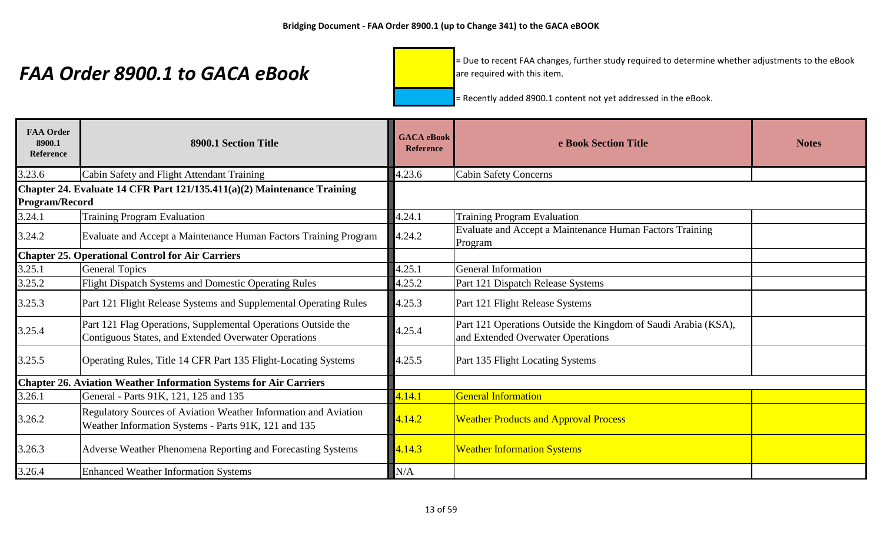= Due to recent FAA changes, further study required to determine whether adjustments to the eBook are required with this item.

| <b>FAA Order</b><br>8900.1<br>Reference | 8900.1 Section Title                                                                                                    | <b>GACA</b> eBook<br><b>Reference</b> | e Book Section Title                                                                                | <b>Notes</b> |
|-----------------------------------------|-------------------------------------------------------------------------------------------------------------------------|---------------------------------------|-----------------------------------------------------------------------------------------------------|--------------|
| 3.23.6                                  | Cabin Safety and Flight Attendant Training                                                                              | 4.23.6                                | <b>Cabin Safety Concerns</b>                                                                        |              |
| <b>Program/Record</b>                   | Chapter 24. Evaluate 14 CFR Part 121/135.411(a)(2) Maintenance Training                                                 |                                       |                                                                                                     |              |
| 3.24.1                                  | <b>Training Program Evaluation</b>                                                                                      | 4.24.1                                | <b>Training Program Evaluation</b>                                                                  |              |
| 3.24.2                                  | Evaluate and Accept a Maintenance Human Factors Training Program                                                        | 4.24.2                                | Evaluate and Accept a Maintenance Human Factors Training<br>Program                                 |              |
|                                         | <b>Chapter 25. Operational Control for Air Carriers</b>                                                                 |                                       |                                                                                                     |              |
| 3.25.1                                  | <b>General Topics</b>                                                                                                   | 4.25.1                                | General Information                                                                                 |              |
| 3.25.2                                  | <b>Flight Dispatch Systems and Domestic Operating Rules</b>                                                             | 4.25.2                                | Part 121 Dispatch Release Systems                                                                   |              |
| 3.25.3                                  | Part 121 Flight Release Systems and Supplemental Operating Rules                                                        | 4.25.3                                | Part 121 Flight Release Systems                                                                     |              |
| 3.25.4                                  | Part 121 Flag Operations, Supplemental Operations Outside the<br>Contiguous States, and Extended Overwater Operations   | 4.25.4                                | Part 121 Operations Outside the Kingdom of Saudi Arabia (KSA),<br>and Extended Overwater Operations |              |
| 3.25.5                                  | Operating Rules, Title 14 CFR Part 135 Flight-Locating Systems                                                          | 4.25.5                                | Part 135 Flight Locating Systems                                                                    |              |
|                                         | <b>Chapter 26. Aviation Weather Information Systems for Air Carriers</b>                                                |                                       |                                                                                                     |              |
| 3.26.1                                  | General - Parts 91K, 121, 125 and 135                                                                                   | 4.14.1                                | <b>General Information</b>                                                                          |              |
| 3.26.2                                  | Regulatory Sources of Aviation Weather Information and Aviation<br>Weather Information Systems - Parts 91K, 121 and 135 | 4.14.2                                | <b>Weather Products and Approval Process</b>                                                        |              |
| 3.26.3                                  | Adverse Weather Phenomena Reporting and Forecasting Systems                                                             | 4.14.3                                | <b>Weather Information Systems</b>                                                                  |              |
| 3.26.4                                  | <b>Enhanced Weather Information Systems</b>                                                                             | N/A                                   |                                                                                                     |              |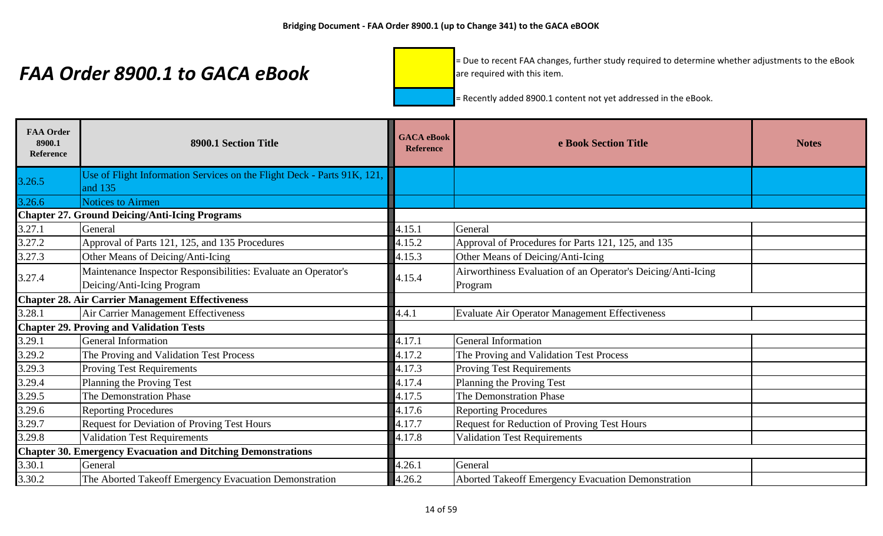= Due to recent FAA changes, further study required to determine whether adjustments to the eBook are required with this item.

| <b>FAA Order</b><br>8900.1<br><b>Reference</b>          | 8900.1 Section Title                                                                         | <b>GACA</b> eBook<br><b>Reference</b> | e Book Section Title                                                    | <b>Notes</b> |
|---------------------------------------------------------|----------------------------------------------------------------------------------------------|---------------------------------------|-------------------------------------------------------------------------|--------------|
| 3.26.5                                                  | Use of Flight Information Services on the Flight Deck - Parts 91K, 121,<br>and 135           |                                       |                                                                         |              |
| 3.26.6                                                  | <b>Notices to Airmen</b>                                                                     |                                       |                                                                         |              |
|                                                         | <b>Chapter 27. Ground Deicing/Anti-Icing Programs</b>                                        |                                       |                                                                         |              |
| 3.27.1                                                  | General                                                                                      | 4.15.1                                | General                                                                 |              |
| 3.27.2                                                  | Approval of Parts 121, 125, and 135 Procedures                                               | 4.15.2                                | Approval of Procedures for Parts 121, 125, and 135                      |              |
| 3.27.3                                                  | Other Means of Deicing/Anti-Icing                                                            | 4.15.3                                | Other Means of Deicing/Anti-Icing                                       |              |
| 3.27.4                                                  | Maintenance Inspector Responsibilities: Evaluate an Operator's<br>Deicing/Anti-Icing Program | 4.15.4                                | Airworthiness Evaluation of an Operator's Deicing/Anti-Icing<br>Program |              |
| <b>Chapter 28. Air Carrier Management Effectiveness</b> |                                                                                              |                                       |                                                                         |              |
| 3.28.1                                                  | Air Carrier Management Effectiveness                                                         | 4.4.1                                 | Evaluate Air Operator Management Effectiveness                          |              |
|                                                         | <b>Chapter 29. Proving and Validation Tests</b>                                              |                                       |                                                                         |              |
| 3.29.1                                                  | <b>General Information</b>                                                                   | 4.17.1                                | General Information                                                     |              |
| 3.29.2                                                  | The Proving and Validation Test Process                                                      | 4.17.2                                | The Proving and Validation Test Process                                 |              |
| 3.29.3                                                  | <b>Proving Test Requirements</b>                                                             | 4.17.3                                | <b>Proving Test Requirements</b>                                        |              |
| 3.29.4                                                  | Planning the Proving Test                                                                    | 4.17.4                                | Planning the Proving Test                                               |              |
| 3.29.5                                                  | The Demonstration Phase                                                                      | 4.17.5                                | The Demonstration Phase                                                 |              |
| 3.29.6                                                  | <b>Reporting Procedures</b>                                                                  | 4.17.6                                | <b>Reporting Procedures</b>                                             |              |
| 3.29.7                                                  | Request for Deviation of Proving Test Hours                                                  | 4.17.7                                | Request for Reduction of Proving Test Hours                             |              |
| 3.29.8                                                  | <b>Validation Test Requirements</b>                                                          | 4.17.8                                | <b>Validation Test Requirements</b>                                     |              |
|                                                         | <b>Chapter 30. Emergency Evacuation and Ditching Demonstrations</b>                          |                                       |                                                                         |              |
| 3.30.1                                                  | General                                                                                      | 4.26.1                                | General                                                                 |              |
| 3.30.2                                                  | The Aborted Takeoff Emergency Evacuation Demonstration                                       | 4.26.2                                | Aborted Takeoff Emergency Evacuation Demonstration                      |              |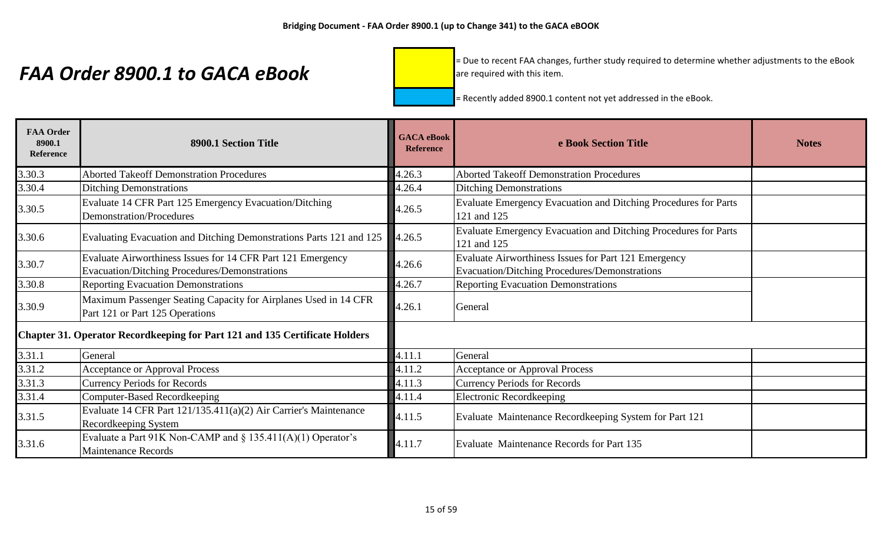= Due to recent FAA changes, further study required to determine whether adjustments to the eBook are required with this item.

| <b>FAA Order</b><br>8900.1<br><b>Reference</b> | 8900.1 Section Title                                                                                                | <b>GACA</b> eBook<br><b>Reference</b> | e Book Section Title                                                                                  | <b>Notes</b> |
|------------------------------------------------|---------------------------------------------------------------------------------------------------------------------|---------------------------------------|-------------------------------------------------------------------------------------------------------|--------------|
| 3.30.3                                         | <b>Aborted Takeoff Demonstration Procedures</b>                                                                     | 4.26.3                                | <b>Aborted Takeoff Demonstration Procedures</b>                                                       |              |
| 3.30.4                                         | <b>Ditching Demonstrations</b>                                                                                      | 4.26.4                                | <b>Ditching Demonstrations</b>                                                                        |              |
| 3.30.5                                         | Evaluate 14 CFR Part 125 Emergency Evacuation/Ditching<br><b>Demonstration/Procedures</b>                           | 4.26.5                                | Evaluate Emergency Evacuation and Ditching Procedures for Parts<br>121 and 125                        |              |
| 3.30.6                                         | Evaluating Evacuation and Ditching Demonstrations Parts 121 and 125                                                 | 4.26.5                                | Evaluate Emergency Evacuation and Ditching Procedures for Parts<br>121 and 125                        |              |
| 3.30.7                                         | Evaluate Airworthiness Issues for 14 CFR Part 121 Emergency<br><b>Evacuation/Ditching Procedures/Demonstrations</b> | 4.26.6                                | Evaluate Airworthiness Issues for Part 121 Emergency<br>Evacuation/Ditching Procedures/Demonstrations |              |
| 3.30.8                                         | <b>Reporting Evacuation Demonstrations</b>                                                                          | 4.26.7                                | <b>Reporting Evacuation Demonstrations</b>                                                            |              |
| 3.30.9                                         | Maximum Passenger Seating Capacity for Airplanes Used in 14 CFR<br>Part 121 or Part 125 Operations                  | 4.26.1                                | General                                                                                               |              |
|                                                | Chapter 31. Operator Recordkeeping for Part 121 and 135 Certificate Holders                                         |                                       |                                                                                                       |              |
| 3.31.1                                         | General                                                                                                             | 4.11.1                                | General                                                                                               |              |
| 3.31.2                                         | <b>Acceptance or Approval Process</b>                                                                               | 4.11.2                                | <b>Acceptance or Approval Process</b>                                                                 |              |
| 3.31.3                                         | <b>Currency Periods for Records</b>                                                                                 | 4.11.3                                | <b>Currency Periods for Records</b>                                                                   |              |
| 3.31.4                                         | <b>Computer-Based Recordkeeping</b>                                                                                 | 4.11.4                                | <b>Electronic Recordkeeping</b>                                                                       |              |
| 3.31.5                                         | Evaluate 14 CFR Part 121/135.411(a)(2) Air Carrier's Maintenance<br>Recordkeeping System                            | 4.11.5                                | Evaluate Maintenance Recordkeeping System for Part 121                                                |              |
| 3.31.6                                         | Evaluate a Part 91K Non-CAMP and $\S$ 135.411(A)(1) Operator's<br><b>Maintenance Records</b>                        | 4.11.7                                | Evaluate Maintenance Records for Part 135                                                             |              |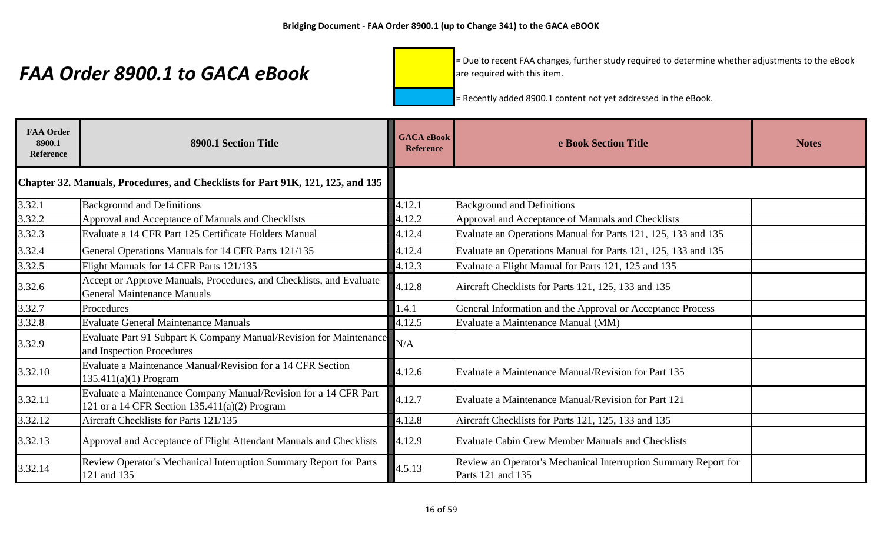= Due to recent FAA changes, further study required to determine whether adjustments to the eBook are required with this item.

| <b>FAA Order</b><br>8900.1<br><b>Reference</b> | 8900.1 Section Title                                                                                              | <b>GACA</b> eBook<br><b>Reference</b> | e Book Section Title                                                                 | <b>Notes</b> |
|------------------------------------------------|-------------------------------------------------------------------------------------------------------------------|---------------------------------------|--------------------------------------------------------------------------------------|--------------|
|                                                | Chapter 32. Manuals, Procedures, and Checklists for Part 91K, 121, 125, and 135                                   |                                       |                                                                                      |              |
| 3.32.1                                         | <b>Background and Definitions</b>                                                                                 | 4.12.1                                | <b>Background and Definitions</b>                                                    |              |
| 3.32.2                                         | Approval and Acceptance of Manuals and Checklists                                                                 | 4.12.2                                | Approval and Acceptance of Manuals and Checklists                                    |              |
| 3.32.3                                         | Evaluate a 14 CFR Part 125 Certificate Holders Manual                                                             | 4.12.4                                | Evaluate an Operations Manual for Parts 121, 125, 133 and 135                        |              |
| 3.32.4                                         | General Operations Manuals for 14 CFR Parts 121/135                                                               | 4.12.4                                | Evaluate an Operations Manual for Parts 121, 125, 133 and 135                        |              |
| 3.32.5                                         | Flight Manuals for 14 CFR Parts 121/135                                                                           | 4.12.3                                | Evaluate a Flight Manual for Parts 121, 125 and 135                                  |              |
| 3.32.6                                         | Accept or Approve Manuals, Procedures, and Checklists, and Evaluate<br><b>General Maintenance Manuals</b>         | 4.12.8                                | Aircraft Checklists for Parts 121, 125, 133 and 135                                  |              |
| 3.32.7                                         | Procedures                                                                                                        | 1.4.1                                 | General Information and the Approval or Acceptance Process                           |              |
| 3.32.8                                         | <b>Evaluate General Maintenance Manuals</b>                                                                       | 4.12.5                                | Evaluate a Maintenance Manual (MM)                                                   |              |
| 3.32.9                                         | Evaluate Part 91 Subpart K Company Manual/Revision for Maintenance<br>and Inspection Procedures                   | N/A                                   |                                                                                      |              |
| 3.32.10                                        | Evaluate a Maintenance Manual/Revision for a 14 CFR Section<br>$135.411(a)(1)$ Program                            | 4.12.6                                | Evaluate a Maintenance Manual/Revision for Part 135                                  |              |
| 3.32.11                                        | Evaluate a Maintenance Company Manual/Revision for a 14 CFR Part<br>121 or a 14 CFR Section 135.411(a)(2) Program | 4.12.7                                | Evaluate a Maintenance Manual/Revision for Part 121                                  |              |
| 3.32.12                                        | Aircraft Checklists for Parts 121/135                                                                             | 4.12.8                                | Aircraft Checklists for Parts 121, 125, 133 and 135                                  |              |
| 3.32.13                                        | Approval and Acceptance of Flight Attendant Manuals and Checklists                                                | 4.12.9                                | <b>Evaluate Cabin Crew Member Manuals and Checklists</b>                             |              |
| 3.32.14                                        | Review Operator's Mechanical Interruption Summary Report for Parts<br>121 and 135                                 | 4.5.13                                | Review an Operator's Mechanical Interruption Summary Report for<br>Parts 121 and 135 |              |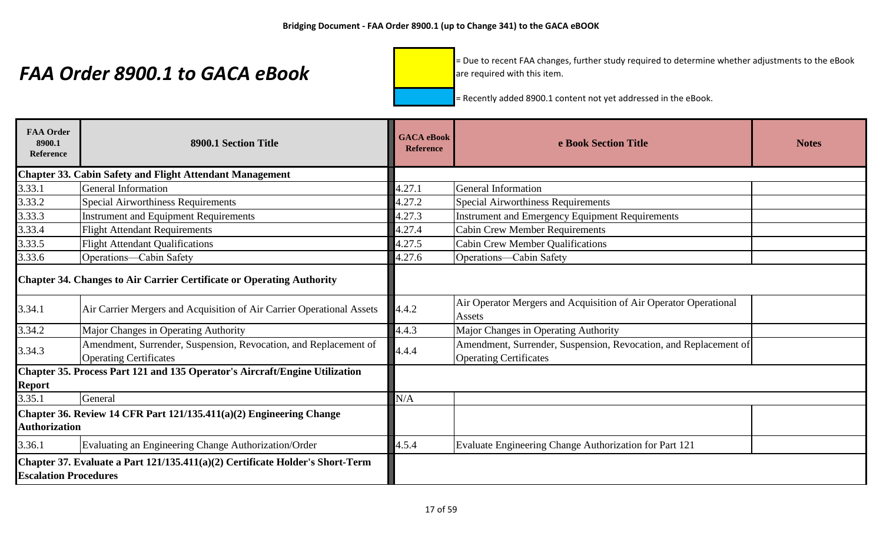= Due to recent FAA changes, further study required to determine whether adjustments to the eBook are required with this item.

| <b>FAA Order</b><br>8900.1<br>Reference | 8900.1 Section Title                                                                              | <b>GACA</b> eBook<br><b>Reference</b> | e Book Section Title                                                                              | <b>Notes</b> |
|-----------------------------------------|---------------------------------------------------------------------------------------------------|---------------------------------------|---------------------------------------------------------------------------------------------------|--------------|
|                                         | <b>Chapter 33. Cabin Safety and Flight Attendant Management</b>                                   |                                       |                                                                                                   |              |
| 3.33.1                                  | <b>General Information</b>                                                                        | 4.27.1                                | General Information                                                                               |              |
| 3.33.2                                  | <b>Special Airworthiness Requirements</b>                                                         | 4.27.2                                | <b>Special Airworthiness Requirements</b>                                                         |              |
| 3.33.3                                  | <b>Instrument and Equipment Requirements</b>                                                      | 4.27.3                                | Instrument and Emergency Equipment Requirements                                                   |              |
| 3.33.4                                  | <b>Flight Attendant Requirements</b>                                                              | 4.27.4                                | <b>Cabin Crew Member Requirements</b>                                                             |              |
| 3.33.5                                  | <b>Flight Attendant Qualifications</b>                                                            | 4.27.5                                | <b>Cabin Crew Member Qualifications</b>                                                           |              |
| 3.33.6                                  | Operations-Cabin Safety                                                                           | 4.27.6                                | Operations-Cabin Safety                                                                           |              |
|                                         | <b>Chapter 34. Changes to Air Carrier Certificate or Operating Authority</b>                      |                                       |                                                                                                   |              |
| 3.34.1                                  | Air Carrier Mergers and Acquisition of Air Carrier Operational Assets                             | 4.4.2                                 | Air Operator Mergers and Acquisition of Air Operator Operational<br>Assets                        |              |
| 3.34.2                                  | Major Changes in Operating Authority                                                              | 4.4.3                                 | Major Changes in Operating Authority                                                              |              |
| 3.34.3                                  | Amendment, Surrender, Suspension, Revocation, and Replacement of<br><b>Operating Certificates</b> | 4.4.4                                 | Amendment, Surrender, Suspension, Revocation, and Replacement of<br><b>Operating Certificates</b> |              |
| Report                                  | Chapter 35. Process Part 121 and 135 Operator's Aircraft/Engine Utilization                       |                                       |                                                                                                   |              |
| 3.35.1                                  | General                                                                                           | N/A                                   |                                                                                                   |              |
| <b>Authorization</b>                    | Chapter 36. Review 14 CFR Part 121/135.411(a)(2) Engineering Change                               |                                       |                                                                                                   |              |
| 3.36.1                                  | Evaluating an Engineering Change Authorization/Order                                              | 4.5.4                                 | Evaluate Engineering Change Authorization for Part 121                                            |              |
| <b>Escalation Procedures</b>            | Chapter 37. Evaluate a Part 121/135.411(a)(2) Certificate Holder's Short-Term                     |                                       |                                                                                                   |              |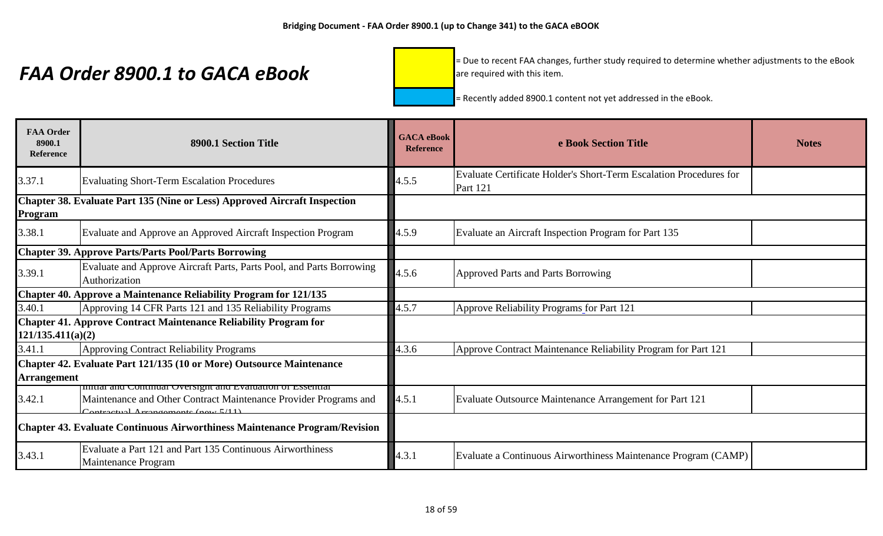= Due to recent FAA changes, further study required to determine whether adjustments to the eBook are required with this item.

| <b>FAA Order</b><br>8900.1<br>Reference | 8900.1 Section Title                                                                                                          | <b>GACA</b> eBook<br><b>Reference</b> | e Book Section Title                                                           | <b>Notes</b> |
|-----------------------------------------|-------------------------------------------------------------------------------------------------------------------------------|---------------------------------------|--------------------------------------------------------------------------------|--------------|
| 3.37.1                                  | <b>Evaluating Short-Term Escalation Procedures</b>                                                                            | 4.5.5                                 | Evaluate Certificate Holder's Short-Term Escalation Procedures for<br>Part 121 |              |
| Program                                 | Chapter 38. Evaluate Part 135 (Nine or Less) Approved Aircraft Inspection                                                     |                                       |                                                                                |              |
| 3.38.1                                  | Evaluate and Approve an Approved Aircraft Inspection Program                                                                  | 4.5.9                                 | Evaluate an Aircraft Inspection Program for Part 135                           |              |
|                                         | <b>Chapter 39. Approve Parts/Parts Pool/Parts Borrowing</b>                                                                   |                                       |                                                                                |              |
| 3.39.1                                  | Evaluate and Approve Aircraft Parts, Parts Pool, and Parts Borrowing<br>Authorization                                         | 4.5.6                                 | <b>Approved Parts and Parts Borrowing</b>                                      |              |
|                                         | Chapter 40. Approve a Maintenance Reliability Program for 121/135                                                             |                                       |                                                                                |              |
| 3.40.1                                  | Approving 14 CFR Parts 121 and 135 Reliability Programs                                                                       | 4.5.7                                 | Approve Reliability Programs for Part 121                                      |              |
|                                         | Chapter 41. Approve Contract Maintenance Reliability Program for                                                              |                                       |                                                                                |              |
| 121/135.411(a)(2)                       |                                                                                                                               |                                       |                                                                                |              |
| 3.41.1                                  | <b>Approving Contract Reliability Programs</b>                                                                                | 4.3.6                                 | Approve Contract Maintenance Reliability Program for Part 121                  |              |
|                                         | Chapter 42. Evaluate Part 121/135 (10 or More) Outsource Maintenance                                                          |                                       |                                                                                |              |
| <b>Arrangement</b>                      |                                                                                                                               |                                       |                                                                                |              |
| 3.42.1                                  | nnuar and Continuar Oversignt and Evaluation of Essential<br>Maintenance and Other Contract Maintenance Provider Programs and | 4.5.1                                 | Evaluate Outsource Maintenance Arrangement for Part 121                        |              |
|                                         | Chapter 43. Evaluate Continuous Airworthiness Maintenance Program/Revision                                                    |                                       |                                                                                |              |
| 3.43.1                                  | Evaluate a Part 121 and Part 135 Continuous Airworthiness<br>Maintenance Program                                              | 4.3.1                                 | Evaluate a Continuous Airworthiness Maintenance Program (CAMP)                 |              |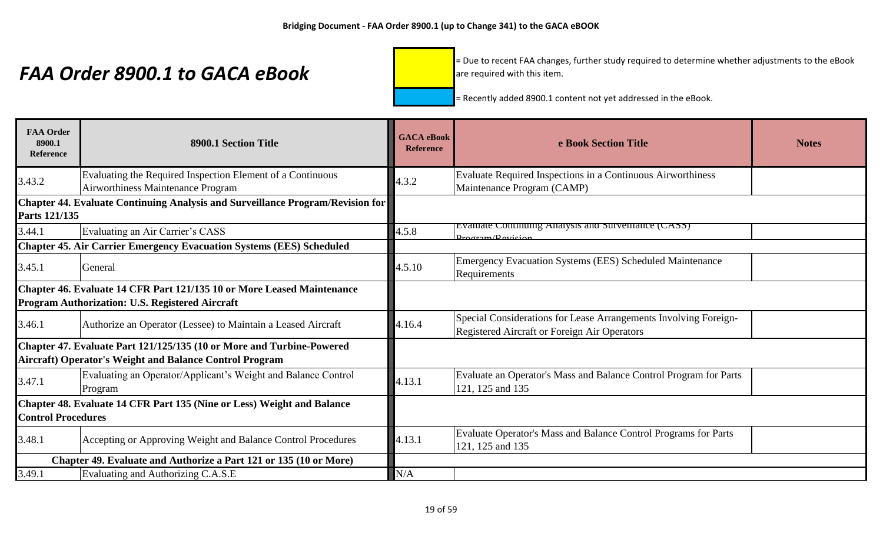= Due to recent FAA changes, further study required to determine whether adjustments to the eBook are required with this item.

| <b>FAA Order</b><br>8900.1<br><b>Reference</b> | 8900.1 Section Title                                                                                                             | <b>GACA</b> eBook<br><b>Reference</b> | e Book Section Title                                                                                             | <b>Notes</b> |
|------------------------------------------------|----------------------------------------------------------------------------------------------------------------------------------|---------------------------------------|------------------------------------------------------------------------------------------------------------------|--------------|
| 3.43.2                                         | Evaluating the Required Inspection Element of a Continuous<br>Airworthiness Maintenance Program                                  | 4.3.2                                 | Evaluate Required Inspections in a Continuous Airworthiness<br>Maintenance Program (CAMP)                        |              |
| Parts 121/135                                  | Chapter 44. Evaluate Continuing Analysis and Surveillance Program/Revision for                                                   |                                       |                                                                                                                  |              |
| 3.44.1                                         | Evaluating an Air Carrier's CASS                                                                                                 | 4.5.8                                 | Evaluate Continuing Analysis and Surveillance (CASS)<br>$D_{\rm rocram}/D_{\rm avicion}$                         |              |
|                                                | <b>Chapter 45. Air Carrier Emergency Evacuation Systems (EES) Scheduled</b>                                                      |                                       |                                                                                                                  |              |
| 3.45.1                                         | General                                                                                                                          | 4.5.10                                | Emergency Evacuation Systems (EES) Scheduled Maintenance<br>Requirements                                         |              |
|                                                | Chapter 46. Evaluate 14 CFR Part 121/135 10 or More Leased Maintenance<br>Program Authorization: U.S. Registered Aircraft        |                                       |                                                                                                                  |              |
| 3.46.1                                         | Authorize an Operator (Lessee) to Maintain a Leased Aircraft                                                                     | 4.16.4                                | Special Considerations for Lease Arrangements Involving Foreign-<br>Registered Aircraft or Foreign Air Operators |              |
|                                                | Chapter 47. Evaluate Part 121/125/135 (10 or More and Turbine-Powered<br>Aircraft) Operator's Weight and Balance Control Program |                                       |                                                                                                                  |              |
| 3.47.1                                         | Evaluating an Operator/Applicant's Weight and Balance Control<br>Program                                                         | 4.13.1                                | Evaluate an Operator's Mass and Balance Control Program for Parts<br>121, 125 and 135                            |              |
| <b>Control Procedures</b>                      | Chapter 48. Evaluate 14 CFR Part 135 (Nine or Less) Weight and Balance                                                           |                                       |                                                                                                                  |              |
| 3.48.1                                         | Accepting or Approving Weight and Balance Control Procedures                                                                     | 4.13.1                                | Evaluate Operator's Mass and Balance Control Programs for Parts<br>121, 125 and 135                              |              |
|                                                | Chapter 49. Evaluate and Authorize a Part 121 or 135 (10 or More)                                                                |                                       |                                                                                                                  |              |
| 3.49.1                                         | Evaluating and Authorizing C.A.S.E                                                                                               | N/A                                   |                                                                                                                  |              |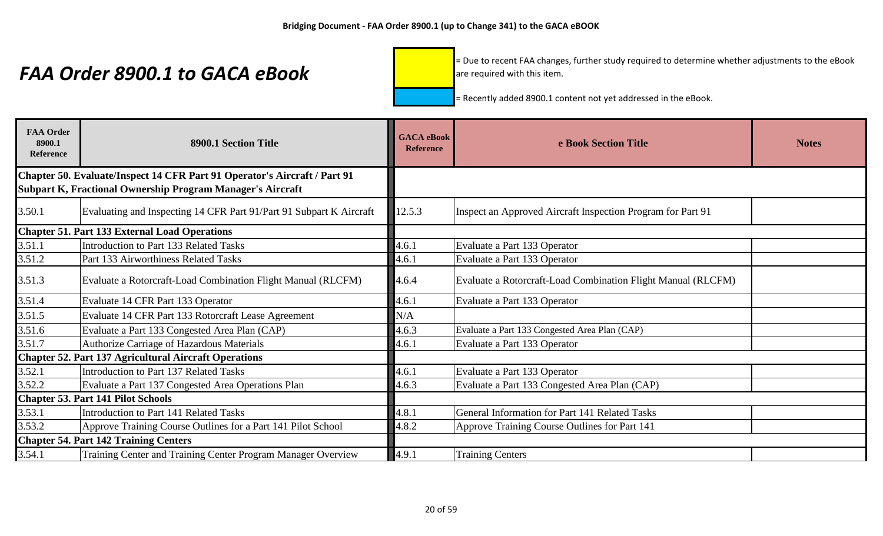= Due to recent FAA changes, further study required to determine whether adjustments to the eBook are required with this item.

| <b>FAA Order</b><br>8900.1<br><b>Reference</b> | 8900.1 Section Title                                                                                                                    | <b>GACA</b> eBook<br><b>Reference</b> | e Book Section Title                                         | <b>Notes</b> |
|------------------------------------------------|-----------------------------------------------------------------------------------------------------------------------------------------|---------------------------------------|--------------------------------------------------------------|--------------|
|                                                | Chapter 50. Evaluate/Inspect 14 CFR Part 91 Operator's Aircraft / Part 91<br>Subpart K, Fractional Ownership Program Manager's Aircraft |                                       |                                                              |              |
| 3.50.1                                         | Evaluating and Inspecting 14 CFR Part 91/Part 91 Subpart K Aircraft                                                                     | 12.5.3                                | Inspect an Approved Aircraft Inspection Program for Part 91  |              |
|                                                | <b>Chapter 51. Part 133 External Load Operations</b>                                                                                    |                                       |                                                              |              |
| 3.51.1                                         | <b>Introduction to Part 133 Related Tasks</b>                                                                                           | 4.6.1                                 | Evaluate a Part 133 Operator                                 |              |
| 3.51.2                                         | Part 133 Airworthiness Related Tasks                                                                                                    | 4.6.1                                 | Evaluate a Part 133 Operator                                 |              |
| 3.51.3                                         | Evaluate a Rotorcraft-Load Combination Flight Manual (RLCFM)                                                                            | 4.6.4                                 | Evaluate a Rotorcraft-Load Combination Flight Manual (RLCFM) |              |
| 3.51.4                                         | Evaluate 14 CFR Part 133 Operator                                                                                                       | 4.6.1                                 | Evaluate a Part 133 Operator                                 |              |
| 3.51.5                                         | Evaluate 14 CFR Part 133 Rotorcraft Lease Agreement                                                                                     | N/A                                   |                                                              |              |
| 3.51.6                                         | Evaluate a Part 133 Congested Area Plan (CAP)                                                                                           | 4.6.3                                 | Evaluate a Part 133 Congested Area Plan (CAP)                |              |
| 3.51.7                                         | <b>Authorize Carriage of Hazardous Materials</b>                                                                                        | 4.6.1                                 | Evaluate a Part 133 Operator                                 |              |
|                                                | <b>Chapter 52. Part 137 Agricultural Aircraft Operations</b>                                                                            |                                       |                                                              |              |
| 3.52.1                                         | Introduction to Part 137 Related Tasks                                                                                                  | 4.6.1                                 | Evaluate a Part 133 Operator                                 |              |
| 3.52.2                                         | Evaluate a Part 137 Congested Area Operations Plan                                                                                      | 4.6.3                                 | Evaluate a Part 133 Congested Area Plan (CAP)                |              |
|                                                | <b>Chapter 53. Part 141 Pilot Schools</b>                                                                                               |                                       |                                                              |              |
| 3.53.1                                         | <b>Introduction to Part 141 Related Tasks</b>                                                                                           | 4.8.1                                 | General Information for Part 141 Related Tasks               |              |
| 3.53.2                                         | Approve Training Course Outlines for a Part 141 Pilot School                                                                            | 4.8.2                                 | Approve Training Course Outlines for Part 141                |              |
|                                                | <b>Chapter 54. Part 142 Training Centers</b>                                                                                            |                                       |                                                              |              |
| 3.54.1                                         | Training Center and Training Center Program Manager Overview                                                                            | 4.9.1                                 | <b>Training Centers</b>                                      |              |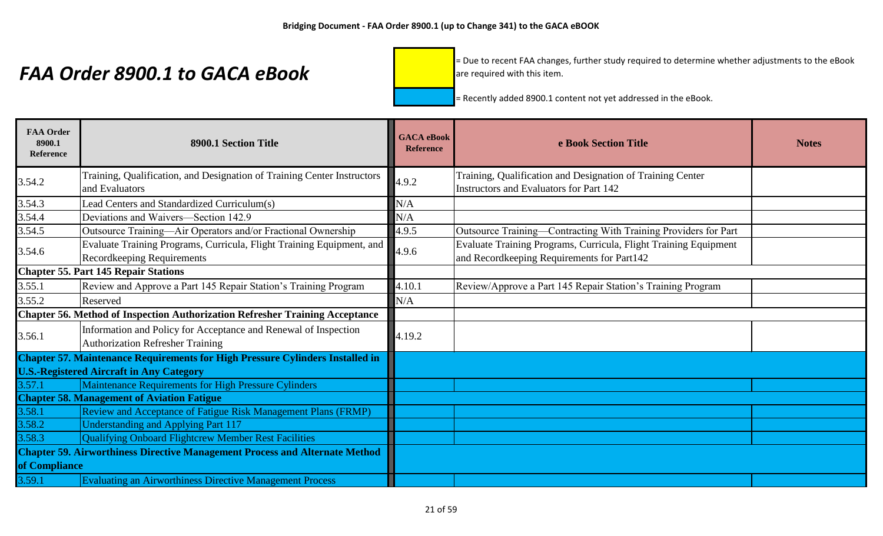= Due to recent FAA changes, further study required to determine whether adjustments to the eBook are required with this item.

| <b>FAA Order</b><br>8900.1<br><b>Reference</b>                                     | 8900.1 Section Title                                                                                       | <b>GACA</b> eBook<br><b>Reference</b> | e Book Section Title                                                                                           | <b>Notes</b> |
|------------------------------------------------------------------------------------|------------------------------------------------------------------------------------------------------------|---------------------------------------|----------------------------------------------------------------------------------------------------------------|--------------|
| 3.54.2                                                                             | Training, Qualification, and Designation of Training Center Instructors<br>and Evaluators                  | 4.9.2                                 | Training, Qualification and Designation of Training Center<br>Instructors and Evaluators for Part 142          |              |
| 3.54.3                                                                             | Lead Centers and Standardized Curriculum(s)                                                                | N/A                                   |                                                                                                                |              |
| 3.54.4                                                                             | Deviations and Waivers-Section 142.9                                                                       | N/A                                   |                                                                                                                |              |
| 3.54.5                                                                             | Outsource Training—Air Operators and/or Fractional Ownership                                               | 4.9.5                                 | Outsource Training-Contracting With Training Providers for Part                                                |              |
| 3.54.6                                                                             | Evaluate Training Programs, Curricula, Flight Training Equipment, and<br><b>Recordkeeping Requirements</b> | 4.9.6                                 | Evaluate Training Programs, Curricula, Flight Training Equipment<br>and Recordkeeping Requirements for Part142 |              |
|                                                                                    | <b>Chapter 55. Part 145 Repair Stations</b>                                                                |                                       |                                                                                                                |              |
| 3.55.1                                                                             | Review and Approve a Part 145 Repair Station's Training Program                                            | 4.10.1                                | Review/Approve a Part 145 Repair Station's Training Program                                                    |              |
| 3.55.2                                                                             | Reserved                                                                                                   | N/A                                   |                                                                                                                |              |
|                                                                                    | <b>Chapter 56. Method of Inspection Authorization Refresher Training Acceptance</b>                        |                                       |                                                                                                                |              |
| 3.56.1                                                                             | Information and Policy for Acceptance and Renewal of Inspection<br><b>Authorization Refresher Training</b> | 4.19.2                                |                                                                                                                |              |
|                                                                                    | <b>Chapter 57. Maintenance Requirements for High Pressure Cylinders Installed in</b>                       |                                       |                                                                                                                |              |
|                                                                                    | <b>U.S.-Registered Aircraft in Any Category</b>                                                            |                                       |                                                                                                                |              |
| 3.57.1                                                                             | Maintenance Requirements for High Pressure Cylinders                                                       |                                       |                                                                                                                |              |
|                                                                                    | <b>Chapter 58. Management of Aviation Fatigue</b>                                                          |                                       |                                                                                                                |              |
| 3.58.1                                                                             | Review and Acceptance of Fatigue Risk Management Plans (FRMP)                                              |                                       |                                                                                                                |              |
| 3.58.2                                                                             | Understanding and Applying Part 117                                                                        |                                       |                                                                                                                |              |
| 3.58.3                                                                             | Qualifying Onboard Flightcrew Member Rest Facilities                                                       |                                       |                                                                                                                |              |
| <b>Chapter 59. Airworthiness Directive Management Process and Alternate Method</b> |                                                                                                            |                                       |                                                                                                                |              |
| of Compliance                                                                      |                                                                                                            |                                       |                                                                                                                |              |
| 3.59.1                                                                             | <b>Evaluating an Airworthiness Directive Management Process</b>                                            |                                       |                                                                                                                |              |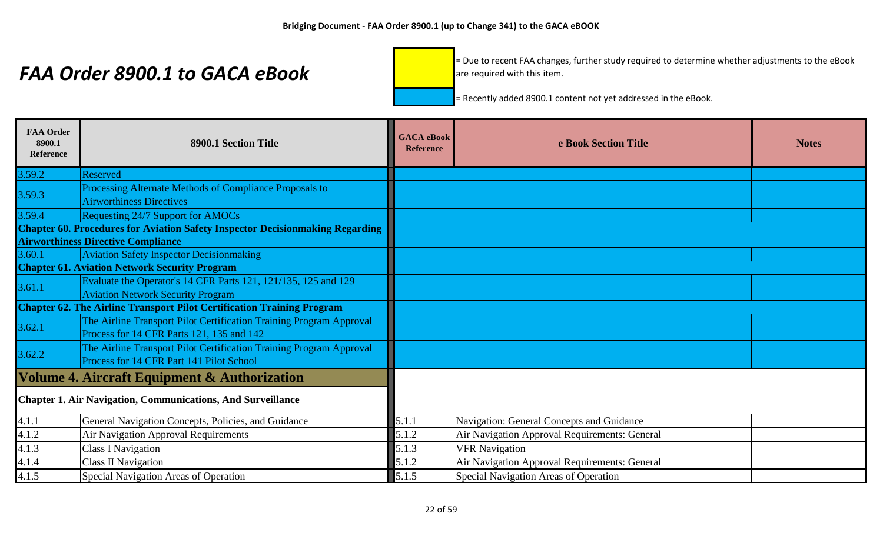= Due to recent FAA changes, further study required to determine whether adjustments to the eBook are required with this item.

| <b>FAA Order</b><br>8900.1<br><b>Reference</b> | 8900.1 Section Title                                                                                             | <b>GACA</b> eBook<br><b>Reference</b> | e Book Section Title                          | <b>Notes</b> |
|------------------------------------------------|------------------------------------------------------------------------------------------------------------------|---------------------------------------|-----------------------------------------------|--------------|
| 3.59.2                                         | Reserved                                                                                                         |                                       |                                               |              |
| 3.59.3                                         | Processing Alternate Methods of Compliance Proposals to<br><b>Airworthiness Directives</b>                       |                                       |                                               |              |
| 3.59.4                                         | <b>Requesting 24/7 Support for AMOCs</b>                                                                         |                                       |                                               |              |
|                                                | <b>Chapter 60. Procedures for Aviation Safety Inspector Decisionmaking Regarding</b>                             |                                       |                                               |              |
|                                                | <b>Airworthiness Directive Compliance</b>                                                                        |                                       |                                               |              |
| 3.60.1                                         | <b>Aviation Safety Inspector Decisionmaking</b>                                                                  |                                       |                                               |              |
|                                                | <b>Chapter 61. Aviation Network Security Program</b>                                                             |                                       |                                               |              |
| 3.61.1                                         | Evaluate the Operator's 14 CFR Parts 121, 121/135, 125 and 129                                                   |                                       |                                               |              |
|                                                | <b>Aviation Network Security Program</b>                                                                         |                                       |                                               |              |
|                                                | <b>Chapter 62. The Airline Transport Pilot Certification Training Program</b>                                    |                                       |                                               |              |
| 3.62.1                                         | The Airline Transport Pilot Certification Training Program Approval<br>Process for 14 CFR Parts 121, 135 and 142 |                                       |                                               |              |
| 3.62.2                                         | The Airline Transport Pilot Certification Training Program Approval<br>Process for 14 CFR Part 141 Pilot School  |                                       |                                               |              |
|                                                | Volume 4. Aircraft Equipment & Authorization                                                                     |                                       |                                               |              |
|                                                | <b>Chapter 1. Air Navigation, Communications, And Surveillance</b>                                               |                                       |                                               |              |
| 4.1.1                                          | General Navigation Concepts, Policies, and Guidance                                                              | 5.1.1                                 | Navigation: General Concepts and Guidance     |              |
| 4.1.2                                          | Air Navigation Approval Requirements                                                                             | 5.1.2                                 | Air Navigation Approval Requirements: General |              |
| 4.1.3                                          | <b>Class I Navigation</b>                                                                                        | 5.1.3                                 | <b>VFR Navigation</b>                         |              |
| 4.1.4                                          | <b>Class II Navigation</b>                                                                                       | 5.1.2                                 | Air Navigation Approval Requirements: General |              |
| 4.1.5                                          | Special Navigation Areas of Operation                                                                            | 5.1.5                                 | Special Navigation Areas of Operation         |              |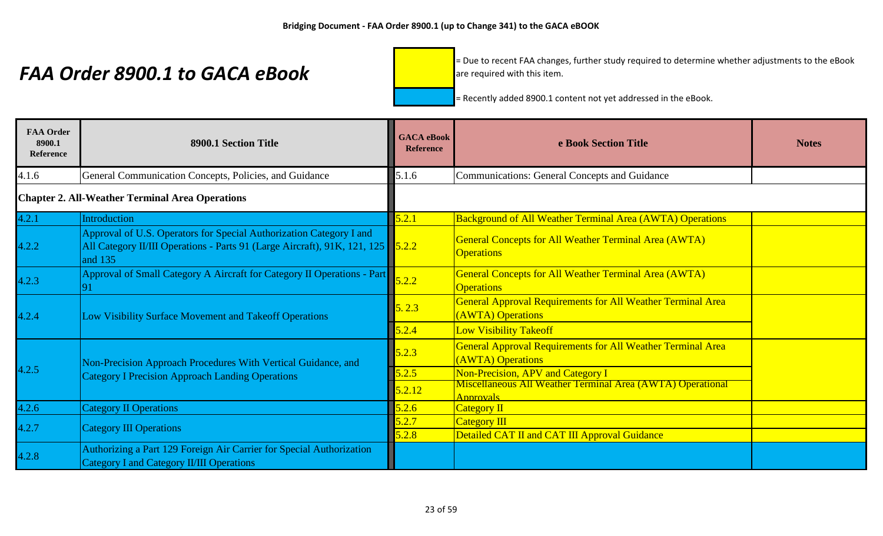= Due to recent FAA changes, further study required to determine whether adjustments to the eBook are required with this item.

| <b>FAA Order</b><br>8900.1<br>Reference | 8900.1 Section Title                                                                                                                                              | <b>GACA</b> eBook<br><b>Reference</b> | e Book Section Title                                                                    | <b>Notes</b> |
|-----------------------------------------|-------------------------------------------------------------------------------------------------------------------------------------------------------------------|---------------------------------------|-----------------------------------------------------------------------------------------|--------------|
| 4.1.6                                   | General Communication Concepts, Policies, and Guidance                                                                                                            | 5.1.6                                 | <b>Communications: General Concepts and Guidance</b>                                    |              |
|                                         | <b>Chapter 2. All-Weather Terminal Area Operations</b>                                                                                                            |                                       |                                                                                         |              |
| 4.2.1                                   | <b>Introduction</b>                                                                                                                                               | 5.2.1                                 | <b>Background of All Weather Terminal Area (AWTA) Operations</b>                        |              |
| 4.2.2                                   | Approval of U.S. Operators for Special Authorization Category I and<br>All Category II/III Operations - Parts 91 (Large Aircraft), 91K, 121, 125 5.2.2<br>and 135 |                                       | <b>General Concepts for All Weather Terminal Area (AWTA)</b><br><b>Operations</b>       |              |
| 4.2.3                                   | Approval of Small Category A Aircraft for Category II Operations - Part                                                                                           | 5.2.2                                 | General Concepts for All Weather Terminal Area (AWTA)<br><b>Operations</b>              |              |
| 4.2.4                                   | Low Visibility Surface Movement and Takeoff Operations                                                                                                            | 5.2.3                                 | General Approval Requirements for All Weather Terminal Area<br>(AWTA) Operations        |              |
|                                         |                                                                                                                                                                   | 5.2.4                                 | <b>Low Visibility Takeoff</b>                                                           |              |
|                                         | Non-Precision Approach Procedures With Vertical Guidance, and                                                                                                     | 5.2.3                                 | <b>General Approval Requirements for All Weather Terminal Area</b><br>(AWTA) Operations |              |
| 4.2.5                                   | <b>Category I Precision Approach Landing Operations</b>                                                                                                           | 5.2.5                                 | Non-Precision, APV and Category I                                                       |              |
|                                         |                                                                                                                                                                   | 5.2.12                                | Miscellaneous All Weather Terminal Area (AWTA) Operational<br>Approvals                 |              |
| 4.2.6                                   | <b>Category II Operations</b>                                                                                                                                     | 5.2.6                                 | <b>Category II</b>                                                                      |              |
| 4.2.7                                   | <b>Category III Operations</b>                                                                                                                                    | 5.2.7                                 | <b>Category III</b>                                                                     |              |
|                                         |                                                                                                                                                                   | 5.2.8                                 | Detailed CAT II and CAT III Approval Guidance                                           |              |
| 4.2.8                                   | Authorizing a Part 129 Foreign Air Carrier for Special Authorization<br><b>Category I and Category II/III Operations</b>                                          |                                       |                                                                                         |              |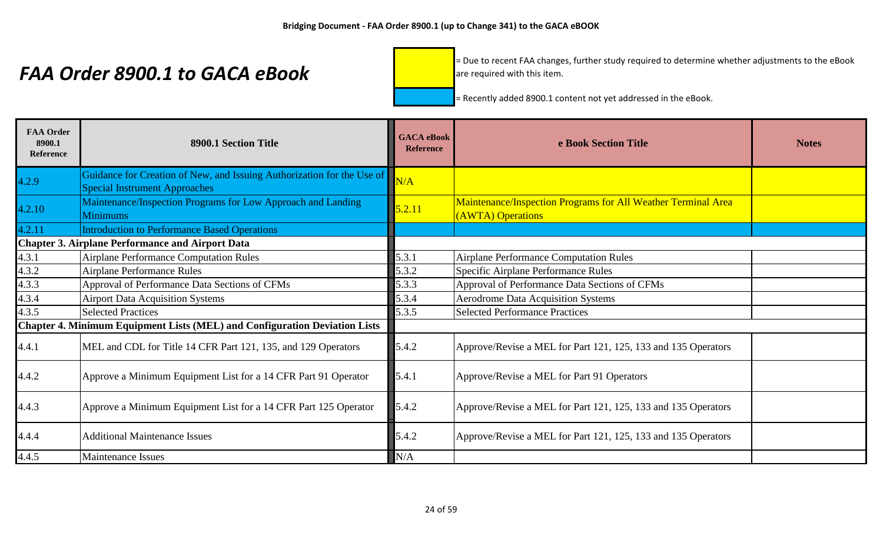= Due to recent FAA changes, further study required to determine whether adjustments to the eBook are required with this item.

| <b>FAA Order</b><br>8900.1<br><b>Reference</b> | 8900.1 Section Title                                                                                           | <b>GACA</b> eBook<br><b>Reference</b> | e Book Section Title                                                                      | <b>Notes</b> |
|------------------------------------------------|----------------------------------------------------------------------------------------------------------------|---------------------------------------|-------------------------------------------------------------------------------------------|--------------|
| 4.2.9                                          | Guidance for Creation of New, and Issuing Authorization for the Use of<br><b>Special Instrument Approaches</b> | N/A                                   |                                                                                           |              |
| 4.2.10                                         | Maintenance/Inspection Programs for Low Approach and Landing<br><b>Minimums</b>                                | 5.2.11                                | <b>Maintenance/Inspection Programs for All Weather Terminal Area</b><br>(AWTA) Operations |              |
| 4.2.11                                         | <b>Introduction to Performance Based Operations</b>                                                            |                                       |                                                                                           |              |
|                                                | <b>Chapter 3. Airplane Performance and Airport Data</b>                                                        |                                       |                                                                                           |              |
| 4.3.1                                          | <b>Airplane Performance Computation Rules</b>                                                                  | 5.3.1                                 | Airplane Performance Computation Rules                                                    |              |
| 4.3.2                                          | <b>Airplane Performance Rules</b>                                                                              | 5.3.2                                 | Specific Airplane Performance Rules                                                       |              |
| 4.3.3                                          | Approval of Performance Data Sections of CFMs                                                                  | 5.3.3                                 | Approval of Performance Data Sections of CFMs                                             |              |
| 4.3.4                                          | <b>Airport Data Acquisition Systems</b>                                                                        | 5.3.4                                 | <b>Aerodrome Data Acquisition Systems</b>                                                 |              |
| 4.3.5                                          | <b>Selected Practices</b>                                                                                      | 5.3.5                                 | <b>Selected Performance Practices</b>                                                     |              |
|                                                | Chapter 4. Minimum Equipment Lists (MEL) and Configuration Deviation Lists                                     |                                       |                                                                                           |              |
| 4.4.1                                          | MEL and CDL for Title 14 CFR Part 121, 135, and 129 Operators                                                  | 5.4.2                                 | Approve/Revise a MEL for Part 121, 125, 133 and 135 Operators                             |              |
| 4.4.2                                          | Approve a Minimum Equipment List for a 14 CFR Part 91 Operator                                                 | 5.4.1                                 | Approve/Revise a MEL for Part 91 Operators                                                |              |
| 4.4.3                                          | Approve a Minimum Equipment List for a 14 CFR Part 125 Operator                                                | 5.4.2                                 | Approve/Revise a MEL for Part 121, 125, 133 and 135 Operators                             |              |
| 4.4.4                                          | <b>Additional Maintenance Issues</b>                                                                           | 5.4.2                                 | Approve/Revise a MEL for Part 121, 125, 133 and 135 Operators                             |              |
| 4.4.5                                          | <b>Maintenance Issues</b>                                                                                      | N/A                                   |                                                                                           |              |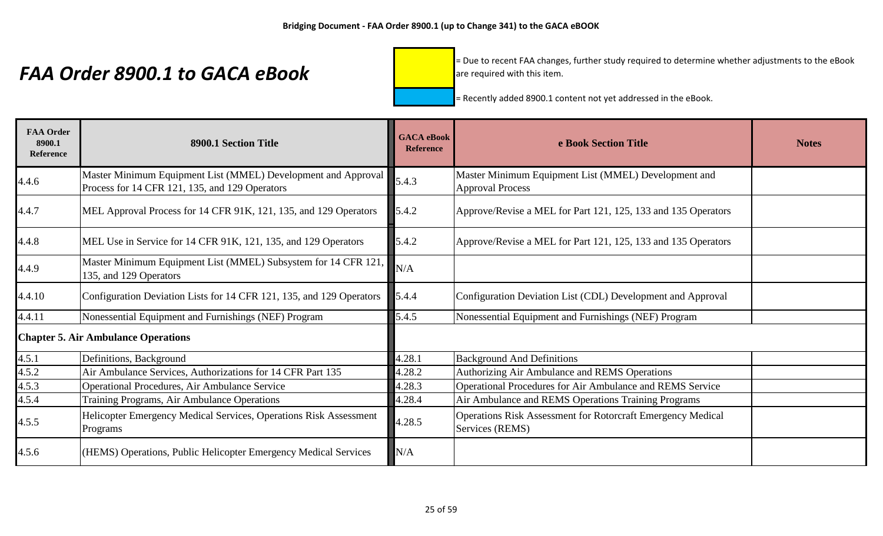= Due to recent FAA changes, further study required to determine whether adjustments to the eBook are required with this item.

| <b>FAA Order</b><br>8900.1<br><b>Reference</b> | 8900.1 Section Title                                                                                            | <b>GACA</b> eBook<br><b>Reference</b> | e Book Section Title                                                                  | <b>Notes</b> |
|------------------------------------------------|-----------------------------------------------------------------------------------------------------------------|---------------------------------------|---------------------------------------------------------------------------------------|--------------|
| 4.4.6                                          | Master Minimum Equipment List (MMEL) Development and Approval<br>Process for 14 CFR 121, 135, and 129 Operators | 5.4.3                                 | Master Minimum Equipment List (MMEL) Development and<br><b>Approval Process</b>       |              |
| 4.4.7                                          | MEL Approval Process for 14 CFR 91K, 121, 135, and 129 Operators                                                | 5.4.2                                 | Approve/Revise a MEL for Part 121, 125, 133 and 135 Operators                         |              |
| 4.4.8                                          | MEL Use in Service for 14 CFR 91K, 121, 135, and 129 Operators                                                  | 5.4.2                                 | Approve/Revise a MEL for Part 121, 125, 133 and 135 Operators                         |              |
| 4.4.9                                          | Master Minimum Equipment List (MMEL) Subsystem for 14 CFR 121,<br>135, and 129 Operators                        | N/A                                   |                                                                                       |              |
| 4.4.10                                         | Configuration Deviation Lists for 14 CFR 121, 135, and 129 Operators                                            | 5.4.4                                 | Configuration Deviation List (CDL) Development and Approval                           |              |
| 4.4.11                                         | Nonessential Equipment and Furnishings (NEF) Program                                                            | 5.4.5                                 | Nonessential Equipment and Furnishings (NEF) Program                                  |              |
|                                                | <b>Chapter 5. Air Ambulance Operations</b>                                                                      |                                       |                                                                                       |              |
| 4.5.1                                          | Definitions, Background                                                                                         | 4.28.1                                | <b>Background And Definitions</b>                                                     |              |
| 4.5.2                                          | Air Ambulance Services, Authorizations for 14 CFR Part 135                                                      | 4.28.2                                | Authorizing Air Ambulance and REMS Operations                                         |              |
| 4.5.3                                          | <b>Operational Procedures, Air Ambulance Service</b>                                                            | 4.28.3                                | Operational Procedures for Air Ambulance and REMS Service                             |              |
| 4.5.4                                          | Training Programs, Air Ambulance Operations                                                                     | 4.28.4                                | Air Ambulance and REMS Operations Training Programs                                   |              |
| 4.5.5                                          | Helicopter Emergency Medical Services, Operations Risk Assessment<br>Programs                                   | 4.28.5                                | <b>Operations Risk Assessment for Rotorcraft Emergency Medical</b><br>Services (REMS) |              |
| 4.5.6                                          | (HEMS) Operations, Public Helicopter Emergency Medical Services                                                 | N/A                                   |                                                                                       |              |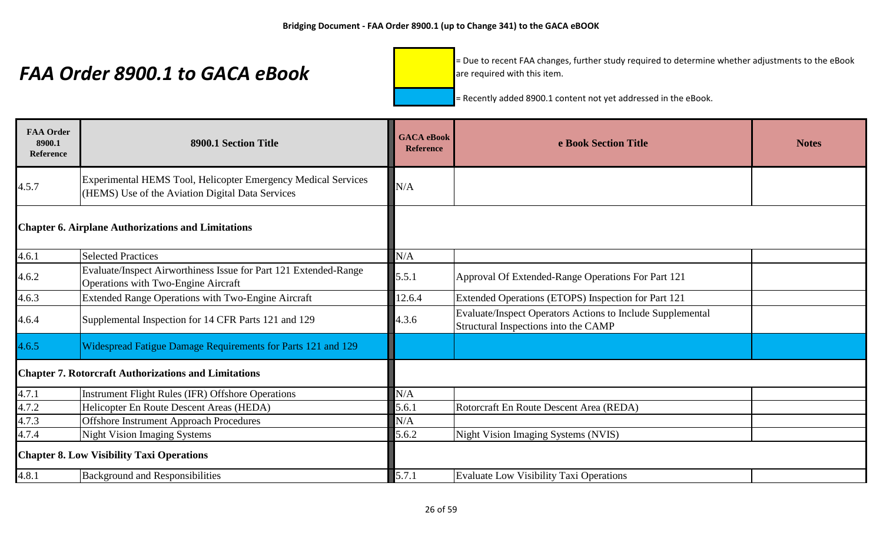= Due to recent FAA changes, further study required to determine whether adjustments to the eBook are required with this item.

| <b>FAA Order</b><br>8900.1<br><b>Reference</b> | 8900.1 Section Title                                                                                              | <b>GACA</b> eBook<br><b>Reference</b> | e Book Section Title                                                                               | <b>Notes</b> |
|------------------------------------------------|-------------------------------------------------------------------------------------------------------------------|---------------------------------------|----------------------------------------------------------------------------------------------------|--------------|
| 4.5.7                                          | Experimental HEMS Tool, Helicopter Emergency Medical Services<br>(HEMS) Use of the Aviation Digital Data Services | N/A                                   |                                                                                                    |              |
|                                                | <b>Chapter 6. Airplane Authorizations and Limitations</b>                                                         |                                       |                                                                                                    |              |
| 4.6.1                                          | <b>Selected Practices</b>                                                                                         | N/A                                   |                                                                                                    |              |
| 4.6.2                                          | Evaluate/Inspect Airworthiness Issue for Part 121 Extended-Range<br>Operations with Two-Engine Aircraft           | 5.5.1                                 | Approval Of Extended-Range Operations For Part 121                                                 |              |
| 4.6.3                                          | <b>Extended Range Operations with Two-Engine Aircraft</b>                                                         | 12.6.4                                | Extended Operations (ETOPS) Inspection for Part 121                                                |              |
| 4.6.4                                          | Supplemental Inspection for 14 CFR Parts 121 and 129                                                              | 4.3.6                                 | Evaluate/Inspect Operators Actions to Include Supplemental<br>Structural Inspections into the CAMP |              |
| 4.6.5                                          | Widespread Fatigue Damage Requirements for Parts 121 and 129                                                      |                                       |                                                                                                    |              |
|                                                | <b>Chapter 7. Rotorcraft Authorizations and Limitations</b>                                                       |                                       |                                                                                                    |              |
| 4.7.1                                          | <b>Instrument Flight Rules (IFR) Offshore Operations</b>                                                          | N/A                                   |                                                                                                    |              |
| 4.7.2                                          | Helicopter En Route Descent Areas (HEDA)                                                                          | 5.6.1                                 | Rotorcraft En Route Descent Area (REDA)                                                            |              |
| 4.7.3                                          | <b>Offshore Instrument Approach Procedures</b>                                                                    | N/A                                   |                                                                                                    |              |
| 4.7.4                                          | <b>Night Vision Imaging Systems</b>                                                                               | 5.6.2                                 | Night Vision Imaging Systems (NVIS)                                                                |              |
|                                                | <b>Chapter 8. Low Visibility Taxi Operations</b>                                                                  |                                       |                                                                                                    |              |
| 4.8.1                                          | <b>Background and Responsibilities</b>                                                                            | 5.7.1                                 | <b>Evaluate Low Visibility Taxi Operations</b>                                                     |              |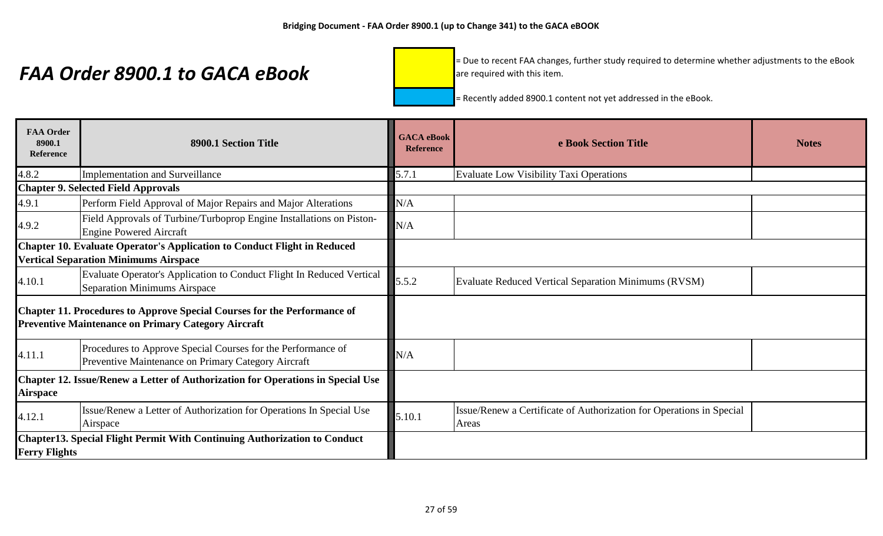= Due to recent FAA changes, further study required to determine whether adjustments to the eBook are required with this item.

| <b>FAA Order</b><br>8900.1<br><b>Reference</b> | 8900.1 Section Title                                                                                                                   | <b>GACA</b> eBook<br><b>Reference</b> | e Book Section Title                                                          | <b>Notes</b> |
|------------------------------------------------|----------------------------------------------------------------------------------------------------------------------------------------|---------------------------------------|-------------------------------------------------------------------------------|--------------|
| 4.8.2                                          | <b>Implementation and Surveillance</b>                                                                                                 | 5.7.1                                 | Evaluate Low Visibility Taxi Operations                                       |              |
|                                                | <b>Chapter 9. Selected Field Approvals</b>                                                                                             |                                       |                                                                               |              |
| 4.9.1                                          | Perform Field Approval of Major Repairs and Major Alterations                                                                          | N/A                                   |                                                                               |              |
| 4.9.2                                          | Field Approvals of Turbine/Turboprop Engine Installations on Piston-<br><b>Engine Powered Aircraft</b>                                 | N/A                                   |                                                                               |              |
|                                                | Chapter 10. Evaluate Operator's Application to Conduct Flight in Reduced<br><b>Vertical Separation Minimums Airspace</b>               |                                       |                                                                               |              |
| 4.10.1                                         | Evaluate Operator's Application to Conduct Flight In Reduced Vertical<br><b>Separation Minimums Airspace</b>                           | 5.5.2                                 | Evaluate Reduced Vertical Separation Minimums (RVSM)                          |              |
|                                                | Chapter 11. Procedures to Approve Special Courses for the Performance of<br><b>Preventive Maintenance on Primary Category Aircraft</b> |                                       |                                                                               |              |
| 4.11.1                                         | Procedures to Approve Special Courses for the Performance of<br>Preventive Maintenance on Primary Category Aircraft                    | N/A                                   |                                                                               |              |
| <b>Airspace</b>                                | Chapter 12. Issue/Renew a Letter of Authorization for Operations in Special Use                                                        |                                       |                                                                               |              |
| 4.12.1                                         | Issue/Renew a Letter of Authorization for Operations In Special Use<br>Airspace                                                        | 5.10.1                                | Issue/Renew a Certificate of Authorization for Operations in Special<br>Areas |              |
| <b>Ferry Flights</b>                           | <b>Chapter13. Special Flight Permit With Continuing Authorization to Conduct</b>                                                       |                                       |                                                                               |              |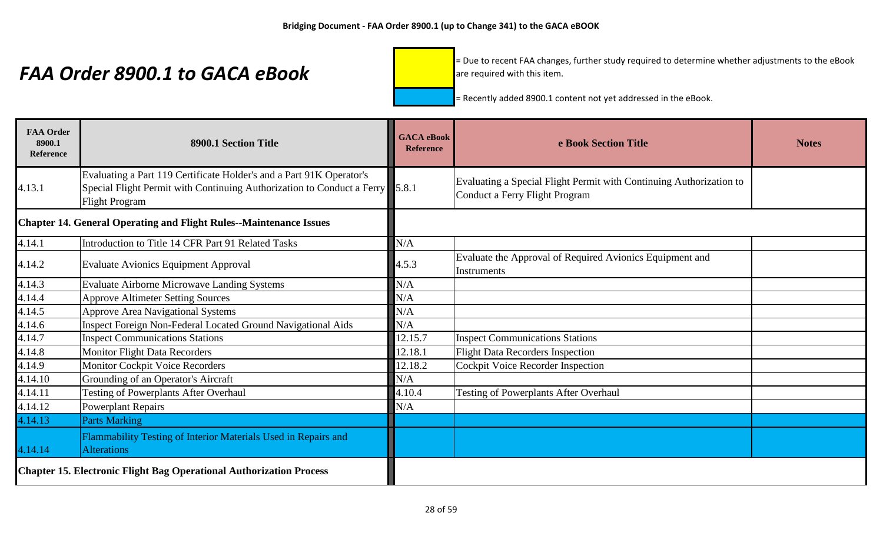= Due to recent FAA changes, further study required to determine whether adjustments to the eBook are required with this item.

| <b>FAA Order</b><br>8900.1<br><b>Reference</b>                             | 8900.1 Section Title                                                                                                                                                          | <b>GACA</b> eBook<br><b>Reference</b> | e Book Section Title                                                                                  | <b>Notes</b> |
|----------------------------------------------------------------------------|-------------------------------------------------------------------------------------------------------------------------------------------------------------------------------|---------------------------------------|-------------------------------------------------------------------------------------------------------|--------------|
| 4.13.1                                                                     | Evaluating a Part 119 Certificate Holder's and a Part 91K Operator's<br>Special Flight Permit with Continuing Authorization to Conduct a Ferry 5.8.1<br><b>Flight Program</b> |                                       | Evaluating a Special Flight Permit with Continuing Authorization to<br>Conduct a Ferry Flight Program |              |
| <b>Chapter 14. General Operating and Flight Rules--Maintenance Issues</b>  |                                                                                                                                                                               |                                       |                                                                                                       |              |
| 4.14.1                                                                     | Introduction to Title 14 CFR Part 91 Related Tasks                                                                                                                            | N/A                                   |                                                                                                       |              |
| 4.14.2                                                                     | <b>Evaluate Avionics Equipment Approval</b>                                                                                                                                   | 4.5.3                                 | Evaluate the Approval of Required Avionics Equipment and<br>Instruments                               |              |
| 4.14.3                                                                     | <b>Evaluate Airborne Microwave Landing Systems</b>                                                                                                                            | N/A                                   |                                                                                                       |              |
| 4.14.4                                                                     | <b>Approve Altimeter Setting Sources</b>                                                                                                                                      | N/A                                   |                                                                                                       |              |
| 4.14.5                                                                     | <b>Approve Area Navigational Systems</b>                                                                                                                                      | N/A                                   |                                                                                                       |              |
| 4.14.6                                                                     | Inspect Foreign Non-Federal Located Ground Navigational Aids                                                                                                                  | N/A                                   |                                                                                                       |              |
| 4.14.7                                                                     | <b>Inspect Communications Stations</b>                                                                                                                                        | 12.15.7                               | <b>Inspect Communications Stations</b>                                                                |              |
| 4.14.8                                                                     | <b>Monitor Flight Data Recorders</b>                                                                                                                                          | 12.18.1                               | <b>Flight Data Recorders Inspection</b>                                                               |              |
| 4.14.9                                                                     | <b>Monitor Cockpit Voice Recorders</b>                                                                                                                                        | 12.18.2                               | <b>Cockpit Voice Recorder Inspection</b>                                                              |              |
| 4.14.10                                                                    | Grounding of an Operator's Aircraft                                                                                                                                           | N/A                                   |                                                                                                       |              |
| 4.14.11                                                                    | <b>Testing of Powerplants After Overhaul</b>                                                                                                                                  | 4.10.4                                | <b>Testing of Powerplants After Overhaul</b>                                                          |              |
| 4.14.12                                                                    | <b>Powerplant Repairs</b>                                                                                                                                                     | N/A                                   |                                                                                                       |              |
| 4.14.13                                                                    | <b>Parts Marking</b>                                                                                                                                                          |                                       |                                                                                                       |              |
| 4.14.14                                                                    | Flammability Testing of Interior Materials Used in Repairs and<br><b>Alterations</b>                                                                                          |                                       |                                                                                                       |              |
| <b>Chapter 15. Electronic Flight Bag Operational Authorization Process</b> |                                                                                                                                                                               |                                       |                                                                                                       |              |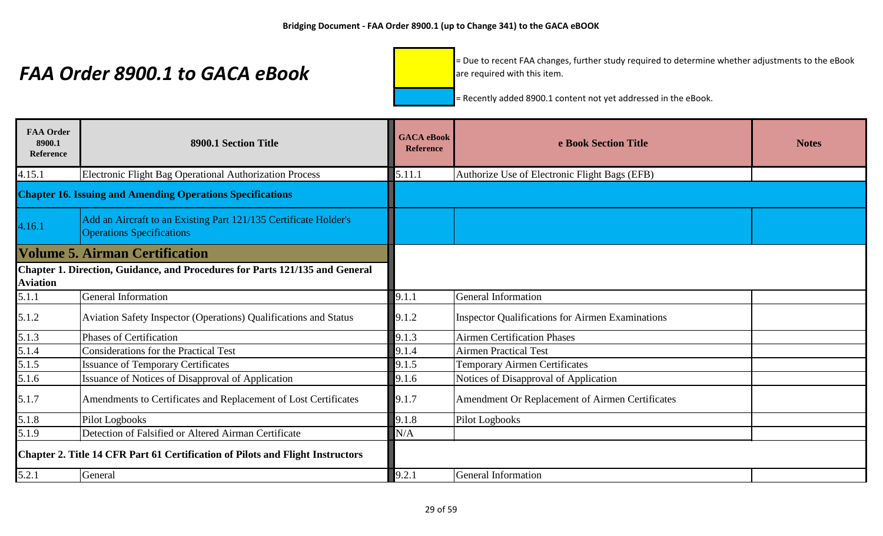= Due to recent FAA changes, further study required to determine whether adjustments to the eBook are required with this item.

| <b>FAA Order</b><br>8900.1<br>Reference | 8900.1 Section Title                                                                                 | <b>GACA</b> eBook<br><b>Reference</b> | e Book Section Title                                    | <b>Notes</b> |
|-----------------------------------------|------------------------------------------------------------------------------------------------------|---------------------------------------|---------------------------------------------------------|--------------|
| 4.15.1                                  | <b>Electronic Flight Bag Operational Authorization Process</b>                                       | 5.11.1                                | Authorize Use of Electronic Flight Bags (EFB)           |              |
|                                         | <b>Chapter 16. Issuing and Amending Operations Specifications</b>                                    |                                       |                                                         |              |
| 4.16.1                                  | Add an Aircraft to an Existing Part 121/135 Certificate Holder's<br><b>Operations Specifications</b> |                                       |                                                         |              |
|                                         | <b>Volume 5. Airman Certification</b>                                                                |                                       |                                                         |              |
| <b>Aviation</b>                         | Chapter 1. Direction, Guidance, and Procedures for Parts 121/135 and General                         |                                       |                                                         |              |
| 5.1.1                                   | <b>General Information</b>                                                                           | 9.1.1                                 | General Information                                     |              |
| 5.1.2                                   | Aviation Safety Inspector (Operations) Qualifications and Status                                     | 9.1.2                                 | <b>Inspector Qualifications for Airmen Examinations</b> |              |
| 5.1.3                                   | Phases of Certification                                                                              | 9.1.3                                 | <b>Airmen Certification Phases</b>                      |              |
| 5.1.4                                   | <b>Considerations for the Practical Test</b>                                                         | 9.1.4                                 | <b>Airmen Practical Test</b>                            |              |
| 5.1.5                                   | <b>Issuance of Temporary Certificates</b>                                                            | 9.1.5                                 | <b>Temporary Airmen Certificates</b>                    |              |
| 5.1.6                                   | Issuance of Notices of Disapproval of Application                                                    | 9.1.6                                 | Notices of Disapproval of Application                   |              |
| 5.1.7                                   | Amendments to Certificates and Replacement of Lost Certificates                                      | 9.1.7                                 | Amendment Or Replacement of Airmen Certificates         |              |
| 5.1.8                                   | Pilot Logbooks                                                                                       | 9.1.8                                 | Pilot Logbooks                                          |              |
| 5.1.9                                   | Detection of Falsified or Altered Airman Certificate                                                 | N/A                                   |                                                         |              |
|                                         | <b>Chapter 2. Title 14 CFR Part 61 Certification of Pilots and Flight Instructors</b>                |                                       |                                                         |              |
| 5.2.1                                   | General                                                                                              | 9.2.1                                 | General Information                                     |              |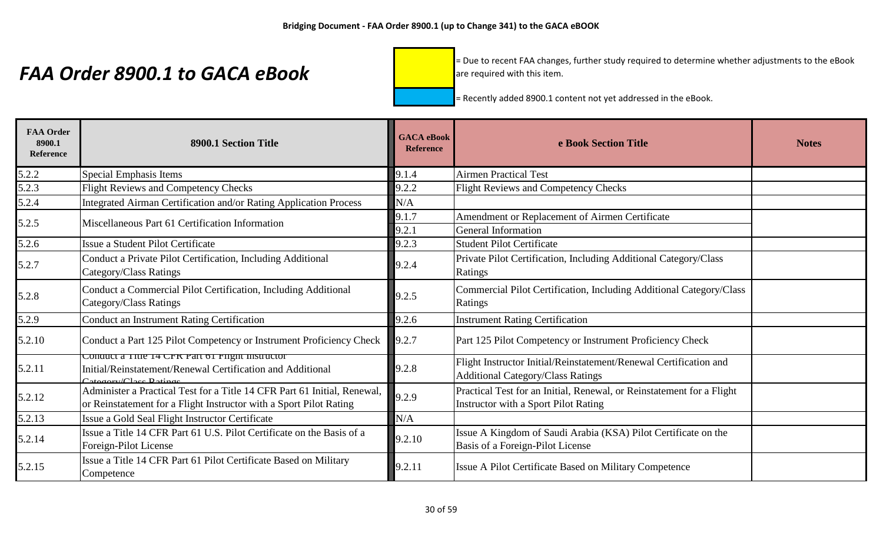= Due to recent FAA changes, further study required to determine whether adjustments to the eBook are required with this item.

| <b>FAA Order</b><br>8900.1<br>Reference | 8900.1 Section Title                                                                                                                                                                      | <b>GACA</b> eBook<br><b>Reference</b> | e Book Section Title                                                                                          | <b>Notes</b> |
|-----------------------------------------|-------------------------------------------------------------------------------------------------------------------------------------------------------------------------------------------|---------------------------------------|---------------------------------------------------------------------------------------------------------------|--------------|
| 5.2.2                                   | Special Emphasis Items                                                                                                                                                                    | 9.1.4                                 | <b>Airmen Practical Test</b>                                                                                  |              |
| 5.2.3                                   | <b>Flight Reviews and Competency Checks</b>                                                                                                                                               | 9.2.2                                 | Flight Reviews and Competency Checks                                                                          |              |
| 5.2.4                                   | Integrated Airman Certification and/or Rating Application Process                                                                                                                         | N/A                                   |                                                                                                               |              |
| 5.2.5                                   | Miscellaneous Part 61 Certification Information                                                                                                                                           | 9.1.7                                 | Amendment or Replacement of Airmen Certificate                                                                |              |
|                                         |                                                                                                                                                                                           | 9.2.1                                 | <b>General Information</b>                                                                                    |              |
| 5.2.6                                   | Issue a Student Pilot Certificate                                                                                                                                                         | 9.2.3                                 | <b>Student Pilot Certificate</b>                                                                              |              |
| 5.2.7                                   | Conduct a Private Pilot Certification, Including Additional<br>Category/Class Ratings                                                                                                     | 9.2.4                                 | Private Pilot Certification, Including Additional Category/Class<br>Ratings                                   |              |
| 5.2.8                                   | Conduct a Commercial Pilot Certification, Including Additional<br>Category/Class Ratings                                                                                                  | 9.2.5                                 | Commercial Pilot Certification, Including Additional Category/Class<br>Ratings                                |              |
| 5.2.9                                   | <b>Conduct an Instrument Rating Certification</b>                                                                                                                                         | 9.2.6                                 | <b>Instrument Rating Certification</b>                                                                        |              |
| 5.2.10                                  | Conduct a Part 125 Pilot Competency or Instrument Proficiency Check                                                                                                                       | 9.2.7                                 | Part 125 Pilot Competency or Instrument Proficiency Check                                                     |              |
| 5.2.11                                  | Conquet a Thie 14 CFR Part of Fiight instructor<br>Initial/Reinstatement/Renewal Certification and Additional<br>$C_{\alpha\alpha\alpha\alpha\gamma\gamma}/C_{\alpha\alpha\alpha}$ Dating | 9.2.8                                 | Flight Instructor Initial/Reinstatement/Renewal Certification and<br><b>Additional Category/Class Ratings</b> |              |
| 5.2.12                                  | Administer a Practical Test for a Title 14 CFR Part 61 Initial, Renewal,<br>or Reinstatement for a Flight Instructor with a Sport Pilot Rating                                            | 9.2.9                                 | Practical Test for an Initial, Renewal, or Reinstatement for a Flight<br>Instructor with a Sport Pilot Rating |              |
| 5.2.13                                  | Issue a Gold Seal Flight Instructor Certificate                                                                                                                                           | N/A                                   |                                                                                                               |              |
| 5.2.14                                  | Issue a Title 14 CFR Part 61 U.S. Pilot Certificate on the Basis of a<br>Foreign-Pilot License                                                                                            | 9.2.10                                | Issue A Kingdom of Saudi Arabia (KSA) Pilot Certificate on the<br>Basis of a Foreign-Pilot License            |              |
| 5.2.15                                  | Issue a Title 14 CFR Part 61 Pilot Certificate Based on Military<br>Competence                                                                                                            | 9.2.11                                | <b>Issue A Pilot Certificate Based on Military Competence</b>                                                 |              |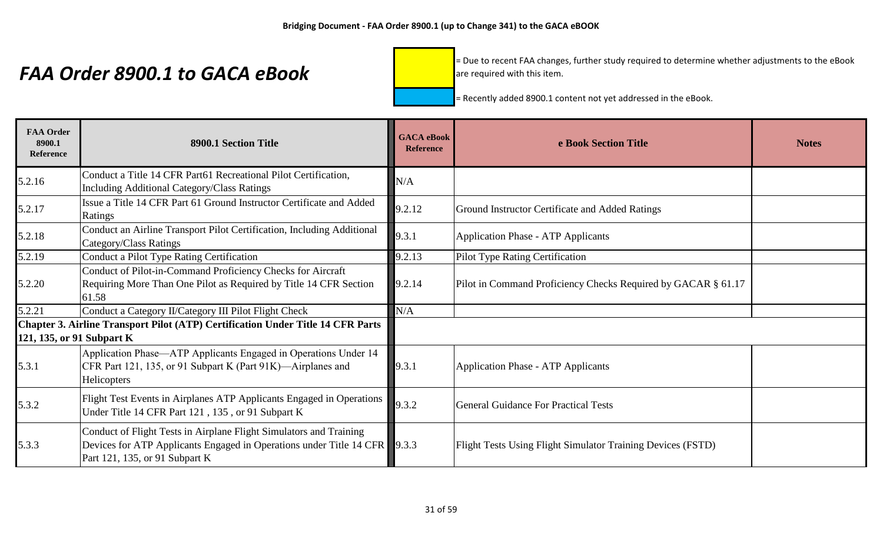= Due to recent FAA changes, further study required to determine whether adjustments to the eBook are required with this item.

| <b>FAA Order</b><br>8900.1<br>Reference | 8900.1 Section Title                                                                                                                                                              | <b>GACA</b> eBook<br><b>Reference</b> | e Book Section Title                                          | <b>Notes</b> |
|-----------------------------------------|-----------------------------------------------------------------------------------------------------------------------------------------------------------------------------------|---------------------------------------|---------------------------------------------------------------|--------------|
| 5.2.16                                  | Conduct a Title 14 CFR Part61 Recreational Pilot Certification,<br><b>Including Additional Category/Class Ratings</b>                                                             | N/A                                   |                                                               |              |
| 5.2.17                                  | Issue a Title 14 CFR Part 61 Ground Instructor Certificate and Added<br>Ratings                                                                                                   | 9.2.12                                | <b>Ground Instructor Certificate and Added Ratings</b>        |              |
| 5.2.18                                  | Conduct an Airline Transport Pilot Certification, Including Additional<br>Category/Class Ratings                                                                                  | 9.3.1                                 | <b>Application Phase - ATP Applicants</b>                     |              |
| 5.2.19                                  | Conduct a Pilot Type Rating Certification                                                                                                                                         | 9.2.13                                | Pilot Type Rating Certification                               |              |
| 5.2.20                                  | Conduct of Pilot-in-Command Proficiency Checks for Aircraft<br>Requiring More Than One Pilot as Required by Title 14 CFR Section<br>61.58                                         | 9.2.14                                | Pilot in Command Proficiency Checks Required by GACAR § 61.17 |              |
| 5.2.21                                  | Conduct a Category II/Category III Pilot Flight Check                                                                                                                             | N/A                                   |                                                               |              |
| 121, 135, or 91 Subpart K               | Chapter 3. Airline Transport Pilot (ATP) Certification Under Title 14 CFR Parts                                                                                                   |                                       |                                                               |              |
| 5.3.1                                   | Application Phase—ATP Applicants Engaged in Operations Under 14<br>CFR Part 121, 135, or 91 Subpart K (Part 91K)—Airplanes and<br>Helicopters                                     | 9.3.1                                 | <b>Application Phase - ATP Applicants</b>                     |              |
| 5.3.2                                   | Flight Test Events in Airplanes ATP Applicants Engaged in Operations<br>Under Title 14 CFR Part 121, 135, or 91 Subpart K                                                         | 9.3.2                                 | <b>General Guidance For Practical Tests</b>                   |              |
| 5.3.3                                   | Conduct of Flight Tests in Airplane Flight Simulators and Training<br>Devices for ATP Applicants Engaged in Operations under Title 14 CFR 9.3.3<br>Part 121, 135, or 91 Subpart K |                                       | Flight Tests Using Flight Simulator Training Devices (FSTD)   |              |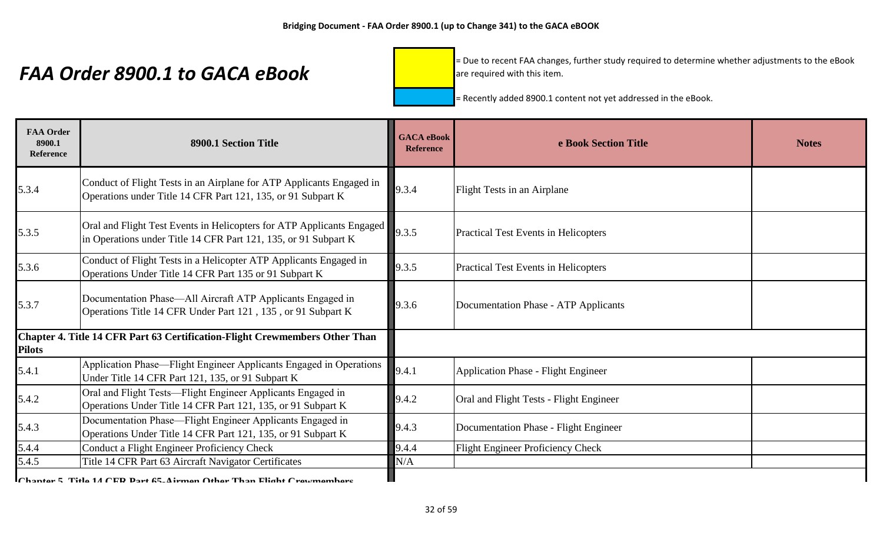= Due to recent FAA changes, further study required to determine whether adjustments to the eBook are required with this item.

= Recently added 8900.1 content not yet addressed in the eBook.

| <b>FAA Order</b><br>8900.1<br><b>Reference</b> | 8900.1 Section Title                                                                                                                     | <b>GACA</b> eBook<br><b>Reference</b> | e Book Section Title                        | <b>Notes</b> |
|------------------------------------------------|------------------------------------------------------------------------------------------------------------------------------------------|---------------------------------------|---------------------------------------------|--------------|
| 5.3.4                                          | Conduct of Flight Tests in an Airplane for ATP Applicants Engaged in<br>Operations under Title 14 CFR Part 121, 135, or 91 Subpart K     | 9.3.4                                 | <b>Flight Tests in an Airplane</b>          |              |
| 5.3.5                                          | Oral and Flight Test Events in Helicopters for ATP Applicants Engaged<br>in Operations under Title 14 CFR Part 121, 135, or 91 Subpart K | 9.3.5                                 | <b>Practical Test Events in Helicopters</b> |              |
| 5.3.6                                          | Conduct of Flight Tests in a Helicopter ATP Applicants Engaged in<br>Operations Under Title 14 CFR Part 135 or 91 Subpart K              | 9.3.5                                 | <b>Practical Test Events in Helicopters</b> |              |
| 5.3.7                                          | Documentation Phase—All Aircraft ATP Applicants Engaged in<br>Operations Title 14 CFR Under Part 121, 135, or 91 Subpart K               | 9.3.6                                 | Documentation Phase - ATP Applicants        |              |
| <b>Pilots</b>                                  | Chapter 4. Title 14 CFR Part 63 Certification-Flight Crewmembers Other Than                                                              |                                       |                                             |              |
| 5.4.1                                          | Application Phase—Flight Engineer Applicants Engaged in Operations<br>Under Title 14 CFR Part 121, 135, or 91 Subpart K                  | 9.4.1                                 | Application Phase - Flight Engineer         |              |
| 5.4.2                                          | Oral and Flight Tests—Flight Engineer Applicants Engaged in<br>Operations Under Title 14 CFR Part 121, 135, or 91 Subpart K              | 9.4.2                                 | Oral and Flight Tests - Flight Engineer     |              |
| 5.4.3                                          | Documentation Phase—Flight Engineer Applicants Engaged in<br>Operations Under Title 14 CFR Part 121, 135, or 91 Subpart K                | 9.4.3                                 | Documentation Phase - Flight Engineer       |              |
| 5.4.4                                          | Conduct a Flight Engineer Proficiency Check                                                                                              | 9.4.4                                 | <b>Flight Engineer Proficiency Check</b>    |              |
| 5.4.5                                          | Title 14 CFR Part 63 Aircraft Navigator Certificates                                                                                     | N/A                                   |                                             |              |
|                                                | Chapter 5 Title 14 CED Part 65. Airmon Other Than Flight Crewmembers                                                                     |                                       |                                             |              |

**Chapter 5. Title 14 CFD Dart 65-Airmen Other Than Flight Crewmembers**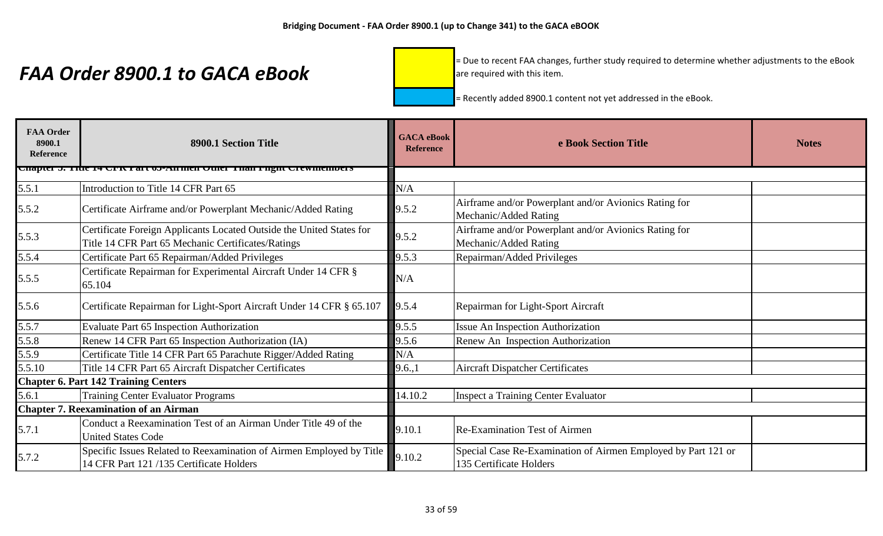= Due to recent FAA changes, further study required to determine whether adjustments to the eBook are required with this item.

| <b>FAA Order</b><br>8900.1<br>Reference | 8900.1 Section Title                                                                                                       | <b>GACA</b> eBook<br><b>Reference</b> | e Book Section Title                                                                     | <b>Notes</b> |
|-----------------------------------------|----------------------------------------------------------------------------------------------------------------------------|---------------------------------------|------------------------------------------------------------------------------------------|--------------|
|                                         | <u>Unapiel 5. Thie 14 UPA I alt 05-Anthen Quiel Than Fight Clewinembers</u>                                                |                                       |                                                                                          |              |
| 5.5.1                                   | Introduction to Title 14 CFR Part 65                                                                                       | N/A                                   |                                                                                          |              |
| 5.5.2                                   | Certificate Airframe and/or Powerplant Mechanic/Added Rating                                                               | 9.5.2                                 | Airframe and/or Powerplant and/or Avionics Rating for<br>Mechanic/Added Rating           |              |
| 5.5.3                                   | Certificate Foreign Applicants Located Outside the United States for<br>Title 14 CFR Part 65 Mechanic Certificates/Ratings | 9.5.2                                 | Airframe and/or Powerplant and/or Avionics Rating for<br>Mechanic/Added Rating           |              |
| 5.5.4                                   | Certificate Part 65 Repairman/Added Privileges                                                                             | 9.5.3                                 | Repairman/Added Privileges                                                               |              |
| 5.5.5                                   | Certificate Repairman for Experimental Aircraft Under 14 CFR §<br>65.104                                                   | N/A                                   |                                                                                          |              |
| 5.5.6                                   | Certificate Repairman for Light-Sport Aircraft Under 14 CFR § 65.107                                                       | 9.5.4                                 | Repairman for Light-Sport Aircraft                                                       |              |
| 5.5.7                                   | Evaluate Part 65 Inspection Authorization                                                                                  | 9.5.5                                 | <b>Issue An Inspection Authorization</b>                                                 |              |
| 5.5.8                                   | Renew 14 CFR Part 65 Inspection Authorization (IA)                                                                         | 9.5.6                                 | Renew An Inspection Authorization                                                        |              |
| 5.5.9                                   | Certificate Title 14 CFR Part 65 Parachute Rigger/Added Rating                                                             | N/A                                   |                                                                                          |              |
| 5.5.10                                  | Title 14 CFR Part 65 Aircraft Dispatcher Certificates                                                                      | 9.6,1                                 | <b>Aircraft Dispatcher Certificates</b>                                                  |              |
|                                         | <b>Chapter 6. Part 142 Training Centers</b>                                                                                |                                       |                                                                                          |              |
| 5.6.1                                   | <b>Training Center Evaluator Programs</b>                                                                                  | 14.10.2                               | <b>Inspect a Training Center Evaluator</b>                                               |              |
|                                         | <b>Chapter 7. Reexamination of an Airman</b>                                                                               |                                       |                                                                                          |              |
| 5.7.1                                   | Conduct a Reexamination Test of an Airman Under Title 49 of the<br><b>United States Code</b>                               | 9.10.1                                | <b>Re-Examination Test of Airmen</b>                                                     |              |
| 5.7.2                                   | Specific Issues Related to Reexamination of Airmen Employed by Title<br>14 CFR Part 121/135 Certificate Holders            | 9.10.2                                | Special Case Re-Examination of Airmen Employed by Part 121 or<br>135 Certificate Holders |              |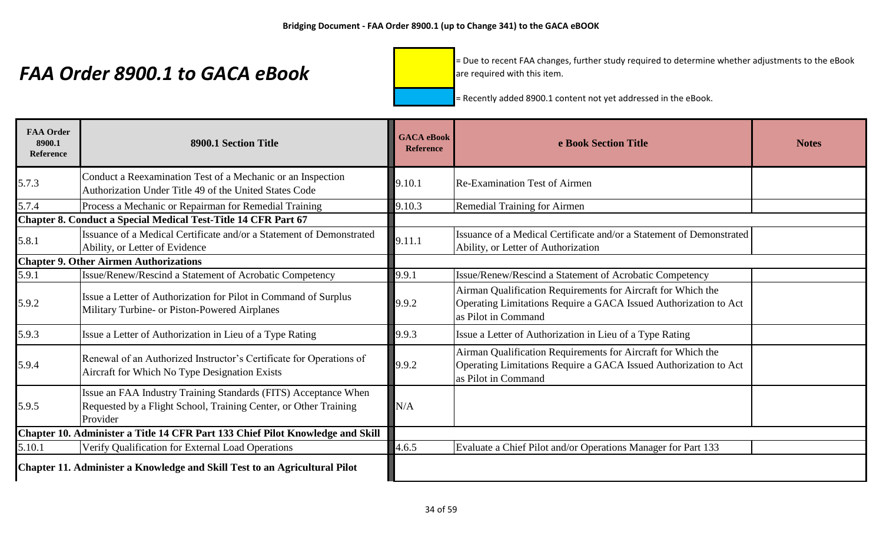= Due to recent FAA changes, further study required to determine whether adjustments to the eBook are required with this item.

| <b>FAA Order</b><br>8900.1<br><b>Reference</b>                                 | 8900.1 Section Title                                                                                                                            | <b>GACA</b> eBook<br><b>Reference</b> | e Book Section Title                                                                                                                                    | <b>Notes</b> |
|--------------------------------------------------------------------------------|-------------------------------------------------------------------------------------------------------------------------------------------------|---------------------------------------|---------------------------------------------------------------------------------------------------------------------------------------------------------|--------------|
| 5.7.3                                                                          | Conduct a Reexamination Test of a Mechanic or an Inspection<br>Authorization Under Title 49 of the United States Code                           | 9.10.1                                | <b>Re-Examination Test of Airmen</b>                                                                                                                    |              |
| 5.7.4                                                                          | Process a Mechanic or Repairman for Remedial Training                                                                                           | 9.10.3                                | Remedial Training for Airmen                                                                                                                            |              |
|                                                                                | Chapter 8. Conduct a Special Medical Test-Title 14 CFR Part 67                                                                                  |                                       |                                                                                                                                                         |              |
| 5.8.1                                                                          | Issuance of a Medical Certificate and/or a Statement of Demonstrated<br>Ability, or Letter of Evidence                                          | 9.11.1                                | Issuance of a Medical Certificate and/or a Statement of Demonstrated<br>Ability, or Letter of Authorization                                             |              |
|                                                                                | <b>Chapter 9. Other Airmen Authorizations</b>                                                                                                   |                                       |                                                                                                                                                         |              |
| 5.9.1                                                                          | Issue/Renew/Rescind a Statement of Acrobatic Competency                                                                                         | 9.9.1                                 | Issue/Renew/Rescind a Statement of Acrobatic Competency                                                                                                 |              |
| 5.9.2                                                                          | Issue a Letter of Authorization for Pilot in Command of Surplus<br>Military Turbine- or Piston-Powered Airplanes                                | 9.9.2                                 | Airman Qualification Requirements for Aircraft for Which the<br>Operating Limitations Require a GACA Issued Authorization to Act<br>as Pilot in Command |              |
| 5.9.3                                                                          | Issue a Letter of Authorization in Lieu of a Type Rating                                                                                        | 9.9.3                                 | Issue a Letter of Authorization in Lieu of a Type Rating                                                                                                |              |
| 5.9.4                                                                          | Renewal of an Authorized Instructor's Certificate for Operations of<br>Aircraft for Which No Type Designation Exists                            | 9.9.2                                 | Airman Qualification Requirements for Aircraft for Which the<br>Operating Limitations Require a GACA Issued Authorization to Act<br>as Pilot in Command |              |
| 5.9.5                                                                          | Issue an FAA Industry Training Standards (FITS) Acceptance When<br>Requested by a Flight School, Training Center, or Other Training<br>Provider | N/A                                   |                                                                                                                                                         |              |
| Chapter 10. Administer a Title 14 CFR Part 133 Chief Pilot Knowledge and Skill |                                                                                                                                                 |                                       |                                                                                                                                                         |              |
| 5.10.1                                                                         | Verify Qualification for External Load Operations                                                                                               | 4.6.5                                 | Evaluate a Chief Pilot and/or Operations Manager for Part 133                                                                                           |              |
|                                                                                | Chapter 11. Administer a Knowledge and Skill Test to an Agricultural Pilot                                                                      |                                       |                                                                                                                                                         |              |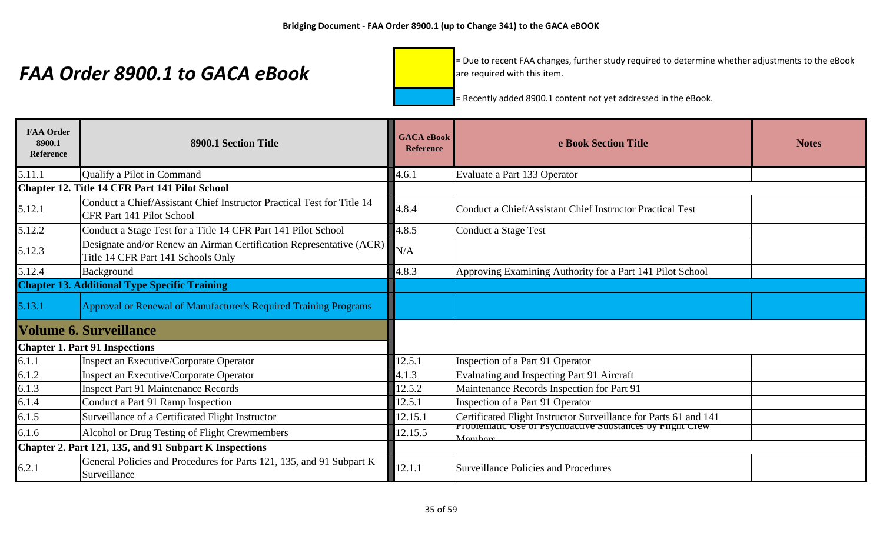= Due to recent FAA changes, further study required to determine whether adjustments to the eBook are required with this item.

| <b>FAA Order</b><br>8900.1<br>Reference                | 8900.1 Section Title                                                                                      | <b>GACA</b> eBook<br><b>Reference</b> | e Book Section Title                                                 | <b>Notes</b> |
|--------------------------------------------------------|-----------------------------------------------------------------------------------------------------------|---------------------------------------|----------------------------------------------------------------------|--------------|
| 5.11.1                                                 | Qualify a Pilot in Command                                                                                | 4.6.1                                 | Evaluate a Part 133 Operator                                         |              |
|                                                        | Chapter 12. Title 14 CFR Part 141 Pilot School                                                            |                                       |                                                                      |              |
| 5.12.1                                                 | Conduct a Chief/Assistant Chief Instructor Practical Test for Title 14<br>CFR Part 141 Pilot School       | 4.8.4                                 | Conduct a Chief/Assistant Chief Instructor Practical Test            |              |
| 5.12.2                                                 | Conduct a Stage Test for a Title 14 CFR Part 141 Pilot School                                             | 4.8.5                                 | Conduct a Stage Test                                                 |              |
| 5.12.3                                                 | Designate and/or Renew an Airman Certification Representative (ACR)<br>Title 14 CFR Part 141 Schools Only | N/A                                   |                                                                      |              |
| 5.12.4                                                 | Background                                                                                                | 4.8.3                                 | Approving Examining Authority for a Part 141 Pilot School            |              |
|                                                        | <b>Chapter 13. Additional Type Specific Training</b>                                                      |                                       |                                                                      |              |
| 5.13.1                                                 | Approval or Renewal of Manufacturer's Required Training Programs                                          |                                       |                                                                      |              |
|                                                        | <b>Volume 6. Surveillance</b>                                                                             |                                       |                                                                      |              |
|                                                        | <b>Chapter 1. Part 91 Inspections</b>                                                                     |                                       |                                                                      |              |
| 6.1.1                                                  | Inspect an Executive/Corporate Operator                                                                   | 12.5.1                                | Inspection of a Part 91 Operator                                     |              |
| 6.1.2                                                  | Inspect an Executive/Corporate Operator                                                                   | 4.1.3                                 | Evaluating and Inspecting Part 91 Aircraft                           |              |
| 6.1.3                                                  | <b>Inspect Part 91 Maintenance Records</b>                                                                | 12.5.2                                | Maintenance Records Inspection for Part 91                           |              |
| 6.1.4                                                  | Conduct a Part 91 Ramp Inspection                                                                         | 12.5.1                                | Inspection of a Part 91 Operator                                     |              |
| 6.1.5                                                  | Surveillance of a Certificated Flight Instructor                                                          | 12.15.1                               | Certificated Flight Instructor Surveillance for Parts 61 and 141     |              |
| 6.1.6                                                  | Alcohol or Drug Testing of Flight Crewmembers                                                             | 12.15.5                               | Problematic Use of Psychoactive Substances by Flight Crew<br>Mombore |              |
| Chapter 2. Part 121, 135, and 91 Subpart K Inspections |                                                                                                           |                                       |                                                                      |              |
| 6.2.1                                                  | General Policies and Procedures for Parts 121, 135, and 91 Subpart K<br>Surveillance                      | 12.1.1                                | Surveillance Policies and Procedures                                 |              |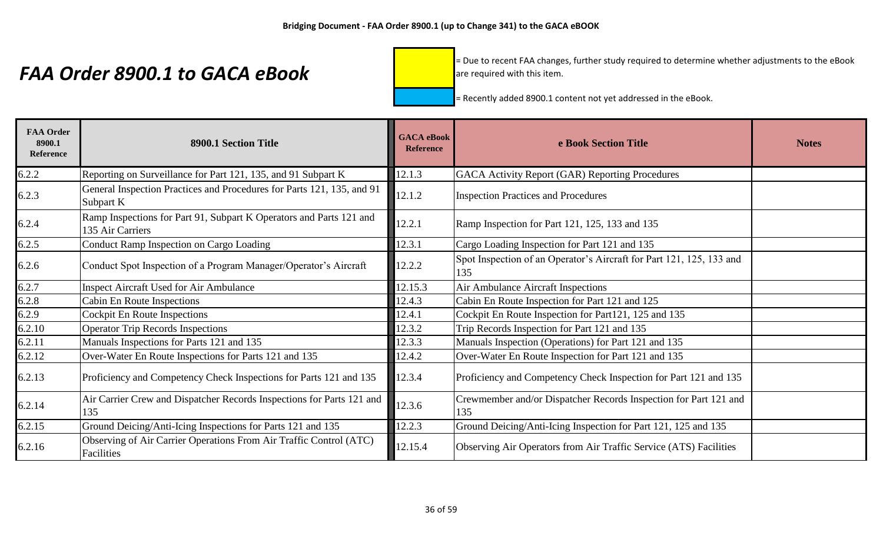= Due to recent FAA changes, further study required to determine whether adjustments to the eBook are required with this item.

| <b>FAA Order</b><br>8900.1<br>Reference | 8900.1 Section Title                                                                    | <b>GACA</b> eBook<br><b>Reference</b> | e Book Section Title                                                        | <b>Notes</b> |
|-----------------------------------------|-----------------------------------------------------------------------------------------|---------------------------------------|-----------------------------------------------------------------------------|--------------|
| 6.2.2                                   | Reporting on Surveillance for Part 121, 135, and 91 Subpart K                           | 12.1.3                                | GACA Activity Report (GAR) Reporting Procedures                             |              |
| 6.2.3                                   | General Inspection Practices and Procedures for Parts 121, 135, and 91<br>Subpart K     | 12.1.2                                | <b>Inspection Practices and Procedures</b>                                  |              |
| 6.2.4                                   | Ramp Inspections for Part 91, Subpart K Operators and Parts 121 and<br>135 Air Carriers | 12.2.1                                | Ramp Inspection for Part 121, 125, 133 and 135                              |              |
| 6.2.5                                   | Conduct Ramp Inspection on Cargo Loading                                                | 12.3.1                                | Cargo Loading Inspection for Part 121 and 135                               |              |
| 6.2.6                                   | Conduct Spot Inspection of a Program Manager/Operator's Aircraft                        | 12.2.2                                | Spot Inspection of an Operator's Aircraft for Part 121, 125, 133 and<br>135 |              |
| 6.2.7                                   | <b>Inspect Aircraft Used for Air Ambulance</b>                                          | 12.15.3                               | Air Ambulance Aircraft Inspections                                          |              |
| 6.2.8                                   | Cabin En Route Inspections                                                              | 12.4.3                                | Cabin En Route Inspection for Part 121 and 125                              |              |
| 6.2.9                                   | <b>Cockpit En Route Inspections</b>                                                     | 12.4.1                                | Cockpit En Route Inspection for Part121, 125 and 135                        |              |
| 6.2.10                                  | <b>Operator Trip Records Inspections</b>                                                | 12.3.2                                | Trip Records Inspection for Part 121 and 135                                |              |
| 6.2.11                                  | Manuals Inspections for Parts 121 and 135                                               | 12.3.3                                | Manuals Inspection (Operations) for Part 121 and 135                        |              |
| 6.2.12                                  | Over-Water En Route Inspections for Parts 121 and 135                                   | 12.4.2                                | Over-Water En Route Inspection for Part 121 and 135                         |              |
| 6.2.13                                  | Proficiency and Competency Check Inspections for Parts 121 and 135                      | 12.3.4                                | Proficiency and Competency Check Inspection for Part 121 and 135            |              |
| 6.2.14                                  | Air Carrier Crew and Dispatcher Records Inspections for Parts 121 and<br>135            | 12.3.6                                | Crewmember and/or Dispatcher Records Inspection for Part 121 and<br>135     |              |
| 6.2.15                                  | Ground Deicing/Anti-Icing Inspections for Parts 121 and 135                             | 12.2.3                                | Ground Deicing/Anti-Icing Inspection for Part 121, 125 and 135              |              |
| 6.2.16                                  | Observing of Air Carrier Operations From Air Traffic Control (ATC)<br>Facilities        | 12.15.4                               | Observing Air Operators from Air Traffic Service (ATS) Facilities           |              |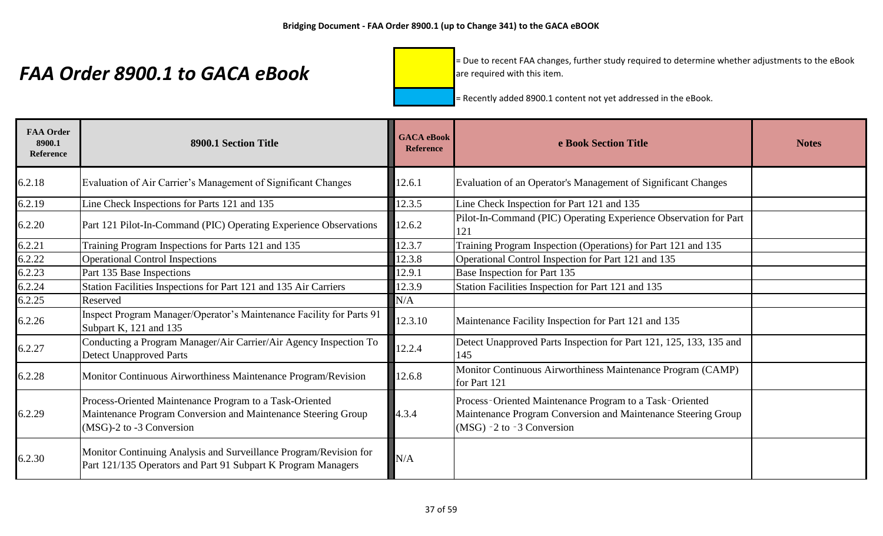= Due to recent FAA changes, further study required to determine whether adjustments to the eBook are required with this item.

| <b>FAA Order</b><br>8900.1<br><b>Reference</b> | 8900.1 Section Title                                                                                                                                 | <b>GACA</b> eBook<br><b>Reference</b> | e Book Section Title                                                                                                                                    | <b>Notes</b> |
|------------------------------------------------|------------------------------------------------------------------------------------------------------------------------------------------------------|---------------------------------------|---------------------------------------------------------------------------------------------------------------------------------------------------------|--------------|
| 6.2.18                                         | Evaluation of Air Carrier's Management of Significant Changes                                                                                        | 12.6.1                                | Evaluation of an Operator's Management of Significant Changes                                                                                           |              |
| 6.2.19                                         | Line Check Inspections for Parts 121 and 135                                                                                                         | 12.3.5                                | Line Check Inspection for Part 121 and 135                                                                                                              |              |
| 6.2.20                                         | Part 121 Pilot-In-Command (PIC) Operating Experience Observations                                                                                    | 12.6.2                                | Pilot-In-Command (PIC) Operating Experience Observation for Part<br>121                                                                                 |              |
| 6.2.21                                         | Training Program Inspections for Parts 121 and 135                                                                                                   | 12.3.7                                | Training Program Inspection (Operations) for Part 121 and 135                                                                                           |              |
| 6.2.22                                         | <b>Operational Control Inspections</b>                                                                                                               | 12.3.8                                | Operational Control Inspection for Part 121 and 135                                                                                                     |              |
| 6.2.23                                         | Part 135 Base Inspections                                                                                                                            | 12.9.1                                | Base Inspection for Part 135                                                                                                                            |              |
| 6.2.24                                         | Station Facilities Inspections for Part 121 and 135 Air Carriers                                                                                     | 12.3.9                                | Station Facilities Inspection for Part 121 and 135                                                                                                      |              |
| 6.2.25                                         | Reserved                                                                                                                                             | N/A                                   |                                                                                                                                                         |              |
| 6.2.26                                         | Inspect Program Manager/Operator's Maintenance Facility for Parts 91<br>Subpart K, 121 and 135                                                       | 12.3.10                               | Maintenance Facility Inspection for Part 121 and 135                                                                                                    |              |
| 6.2.27                                         | Conducting a Program Manager/Air Carrier/Air Agency Inspection To<br><b>Detect Unapproved Parts</b>                                                  | 12.2.4                                | Detect Unapproved Parts Inspection for Part 121, 125, 133, 135 and<br>145                                                                               |              |
| 6.2.28                                         | Monitor Continuous Airworthiness Maintenance Program/Revision                                                                                        | 12.6.8                                | Monitor Continuous Airworthiness Maintenance Program (CAMP)<br>for Part 121                                                                             |              |
| 6.2.29                                         | Process-Oriented Maintenance Program to a Task-Oriented<br>Maintenance Program Conversion and Maintenance Steering Group<br>(MSG)-2 to -3 Conversion | 4.3.4                                 | Process-Oriented Maintenance Program to a Task-Oriented<br>Maintenance Program Conversion and Maintenance Steering Group<br>$(MSG)$ -2 to -3 Conversion |              |
| 6.2.30                                         | Monitor Continuing Analysis and Surveillance Program/Revision for<br>Part 121/135 Operators and Part 91 Subpart K Program Managers                   | N/A                                   |                                                                                                                                                         |              |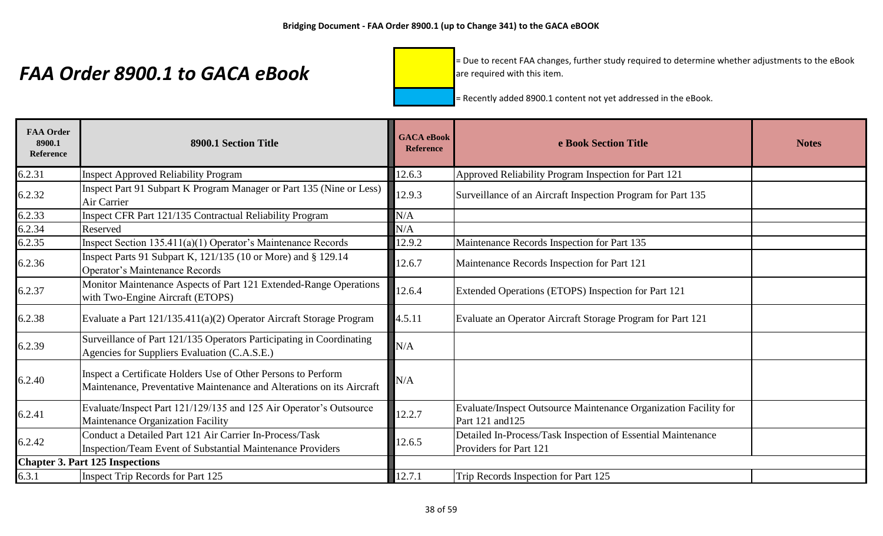= Due to recent FAA changes, further study required to determine whether adjustments to the eBook are required with this item.

| <b>FAA Order</b><br>8900.1<br><b>Reference</b> | 8900.1 Section Title                                                                                                                   | <b>GACA</b> eBook<br><b>Reference</b> | e Book Section Title                                                                   | <b>Notes</b> |
|------------------------------------------------|----------------------------------------------------------------------------------------------------------------------------------------|---------------------------------------|----------------------------------------------------------------------------------------|--------------|
| 6.2.31                                         | <b>Inspect Approved Reliability Program</b>                                                                                            | 12.6.3                                | Approved Reliability Program Inspection for Part 121                                   |              |
| 6.2.32                                         | Inspect Part 91 Subpart K Program Manager or Part 135 (Nine or Less)<br>Air Carrier                                                    | 12.9.3                                | Surveillance of an Aircraft Inspection Program for Part 135                            |              |
| 6.2.33                                         | Inspect CFR Part 121/135 Contractual Reliability Program                                                                               | N/A                                   |                                                                                        |              |
| 6.2.34                                         | Reserved                                                                                                                               | N/A                                   |                                                                                        |              |
| 6.2.35                                         | Inspect Section $135.411(a)(1)$ Operator's Maintenance Records                                                                         | 12.9.2                                | Maintenance Records Inspection for Part 135                                            |              |
| 6.2.36                                         | Inspect Parts 91 Subpart K, 121/135 (10 or More) and § 129.14<br>Operator's Maintenance Records                                        | 12.6.7                                | Maintenance Records Inspection for Part 121                                            |              |
| 6.2.37                                         | Monitor Maintenance Aspects of Part 121 Extended-Range Operations<br>with Two-Engine Aircraft (ETOPS)                                  | 12.6.4                                | Extended Operations (ETOPS) Inspection for Part 121                                    |              |
| 6.2.38                                         | Evaluate a Part 121/135.411(a)(2) Operator Aircraft Storage Program                                                                    | 4.5.11                                | Evaluate an Operator Aircraft Storage Program for Part 121                             |              |
| 6.2.39                                         | Surveillance of Part 121/135 Operators Participating in Coordinating<br>Agencies for Suppliers Evaluation (C.A.S.E.)                   | N/A                                   |                                                                                        |              |
| 6.2.40                                         | Inspect a Certificate Holders Use of Other Persons to Perform<br>Maintenance, Preventative Maintenance and Alterations on its Aircraft | N/A                                   |                                                                                        |              |
| 6.2.41                                         | Evaluate/Inspect Part 121/129/135 and 125 Air Operator's Outsource<br>Maintenance Organization Facility                                | 12.2.7                                | Evaluate/Inspect Outsource Maintenance Organization Facility for<br>Part 121 and 125   |              |
| 6.2.42                                         | Conduct a Detailed Part 121 Air Carrier In-Process/Task<br>Inspection/Team Event of Substantial Maintenance Providers                  | 12.6.5                                | Detailed In-Process/Task Inspection of Essential Maintenance<br>Providers for Part 121 |              |
|                                                | <b>Chapter 3. Part 125 Inspections</b>                                                                                                 |                                       |                                                                                        |              |
| 6.3.1                                          | Inspect Trip Records for Part 125                                                                                                      | 12.7.1                                | Trip Records Inspection for Part 125                                                   |              |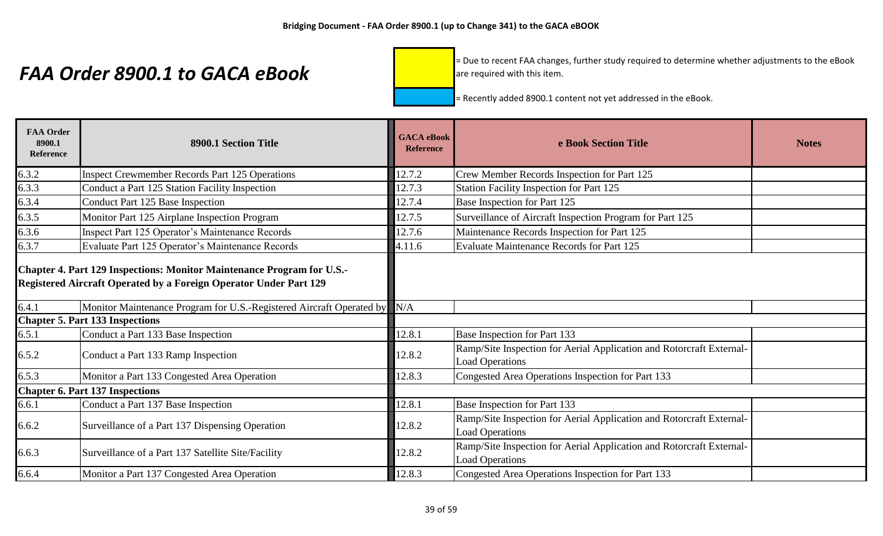= Due to recent FAA changes, further study required to determine whether adjustments to the eBook are required with this item.

| <b>FAA Order</b><br>8900.1<br>Reference | 8900.1 Section Title                                                                                                                               | <b>GACA</b> eBook<br><b>Reference</b> | e Book Section Title                                                                           | <b>Notes</b> |
|-----------------------------------------|----------------------------------------------------------------------------------------------------------------------------------------------------|---------------------------------------|------------------------------------------------------------------------------------------------|--------------|
| 6.3.2                                   | <b>Inspect Crewmember Records Part 125 Operations</b>                                                                                              | 12.7.2                                | Crew Member Records Inspection for Part 125                                                    |              |
| 6.3.3                                   | Conduct a Part 125 Station Facility Inspection                                                                                                     | 12.7.3                                | Station Facility Inspection for Part 125                                                       |              |
| 6.3.4                                   | Conduct Part 125 Base Inspection                                                                                                                   | 12.7.4                                | Base Inspection for Part 125                                                                   |              |
| 6.3.5                                   | Monitor Part 125 Airplane Inspection Program                                                                                                       | 12.7.5                                | Surveillance of Aircraft Inspection Program for Part 125                                       |              |
| 6.3.6                                   | Inspect Part 125 Operator's Maintenance Records                                                                                                    | 12.7.6                                | Maintenance Records Inspection for Part 125                                                    |              |
| 6.3.7                                   | Evaluate Part 125 Operator's Maintenance Records                                                                                                   | 4.11.6                                | <b>Evaluate Maintenance Records for Part 125</b>                                               |              |
|                                         | Chapter 4. Part 129 Inspections: Monitor Maintenance Program for U.S.-<br><b>Registered Aircraft Operated by a Foreign Operator Under Part 129</b> |                                       |                                                                                                |              |
| 6.4.1                                   | Monitor Maintenance Program for U.S.-Registered Aircraft Operated by                                                                               | N/A                                   |                                                                                                |              |
|                                         | <b>Chapter 5. Part 133 Inspections</b>                                                                                                             |                                       |                                                                                                |              |
| 6.5.1                                   | Conduct a Part 133 Base Inspection                                                                                                                 | 12.8.1                                | Base Inspection for Part 133                                                                   |              |
| 6.5.2                                   | Conduct a Part 133 Ramp Inspection                                                                                                                 | 12.8.2                                | Ramp/Site Inspection for Aerial Application and Rotorcraft External-<br><b>Load Operations</b> |              |
| 6.5.3                                   | Monitor a Part 133 Congested Area Operation                                                                                                        | 12.8.3                                | Congested Area Operations Inspection for Part 133                                              |              |
|                                         | <b>Chapter 6. Part 137 Inspections</b>                                                                                                             |                                       |                                                                                                |              |
| 6.6.1                                   | Conduct a Part 137 Base Inspection                                                                                                                 | 12.8.1                                | Base Inspection for Part 133                                                                   |              |
| 6.6.2                                   | Surveillance of a Part 137 Dispensing Operation                                                                                                    | 12.8.2                                | Ramp/Site Inspection for Aerial Application and Rotorcraft External-<br><b>Load Operations</b> |              |
| 6.6.3                                   | Surveillance of a Part 137 Satellite Site/Facility                                                                                                 | 12.8.2                                | Ramp/Site Inspection for Aerial Application and Rotorcraft External-<br><b>Load Operations</b> |              |
| 6.6.4                                   | Monitor a Part 137 Congested Area Operation                                                                                                        | 12.8.3                                | Congested Area Operations Inspection for Part 133                                              |              |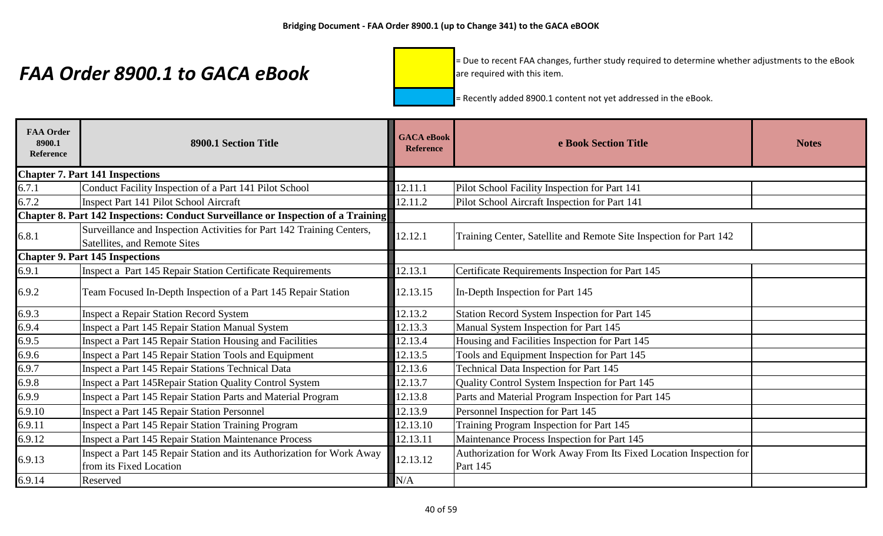= Due to recent FAA changes, further study required to determine whether adjustments to the eBook are required with this item.

| <b>FAA Order</b><br>8900.1<br>Reference | 8900.1 Section Title                                                              | <b>GACA</b> eBook<br><b>Reference</b> | e Book Section Title                                               | <b>Notes</b> |
|-----------------------------------------|-----------------------------------------------------------------------------------|---------------------------------------|--------------------------------------------------------------------|--------------|
|                                         | <b>Chapter 7. Part 141 Inspections</b>                                            |                                       |                                                                    |              |
| 6.7.1                                   | Conduct Facility Inspection of a Part 141 Pilot School                            | 12.11.1                               | Pilot School Facility Inspection for Part 141                      |              |
| 6.7.2                                   | Inspect Part 141 Pilot School Aircraft                                            | 12.11.2                               | Pilot School Aircraft Inspection for Part 141                      |              |
|                                         | Chapter 8. Part 142 Inspections: Conduct Surveillance or Inspection of a Training |                                       |                                                                    |              |
| 6.8.1                                   | Surveillance and Inspection Activities for Part 142 Training Centers,             | 12.12.1                               | Training Center, Satellite and Remote Site Inspection for Part 142 |              |
|                                         | Satellites, and Remote Sites                                                      |                                       |                                                                    |              |
|                                         | <b>Chapter 9. Part 145 Inspections</b>                                            |                                       |                                                                    |              |
| 6.9.1                                   | Inspect a Part 145 Repair Station Certificate Requirements                        | 12.13.1                               | Certificate Requirements Inspection for Part 145                   |              |
| 6.9.2                                   | Team Focused In-Depth Inspection of a Part 145 Repair Station                     | 12.13.15                              | In-Depth Inspection for Part 145                                   |              |
| 6.9.3                                   | <b>Inspect a Repair Station Record System</b>                                     | 12.13.2                               | Station Record System Inspection for Part 145                      |              |
| 6.9.4                                   | Inspect a Part 145 Repair Station Manual System                                   | 12.13.3                               | Manual System Inspection for Part 145                              |              |
| 6.9.5                                   | Inspect a Part 145 Repair Station Housing and Facilities                          | 12.13.4                               | Housing and Facilities Inspection for Part 145                     |              |
| 6.9.6                                   | Inspect a Part 145 Repair Station Tools and Equipment                             | 12.13.5                               | Tools and Equipment Inspection for Part 145                        |              |
| 6.9.7                                   | Inspect a Part 145 Repair Stations Technical Data                                 | 12.13.6                               | Technical Data Inspection for Part 145                             |              |
| 6.9.8                                   | Inspect a Part 145Repair Station Quality Control System                           | 12.13.7                               | Quality Control System Inspection for Part 145                     |              |
| 6.9.9                                   | Inspect a Part 145 Repair Station Parts and Material Program                      | 12.13.8                               | Parts and Material Program Inspection for Part 145                 |              |
| 6.9.10                                  | <b>Inspect a Part 145 Repair Station Personnel</b>                                | 12.13.9                               | Personnel Inspection for Part 145                                  |              |
| 6.9.11                                  | Inspect a Part 145 Repair Station Training Program                                | 12.13.10                              | Training Program Inspection for Part 145                           |              |
| 6.9.12                                  | <b>Inspect a Part 145 Repair Station Maintenance Process</b>                      | 12.13.11                              | Maintenance Process Inspection for Part 145                        |              |
| 6.9.13                                  | Inspect a Part 145 Repair Station and its Authorization for Work Away             | 12.13.12                              | Authorization for Work Away From Its Fixed Location Inspection for |              |
|                                         | from its Fixed Location                                                           |                                       | <b>Part 145</b>                                                    |              |
| 6.9.14                                  | Reserved                                                                          | N/A                                   |                                                                    |              |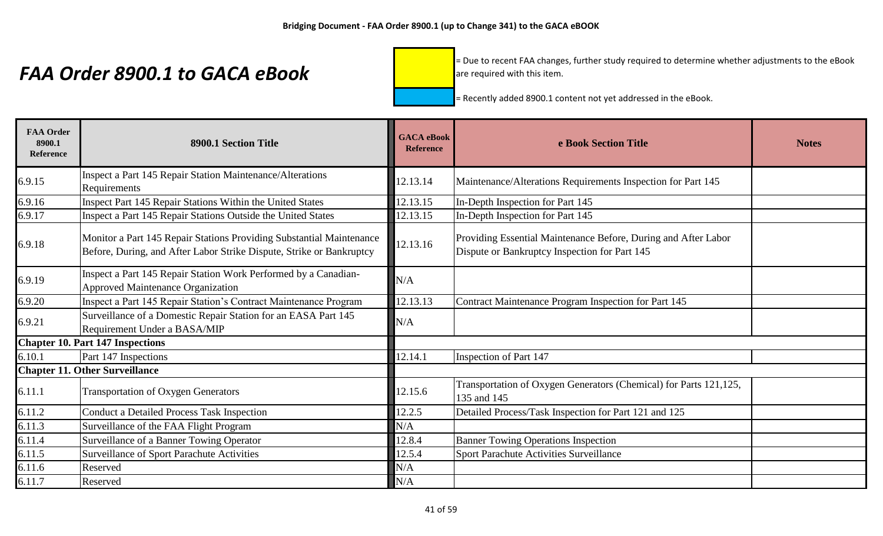= Due to recent FAA changes, further study required to determine whether adjustments to the eBook are required with this item.

| <b>FAA Order</b><br>8900.1<br><b>Reference</b> | 8900.1 Section Title                                                                                                                         | <b>GACA</b> eBook<br><b>Reference</b> | e Book Section Title                                                                                            | <b>Notes</b> |
|------------------------------------------------|----------------------------------------------------------------------------------------------------------------------------------------------|---------------------------------------|-----------------------------------------------------------------------------------------------------------------|--------------|
| 6.9.15                                         | Inspect a Part 145 Repair Station Maintenance/Alterations<br>Requirements                                                                    | 12.13.14                              | Maintenance/Alterations Requirements Inspection for Part 145                                                    |              |
| 6.9.16                                         | Inspect Part 145 Repair Stations Within the United States                                                                                    | 12.13.15                              | In-Depth Inspection for Part 145                                                                                |              |
| 6.9.17                                         | Inspect a Part 145 Repair Stations Outside the United States                                                                                 | 12.13.15                              | In-Depth Inspection for Part 145                                                                                |              |
| 6.9.18                                         | Monitor a Part 145 Repair Stations Providing Substantial Maintenance<br>Before, During, and After Labor Strike Dispute, Strike or Bankruptcy | 12.13.16                              | Providing Essential Maintenance Before, During and After Labor<br>Dispute or Bankruptcy Inspection for Part 145 |              |
| 6.9.19                                         | Inspect a Part 145 Repair Station Work Performed by a Canadian-<br><b>Approved Maintenance Organization</b>                                  | N/A                                   |                                                                                                                 |              |
| 6.9.20                                         | Inspect a Part 145 Repair Station's Contract Maintenance Program                                                                             | 12.13.13                              | Contract Maintenance Program Inspection for Part 145                                                            |              |
| 6.9.21                                         | Surveillance of a Domestic Repair Station for an EASA Part 145<br>Requirement Under a BASA/MIP                                               | N/A                                   |                                                                                                                 |              |
|                                                | <b>Chapter 10. Part 147 Inspections</b>                                                                                                      |                                       |                                                                                                                 |              |
| 6.10.1                                         | Part 147 Inspections                                                                                                                         | 12.14.1                               | Inspection of Part 147                                                                                          |              |
|                                                | <b>Chapter 11. Other Surveillance</b>                                                                                                        |                                       |                                                                                                                 |              |
| 6.11.1                                         | <b>Transportation of Oxygen Generators</b>                                                                                                   | 12.15.6                               | Transportation of Oxygen Generators (Chemical) for Parts 121,125,<br>135 and 145                                |              |
| 6.11.2                                         | <b>Conduct a Detailed Process Task Inspection</b>                                                                                            | 12.2.5                                | Detailed Process/Task Inspection for Part 121 and 125                                                           |              |
| 6.11.3                                         | Surveillance of the FAA Flight Program                                                                                                       | N/A                                   |                                                                                                                 |              |
| 6.11.4                                         | Surveillance of a Banner Towing Operator                                                                                                     | 12.8.4                                | <b>Banner Towing Operations Inspection</b>                                                                      |              |
| 6.11.5                                         | Surveillance of Sport Parachute Activities                                                                                                   | 12.5.4                                | Sport Parachute Activities Surveillance                                                                         |              |
| 6.11.6                                         | Reserved                                                                                                                                     | N/A                                   |                                                                                                                 |              |
| 6.11.7                                         | Reserved                                                                                                                                     | N/A                                   |                                                                                                                 |              |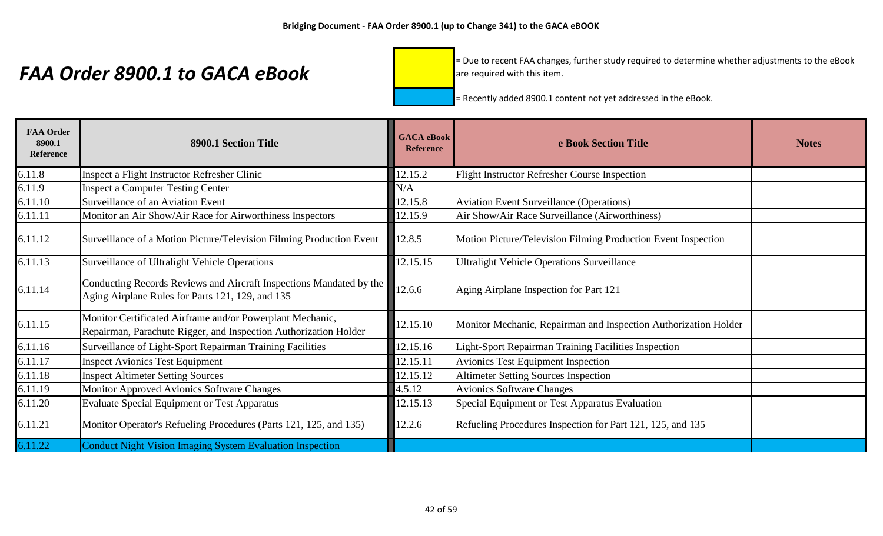= Due to recent FAA changes, further study required to determine whether adjustments to the eBook are required with this item.

| <b>FAA Order</b><br>8900.1<br><b>Reference</b> | 8900.1 Section Title                                                                                                          | <b>GACA</b> eBook<br><b>Reference</b> | e Book Section Title                                            | <b>Notes</b> |
|------------------------------------------------|-------------------------------------------------------------------------------------------------------------------------------|---------------------------------------|-----------------------------------------------------------------|--------------|
| 6.11.8                                         | Inspect a Flight Instructor Refresher Clinic                                                                                  | 12.15.2                               | <b>Flight Instructor Refresher Course Inspection</b>            |              |
| 6.11.9                                         | <b>Inspect a Computer Testing Center</b>                                                                                      | N/A                                   |                                                                 |              |
| 6.11.10                                        | Surveillance of an Aviation Event                                                                                             | 12.15.8                               | <b>Aviation Event Surveillance (Operations)</b>                 |              |
| 6.11.11                                        | Monitor an Air Show/Air Race for Airworthiness Inspectors                                                                     | 12.15.9                               | Air Show/Air Race Surveillance (Airworthiness)                  |              |
| 6.11.12                                        | Surveillance of a Motion Picture/Television Filming Production Event                                                          | 12.8.5                                | Motion Picture/Television Filming Production Event Inspection   |              |
| 6.11.13                                        | Surveillance of Ultralight Vehicle Operations                                                                                 | 12.15.15                              | <b>Ultralight Vehicle Operations Surveillance</b>               |              |
| 6.11.14                                        | Conducting Records Reviews and Aircraft Inspections Mandated by the<br>Aging Airplane Rules for Parts 121, 129, and 135       | 12.6.6                                | Aging Airplane Inspection for Part 121                          |              |
| 6.11.15                                        | Monitor Certificated Airframe and/or Powerplant Mechanic,<br>Repairman, Parachute Rigger, and Inspection Authorization Holder | 12.15.10                              | Monitor Mechanic, Repairman and Inspection Authorization Holder |              |
| 6.11.16                                        | Surveillance of Light-Sport Repairman Training Facilities                                                                     | 12.15.16                              | Light-Sport Repairman Training Facilities Inspection            |              |
| 6.11.17                                        | <b>Inspect Avionics Test Equipment</b>                                                                                        | 12.15.11                              | <b>Avionics Test Equipment Inspection</b>                       |              |
| 6.11.18                                        | <b>Inspect Altimeter Setting Sources</b>                                                                                      | 12.15.12                              | <b>Altimeter Setting Sources Inspection</b>                     |              |
| 6.11.19                                        | <b>Monitor Approved Avionics Software Changes</b>                                                                             | 4.5.12                                | <b>Avionics Software Changes</b>                                |              |
| 6.11.20                                        | <b>Evaluate Special Equipment or Test Apparatus</b>                                                                           | 12.15.13                              | Special Equipment or Test Apparatus Evaluation                  |              |
| 6.11.21                                        | Monitor Operator's Refueling Procedures (Parts 121, 125, and 135)                                                             | 12.2.6                                | Refueling Procedures Inspection for Part 121, 125, and 135      |              |
| 6.11.22                                        | <b>Conduct Night Vision Imaging System Evaluation Inspection</b>                                                              |                                       |                                                                 |              |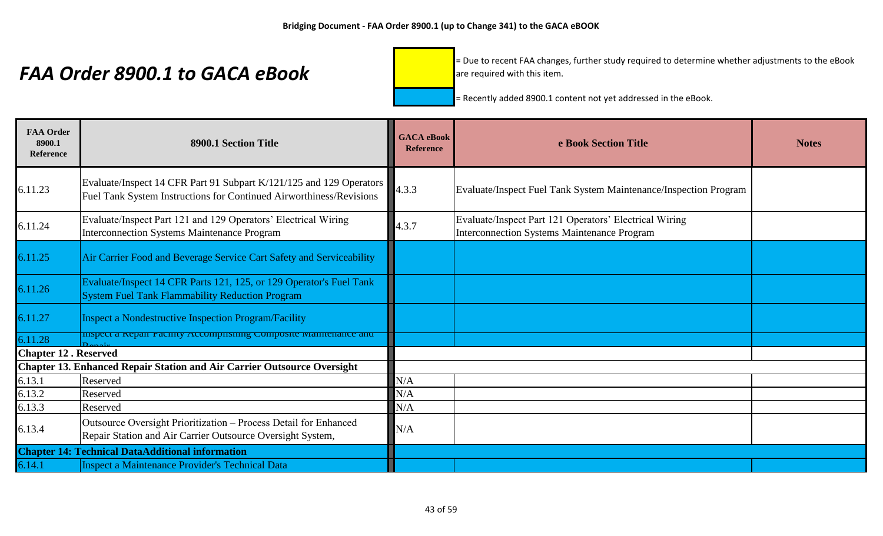= Due to recent FAA changes, further study required to determine whether adjustments to the eBook are required with this item.

| <b>FAA Order</b><br>8900.1<br>Reference | 8900.1 Section Title                                                                                                                       | <b>GACA</b> eBook<br><b>Reference</b> | e Book Section Title                                                                                  | <b>Notes</b> |
|-----------------------------------------|--------------------------------------------------------------------------------------------------------------------------------------------|---------------------------------------|-------------------------------------------------------------------------------------------------------|--------------|
| 6.11.23                                 | Evaluate/Inspect 14 CFR Part 91 Subpart K/121/125 and 129 Operators<br>Fuel Tank System Instructions for Continued Airworthiness/Revisions | 4.3.3                                 | Evaluate/Inspect Fuel Tank System Maintenance/Inspection Program                                      |              |
| 6.11.24                                 | Evaluate/Inspect Part 121 and 129 Operators' Electrical Wiring<br><b>Interconnection Systems Maintenance Program</b>                       | 4.3.7                                 | Evaluate/Inspect Part 121 Operators' Electrical Wiring<br>Interconnection Systems Maintenance Program |              |
| 6.11.25                                 | Air Carrier Food and Beverage Service Cart Safety and Serviceability                                                                       |                                       |                                                                                                       |              |
| 6.11.26                                 | Evaluate/Inspect 14 CFR Parts 121, 125, or 129 Operator's Fuel Tank<br><b>System Fuel Tank Flammability Reduction Program</b>              |                                       |                                                                                                       |              |
| 6.11.27                                 | <b>Inspect a Nondestructive Inspection Program/Facility</b>                                                                                |                                       |                                                                                                       |              |
| 6.11.28                                 | inspect a repair racinty Accompaising Composite manuemance and                                                                             |                                       |                                                                                                       |              |
| <b>Chapter 12. Reserved</b>             |                                                                                                                                            |                                       |                                                                                                       |              |
|                                         | <b>Chapter 13. Enhanced Repair Station and Air Carrier Outsource Oversight</b>                                                             |                                       |                                                                                                       |              |
| 6.13.1                                  | Reserved                                                                                                                                   | N/A                                   |                                                                                                       |              |
| 6.13.2                                  | Reserved                                                                                                                                   | N/A                                   |                                                                                                       |              |
| 6.13.3                                  | Reserved                                                                                                                                   | N/A                                   |                                                                                                       |              |
| 6.13.4                                  | Outsource Oversight Prioritization - Process Detail for Enhanced<br>Repair Station and Air Carrier Outsource Oversight System,             | N/A                                   |                                                                                                       |              |
|                                         | <b>Chapter 14: Technical DataAdditional information</b>                                                                                    |                                       |                                                                                                       |              |
| 6.14.1                                  | <b>Inspect a Maintenance Provider's Technical Data</b>                                                                                     |                                       |                                                                                                       |              |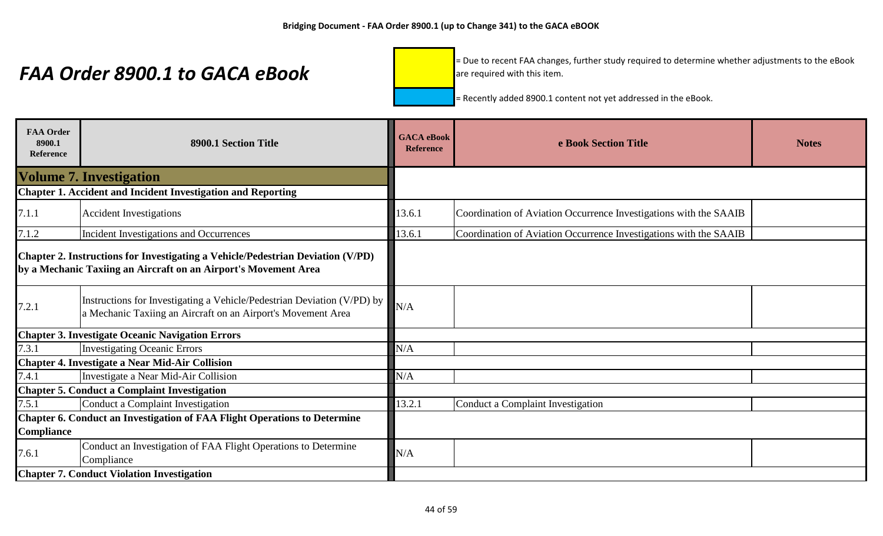= Due to recent FAA changes, further study required to determine whether adjustments to the eBook are required with this item.

| <b>FAA Order</b><br>8900.1<br><b>Reference</b> | 8900.1 Section Title                                                                                                                               | <b>GACA</b> eBook<br><b>Reference</b> | e Book Section Title                                              | <b>Notes</b> |
|------------------------------------------------|----------------------------------------------------------------------------------------------------------------------------------------------------|---------------------------------------|-------------------------------------------------------------------|--------------|
|                                                | <b>Volume 7. Investigation</b>                                                                                                                     |                                       |                                                                   |              |
|                                                | <b>Chapter 1. Accident and Incident Investigation and Reporting</b>                                                                                |                                       |                                                                   |              |
| 7.1.1                                          | <b>Accident Investigations</b>                                                                                                                     | 13.6.1                                | Coordination of Aviation Occurrence Investigations with the SAAIB |              |
| 7.1.2                                          | Incident Investigations and Occurrences                                                                                                            | 13.6.1                                | Coordination of Aviation Occurrence Investigations with the SAAIB |              |
|                                                | Chapter 2. Instructions for Investigating a Vehicle/Pedestrian Deviation (V/PD)<br>by a Mechanic Taxiing an Aircraft on an Airport's Movement Area |                                       |                                                                   |              |
| 7.2.1                                          | Instructions for Investigating a Vehicle/Pedestrian Deviation (V/PD) by<br>a Mechanic Taxiing an Aircraft on an Airport's Movement Area            | N/A                                   |                                                                   |              |
|                                                | <b>Chapter 3. Investigate Oceanic Navigation Errors</b>                                                                                            |                                       |                                                                   |              |
| 7.3.1                                          | <b>Investigating Oceanic Errors</b>                                                                                                                | N/A                                   |                                                                   |              |
|                                                | <b>Chapter 4. Investigate a Near Mid-Air Collision</b>                                                                                             |                                       |                                                                   |              |
| 7.4.1                                          | Investigate a Near Mid-Air Collision                                                                                                               | N/A                                   |                                                                   |              |
|                                                | <b>Chapter 5. Conduct a Complaint Investigation</b>                                                                                                |                                       |                                                                   |              |
| 7.5.1                                          | Conduct a Complaint Investigation                                                                                                                  | 13.2.1                                | <b>Conduct a Complaint Investigation</b>                          |              |
| <b>Compliance</b>                              | <b>Chapter 6. Conduct an Investigation of FAA Flight Operations to Determine</b>                                                                   |                                       |                                                                   |              |
| 7.6.1                                          | Conduct an Investigation of FAA Flight Operations to Determine<br>Compliance                                                                       | N/A                                   |                                                                   |              |
|                                                | <b>Chapter 7. Conduct Violation Investigation</b>                                                                                                  |                                       |                                                                   |              |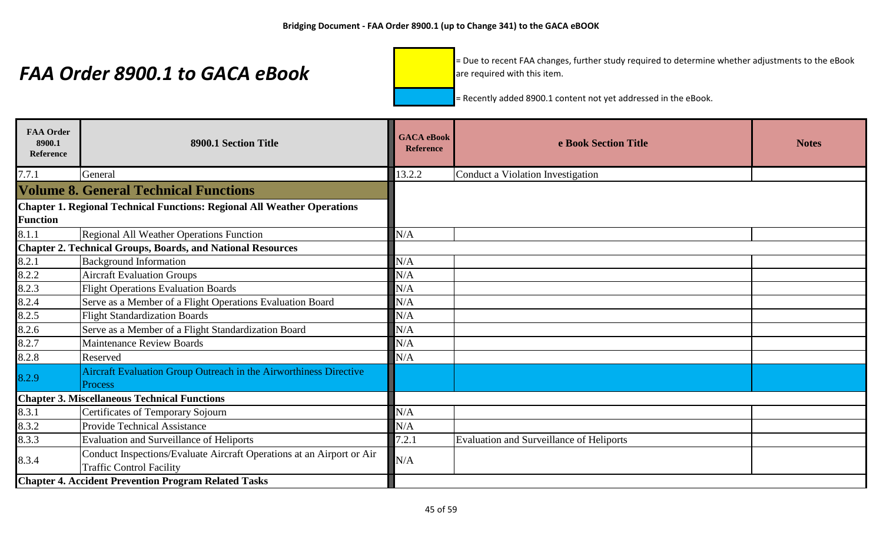= Due to recent FAA changes, further study required to determine whether adjustments to the eBook are required with this item.

| <b>FAA Order</b><br>8900.1<br>Reference | 8900.1 Section Title                                                                                     | <b>GACA</b> eBook<br><b>Reference</b> | e Book Section Title                     | <b>Notes</b> |
|-----------------------------------------|----------------------------------------------------------------------------------------------------------|---------------------------------------|------------------------------------------|--------------|
| 7.7.1                                   | General                                                                                                  | 13.2.2                                | Conduct a Violation Investigation        |              |
|                                         | <b>Volume 8. General Technical Functions</b>                                                             |                                       |                                          |              |
|                                         | <b>Chapter 1. Regional Technical Functions: Regional All Weather Operations</b>                          |                                       |                                          |              |
| <b>Function</b>                         |                                                                                                          |                                       |                                          |              |
| 8.1.1                                   | Regional All Weather Operations Function                                                                 | N/A                                   |                                          |              |
|                                         | <b>Chapter 2. Technical Groups, Boards, and National Resources</b>                                       |                                       |                                          |              |
| 8.2.1                                   | <b>Background Information</b>                                                                            | N/A                                   |                                          |              |
| 8.2.2                                   | <b>Aircraft Evaluation Groups</b>                                                                        | N/A                                   |                                          |              |
| 8.2.3                                   | <b>Flight Operations Evaluation Boards</b>                                                               | N/A                                   |                                          |              |
| 8.2.4                                   | Serve as a Member of a Flight Operations Evaluation Board                                                | N/A                                   |                                          |              |
| 8.2.5                                   | <b>Flight Standardization Boards</b>                                                                     | N/A                                   |                                          |              |
| 8.2.6                                   | Serve as a Member of a Flight Standardization Board                                                      | N/A                                   |                                          |              |
| 8.2.7                                   | <b>Maintenance Review Boards</b>                                                                         | N/A                                   |                                          |              |
| 8.2.8                                   | Reserved                                                                                                 | N/A                                   |                                          |              |
|                                         | Aircraft Evaluation Group Outreach in the Airworthiness Directive                                        |                                       |                                          |              |
| 8.2.9                                   | Process                                                                                                  |                                       |                                          |              |
|                                         | <b>Chapter 3. Miscellaneous Technical Functions</b>                                                      |                                       |                                          |              |
| 8.3.1                                   | Certificates of Temporary Sojourn                                                                        | N/A                                   |                                          |              |
| 8.3.2                                   | <b>Provide Technical Assistance</b>                                                                      | N/A                                   |                                          |              |
| 8.3.3                                   | <b>Evaluation and Surveillance of Heliports</b>                                                          | 7.2.1                                 | Evaluation and Surveillance of Heliports |              |
| 8.3.4                                   | Conduct Inspections/Evaluate Aircraft Operations at an Airport or Air<br><b>Traffic Control Facility</b> | N/A                                   |                                          |              |
|                                         | <b>Chapter 4. Accident Prevention Program Related Tasks</b>                                              |                                       |                                          |              |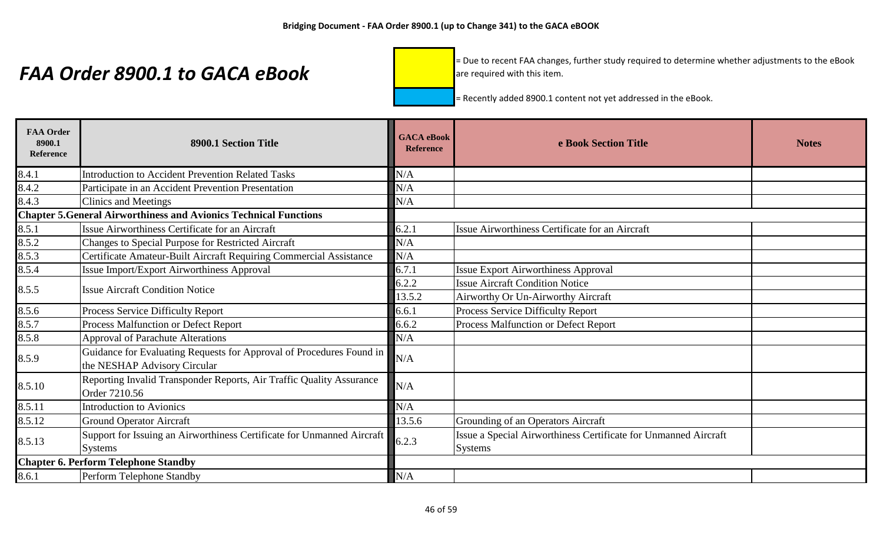= Due to recent FAA changes, further study required to determine whether adjustments to the eBook are required with this item.

| <b>FAA Order</b><br>8900.1<br>Reference | 8900.1 Section Title                                                                                 | <b>GACA</b> eBook<br><b>Reference</b> | e Book Section Title                                            | <b>Notes</b> |
|-----------------------------------------|------------------------------------------------------------------------------------------------------|---------------------------------------|-----------------------------------------------------------------|--------------|
| 8.4.1                                   | <b>Introduction to Accident Prevention Related Tasks</b>                                             | N/A                                   |                                                                 |              |
| 8.4.2                                   | Participate in an Accident Prevention Presentation                                                   | N/A                                   |                                                                 |              |
| 8.4.3                                   | <b>Clinics and Meetings</b>                                                                          | N/A                                   |                                                                 |              |
|                                         | <b>Chapter 5. General Airworthiness and Avionics Technical Functions</b>                             |                                       |                                                                 |              |
| 8.5.1                                   | Issue Airworthiness Certificate for an Aircraft                                                      | 6.2.1                                 | Issue Airworthiness Certificate for an Aircraft                 |              |
| 8.5.2                                   | Changes to Special Purpose for Restricted Aircraft                                                   | N/A                                   |                                                                 |              |
| 8.5.3                                   | Certificate Amateur-Built Aircraft Requiring Commercial Assistance                                   | N/A                                   |                                                                 |              |
| 8.5.4                                   | Issue Import/Export Airworthiness Approval                                                           | 6.7.1                                 | <b>Issue Export Airworthiness Approval</b>                      |              |
| 8.5.5                                   | <b>Issue Aircraft Condition Notice</b>                                                               | 6.2.2                                 | <b>Issue Aircraft Condition Notice</b>                          |              |
|                                         |                                                                                                      | 13.5.2                                | Airworthy Or Un-Airworthy Aircraft                              |              |
| 8.5.6                                   | Process Service Difficulty Report                                                                    | 6.6.1                                 | Process Service Difficulty Report                               |              |
| 8.5.7                                   | Process Malfunction or Defect Report                                                                 | 6.6.2                                 | Process Malfunction or Defect Report                            |              |
| 8.5.8                                   | <b>Approval of Parachute Alterations</b>                                                             | N/A                                   |                                                                 |              |
| 8.5.9                                   | Guidance for Evaluating Requests for Approval of Procedures Found in<br>the NESHAP Advisory Circular | N/A                                   |                                                                 |              |
| 8.5.10                                  | Reporting Invalid Transponder Reports, Air Traffic Quality Assurance<br>Order 7210.56                | N/A                                   |                                                                 |              |
| 8.5.11                                  | <b>Introduction to Avionics</b>                                                                      | N/A                                   |                                                                 |              |
| 8.5.12                                  | <b>Ground Operator Aircraft</b>                                                                      | 13.5.6                                | Grounding of an Operators Aircraft                              |              |
| 8.5.13                                  | Support for Issuing an Airworthiness Certificate for Unmanned Aircraft                               | 6.2.3                                 | Issue a Special Airworthiness Certificate for Unmanned Aircraft |              |
|                                         | <b>Systems</b>                                                                                       |                                       | <b>Systems</b>                                                  |              |
|                                         | <b>Chapter 6. Perform Telephone Standby</b>                                                          |                                       |                                                                 |              |
| 8.6.1                                   | Perform Telephone Standby                                                                            | N/A                                   |                                                                 |              |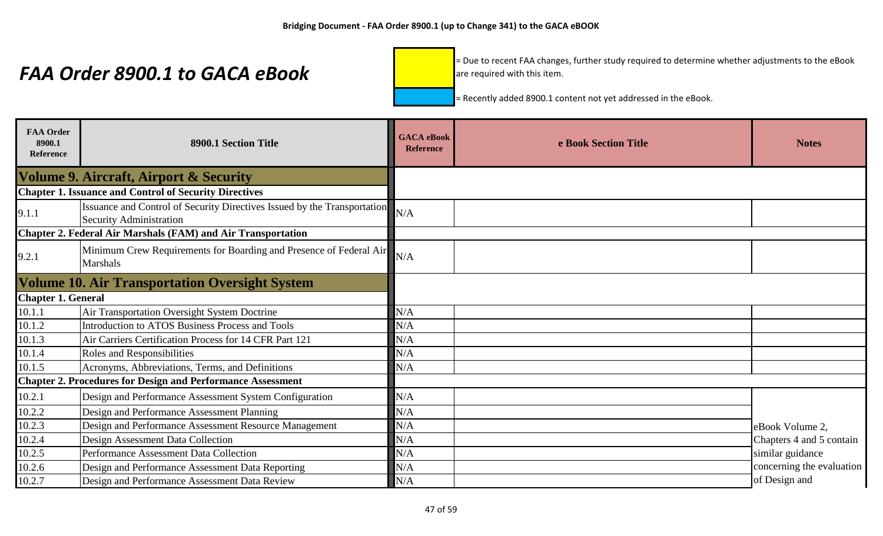= Due to recent FAA changes, further study required to determine whether adjustments to the eBook are required with this item.

| <b>FAA Order</b><br>8900.1<br>Reference | 8900.1 Section Title                                                                                       | <b>GACA</b> eBook<br><b>Reference</b> | e Book Section Title | <b>Notes</b>              |
|-----------------------------------------|------------------------------------------------------------------------------------------------------------|---------------------------------------|----------------------|---------------------------|
|                                         | <b>Volume 9. Aircraft, Airport &amp; Security</b>                                                          |                                       |                      |                           |
|                                         | <b>Chapter 1. Issuance and Control of Security Directives</b>                                              |                                       |                      |                           |
| 9.1.1                                   | Issuance and Control of Security Directives Issued by the Transportation<br><b>Security Administration</b> | N/A                                   |                      |                           |
|                                         | <b>Chapter 2. Federal Air Marshals (FAM) and Air Transportation</b>                                        |                                       |                      |                           |
| 9.2.1                                   | Minimum Crew Requirements for Boarding and Presence of Federal Air<br><b>Marshals</b>                      | N/A                                   |                      |                           |
|                                         | <b>Volume 10. Air Transportation Oversight System</b>                                                      |                                       |                      |                           |
| <b>Chapter 1. General</b>               |                                                                                                            |                                       |                      |                           |
| 10.1.1                                  | Air Transportation Oversight System Doctrine                                                               | N/A                                   |                      |                           |
| 10.1.2                                  | <b>Introduction to ATOS Business Process and Tools</b>                                                     | N/A                                   |                      |                           |
| 10.1.3                                  | Air Carriers Certification Process for 14 CFR Part 121                                                     | N/A                                   |                      |                           |
| 10.1.4                                  | Roles and Responsibilities                                                                                 | N/A                                   |                      |                           |
| 10.1.5                                  | Acronyms, Abbreviations, Terms, and Definitions                                                            | N/A                                   |                      |                           |
|                                         | <b>Chapter 2. Procedures for Design and Performance Assessment</b>                                         |                                       |                      |                           |
| 10.2.1                                  | Design and Performance Assessment System Configuration                                                     | N/A                                   |                      |                           |
| 10.2.2                                  | Design and Performance Assessment Planning                                                                 | N/A                                   |                      |                           |
| 10.2.3                                  | Design and Performance Assessment Resource Management                                                      | N/A                                   |                      | eBook Volume 2,           |
| 10.2.4                                  | <b>Design Assessment Data Collection</b>                                                                   | N/A                                   |                      | Chapters 4 and 5 contain  |
| 10.2.5                                  | Performance Assessment Data Collection                                                                     | N/A                                   |                      | similar guidance          |
| 10.2.6                                  | Design and Performance Assessment Data Reporting                                                           | N/A                                   |                      | concerning the evaluation |
| 10.2.7                                  | Design and Performance Assessment Data Review                                                              | N/A                                   |                      | of Design and             |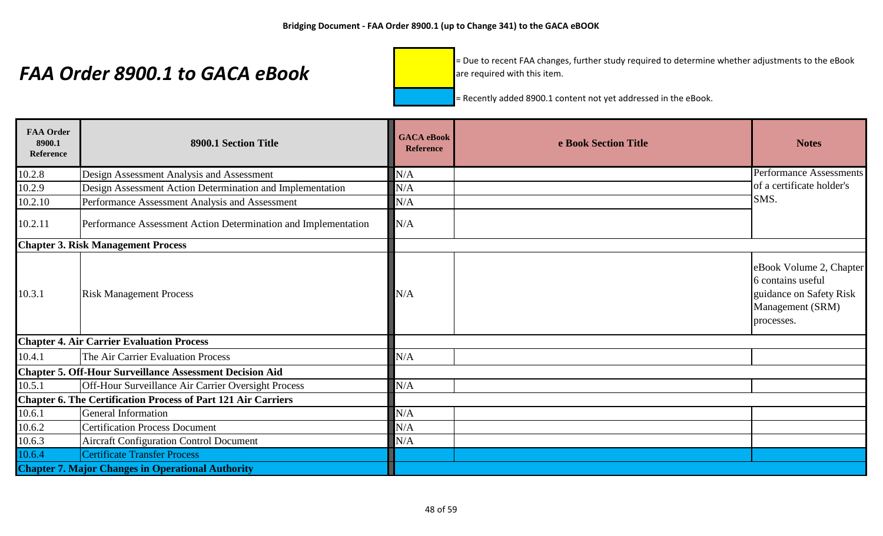= Due to recent FAA changes, further study required to determine whether adjustments to the eBook are required with this item.

| <b>FAA Order</b><br>8900.1<br>Reference | 8900.1 Section Title                                                 | <b>GACA</b> eBook<br><b>Reference</b> | e Book Section Title | <b>Notes</b>                                                                                              |
|-----------------------------------------|----------------------------------------------------------------------|---------------------------------------|----------------------|-----------------------------------------------------------------------------------------------------------|
| 10.2.8                                  | Design Assessment Analysis and Assessment                            | N/A                                   |                      | Performance Assessments                                                                                   |
| 10.2.9                                  | Design Assessment Action Determination and Implementation            | N/A                                   |                      | of a certificate holder's                                                                                 |
| 10.2.10                                 | Performance Assessment Analysis and Assessment                       | N/A                                   |                      | SMS.                                                                                                      |
| 10.2.11                                 | Performance Assessment Action Determination and Implementation       | N/A                                   |                      |                                                                                                           |
|                                         | <b>Chapter 3. Risk Management Process</b>                            |                                       |                      |                                                                                                           |
| 10.3.1                                  | <b>Risk Management Process</b>                                       | N/A                                   |                      | eBook Volume 2, Chapter<br>6 contains useful<br>guidance on Safety Risk<br>Management (SRM)<br>processes. |
|                                         | <b>Chapter 4. Air Carrier Evaluation Process</b>                     |                                       |                      |                                                                                                           |
| 10.4.1                                  | The Air Carrier Evaluation Process                                   | N/A                                   |                      |                                                                                                           |
|                                         | <b>Chapter 5. Off-Hour Surveillance Assessment Decision Aid</b>      |                                       |                      |                                                                                                           |
| 10.5.1                                  | Off-Hour Surveillance Air Carrier Oversight Process                  | N/A                                   |                      |                                                                                                           |
|                                         | <b>Chapter 6. The Certification Process of Part 121 Air Carriers</b> |                                       |                      |                                                                                                           |
| 10.6.1                                  | <b>General Information</b>                                           | N/A                                   |                      |                                                                                                           |
| 10.6.2                                  | <b>Certification Process Document</b>                                | N/A                                   |                      |                                                                                                           |
| 10.6.3                                  | <b>Aircraft Configuration Control Document</b>                       | N/A                                   |                      |                                                                                                           |
| 10.6.4                                  | <b>Certificate Transfer Process</b>                                  |                                       |                      |                                                                                                           |
|                                         | <b>Chapter 7. Major Changes in Operational Authority</b>             |                                       |                      |                                                                                                           |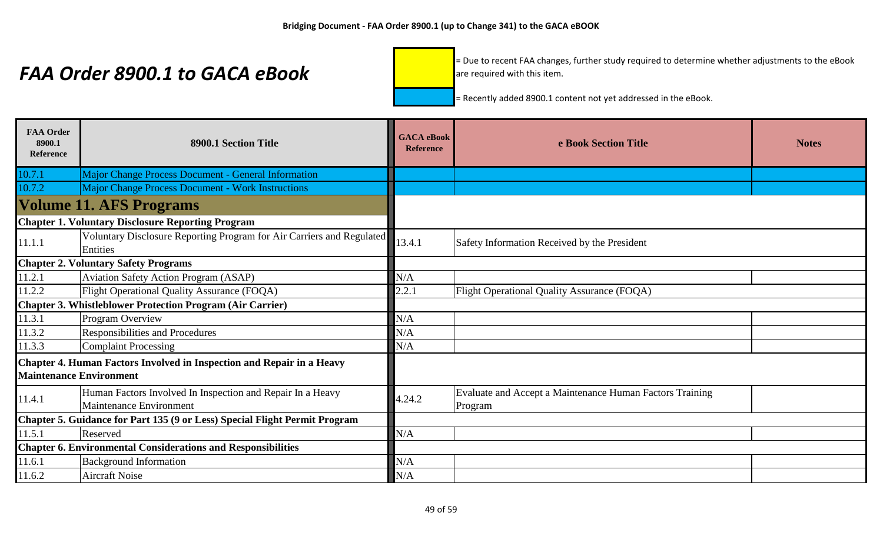= Due to recent FAA changes, further study required to determine whether adjustments to the eBook are required with this item.

| <b>FAA Order</b><br>8900.1<br><b>Reference</b> | 8900.1 Section Title                                                                         | <b>GACA</b> eBook<br><b>Reference</b> | e Book Section Title                                                | <b>Notes</b> |
|------------------------------------------------|----------------------------------------------------------------------------------------------|---------------------------------------|---------------------------------------------------------------------|--------------|
| 10.7.1                                         | <b>Major Change Process Document - General Information</b>                                   |                                       |                                                                     |              |
| 10.7.2                                         | <b>Major Change Process Document - Work Instructions</b>                                     |                                       |                                                                     |              |
|                                                | <b>Volume 11. AFS Programs</b>                                                               |                                       |                                                                     |              |
|                                                | <b>Chapter 1. Voluntary Disclosure Reporting Program</b>                                     |                                       |                                                                     |              |
| 11.1.1                                         | Voluntary Disclosure Reporting Program for Air Carriers and Regulated<br>Entities            | 13.4.1                                | Safety Information Received by the President                        |              |
|                                                | <b>Chapter 2. Voluntary Safety Programs</b>                                                  |                                       |                                                                     |              |
| 11.2.1                                         | <b>Aviation Safety Action Program (ASAP)</b>                                                 | N/A                                   |                                                                     |              |
| 11.2.2                                         | Flight Operational Quality Assurance (FOQA)                                                  | 2.2.1                                 | Flight Operational Quality Assurance (FOQA)                         |              |
|                                                | <b>Chapter 3. Whistleblower Protection Program (Air Carrier)</b>                             |                                       |                                                                     |              |
| 11.3.1                                         | Program Overview                                                                             | N/A                                   |                                                                     |              |
| 11.3.2                                         | Responsibilities and Procedures                                                              | N/A                                   |                                                                     |              |
| 11.3.3                                         | <b>Complaint Processing</b>                                                                  | N/A                                   |                                                                     |              |
| <b>Maintenance Environment</b>                 | Chapter 4. Human Factors Involved in Inspection and Repair in a Heavy                        |                                       |                                                                     |              |
| 11.4.1                                         | Human Factors Involved In Inspection and Repair In a Heavy<br><b>Maintenance Environment</b> | 4.24.2                                | Evaluate and Accept a Maintenance Human Factors Training<br>Program |              |
|                                                | Chapter 5. Guidance for Part 135 (9 or Less) Special Flight Permit Program                   |                                       |                                                                     |              |
| 11.5.1                                         | Reserved                                                                                     | N/A                                   |                                                                     |              |
|                                                | <b>Chapter 6. Environmental Considerations and Responsibilities</b>                          |                                       |                                                                     |              |
| 11.6.1                                         | <b>Background Information</b>                                                                | N/A                                   |                                                                     |              |
| 11.6.2                                         | <b>Aircraft Noise</b>                                                                        | N/A                                   |                                                                     |              |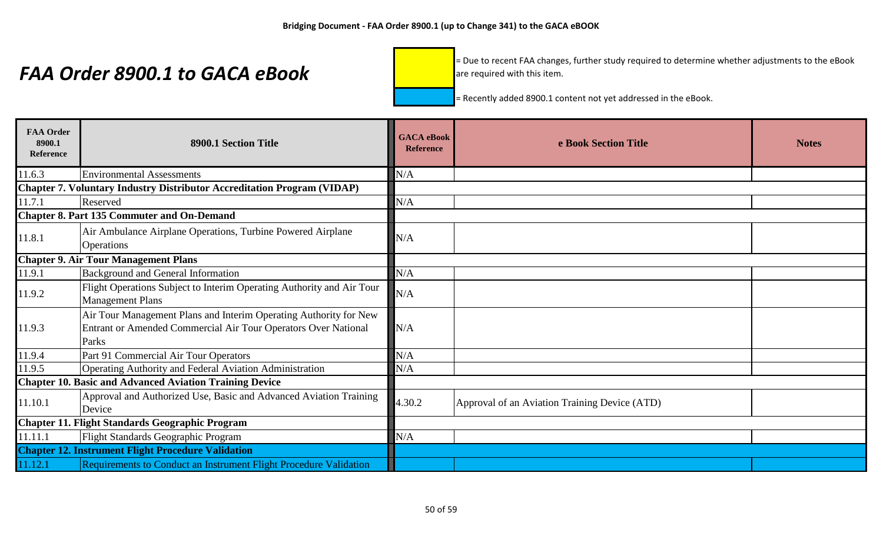= Due to recent FAA changes, further study required to determine whether adjustments to the eBook are required with this item.

| <b>FAA Order</b><br>8900.1<br>Reference                | 8900.1 Section Title                                                                                                                         | <b>GACA</b> eBook<br><b>Reference</b> | e Book Section Title                          | <b>Notes</b> |
|--------------------------------------------------------|----------------------------------------------------------------------------------------------------------------------------------------------|---------------------------------------|-----------------------------------------------|--------------|
| 11.6.3                                                 | <b>Environmental Assessments</b>                                                                                                             | N/A                                   |                                               |              |
|                                                        | <b>Chapter 7. Voluntary Industry Distributor Accreditation Program (VIDAP)</b>                                                               |                                       |                                               |              |
| 11.7.1                                                 | Reserved                                                                                                                                     | N/A                                   |                                               |              |
|                                                        | <b>Chapter 8. Part 135 Commuter and On-Demand</b>                                                                                            |                                       |                                               |              |
| 11.8.1                                                 | Air Ambulance Airplane Operations, Turbine Powered Airplane<br><b>Operations</b>                                                             | N/A                                   |                                               |              |
|                                                        | <b>Chapter 9. Air Tour Management Plans</b>                                                                                                  |                                       |                                               |              |
| 11.9.1                                                 | <b>Background and General Information</b>                                                                                                    | N/A                                   |                                               |              |
| 11.9.2                                                 | Flight Operations Subject to Interim Operating Authority and Air Tour<br><b>Management Plans</b>                                             | N/A                                   |                                               |              |
| 11.9.3                                                 | Air Tour Management Plans and Interim Operating Authority for New<br>Entrant or Amended Commercial Air Tour Operators Over National<br>Parks | N/A                                   |                                               |              |
| 11.9.4                                                 | Part 91 Commercial Air Tour Operators                                                                                                        | N/A                                   |                                               |              |
| 11.9.5                                                 | Operating Authority and Federal Aviation Administration                                                                                      | N/A                                   |                                               |              |
|                                                        | <b>Chapter 10. Basic and Advanced Aviation Training Device</b>                                                                               |                                       |                                               |              |
| 11.10.1                                                | Approval and Authorized Use, Basic and Advanced Aviation Training<br>Device                                                                  | 4.30.2                                | Approval of an Aviation Training Device (ATD) |              |
| <b>Chapter 11. Flight Standards Geographic Program</b> |                                                                                                                                              |                                       |                                               |              |
| 11.11.1                                                | Flight Standards Geographic Program                                                                                                          | N/A                                   |                                               |              |
|                                                        | <b>Chapter 12. Instrument Flight Procedure Validation</b>                                                                                    |                                       |                                               |              |
| 11.12.1                                                | Requirements to Conduct an Instrument Flight Procedure Validation                                                                            |                                       |                                               |              |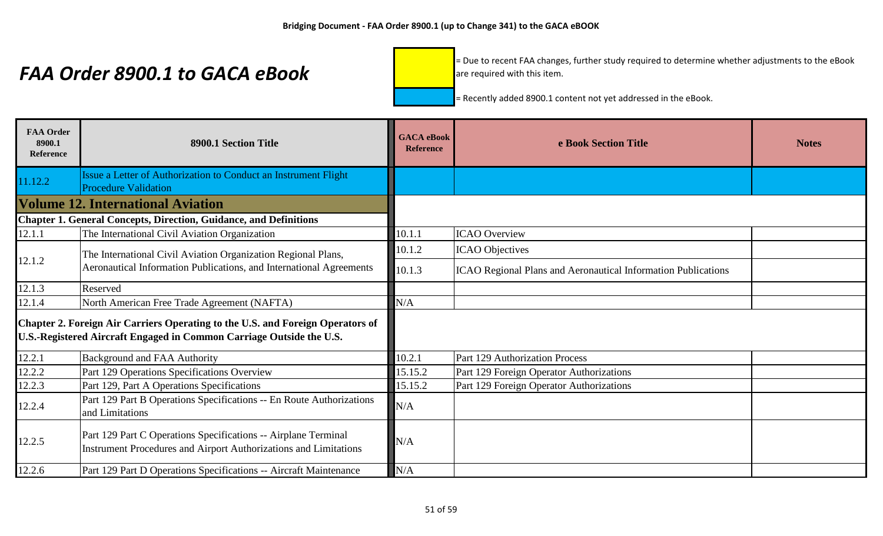= Due to recent FAA changes, further study required to determine whether adjustments to the eBook are required with this item.

| <b>FAA Order</b><br>8900.1<br><b>Reference</b> | 8900.1 Section Title                                                                                                                                   | <b>GACA</b> eBook<br><b>Reference</b> | e Book Section Title                                                 | <b>Notes</b> |
|------------------------------------------------|--------------------------------------------------------------------------------------------------------------------------------------------------------|---------------------------------------|----------------------------------------------------------------------|--------------|
| 11.12.2                                        | Issue a Letter of Authorization to Conduct an Instrument Flight<br><b>Procedure Validation</b>                                                         |                                       |                                                                      |              |
|                                                | <b>Volume 12. International Aviation</b>                                                                                                               |                                       |                                                                      |              |
|                                                | <b>Chapter 1. General Concepts, Direction, Guidance, and Definitions</b>                                                                               |                                       |                                                                      |              |
| 12.1.1                                         | The International Civil Aviation Organization                                                                                                          | 10.1.1                                | <b>ICAO</b> Overview                                                 |              |
|                                                | The International Civil Aviation Organization Regional Plans,                                                                                          | 10.1.2                                | <b>ICAO</b> Objectives                                               |              |
| 12.1.2                                         | Aeronautical Information Publications, and International Agreements                                                                                    | 10.1.3                                | <b>ICAO Regional Plans and Aeronautical Information Publications</b> |              |
| 12.1.3                                         | Reserved                                                                                                                                               |                                       |                                                                      |              |
| 12.1.4                                         | North American Free Trade Agreement (NAFTA)                                                                                                            | N/A                                   |                                                                      |              |
|                                                | Chapter 2. Foreign Air Carriers Operating to the U.S. and Foreign Operators of<br>U.S.-Registered Aircraft Engaged in Common Carriage Outside the U.S. |                                       |                                                                      |              |
| 12.2.1                                         | <b>Background and FAA Authority</b>                                                                                                                    | 10.2.1                                | Part 129 Authorization Process                                       |              |
| 12.2.2                                         | Part 129 Operations Specifications Overview                                                                                                            | 15.15.2                               | Part 129 Foreign Operator Authorizations                             |              |
| 12.2.3                                         | Part 129, Part A Operations Specifications                                                                                                             | 15.15.2                               | Part 129 Foreign Operator Authorizations                             |              |
| 12.2.4                                         | Part 129 Part B Operations Specifications -- En Route Authorizations<br>and Limitations                                                                | N/A                                   |                                                                      |              |
| 12.2.5                                         | Part 129 Part C Operations Specifications -- Airplane Terminal<br>Instrument Procedures and Airport Authorizations and Limitations                     | N/A                                   |                                                                      |              |
| 12.2.6                                         | Part 129 Part D Operations Specifications -- Aircraft Maintenance                                                                                      | N/A                                   |                                                                      |              |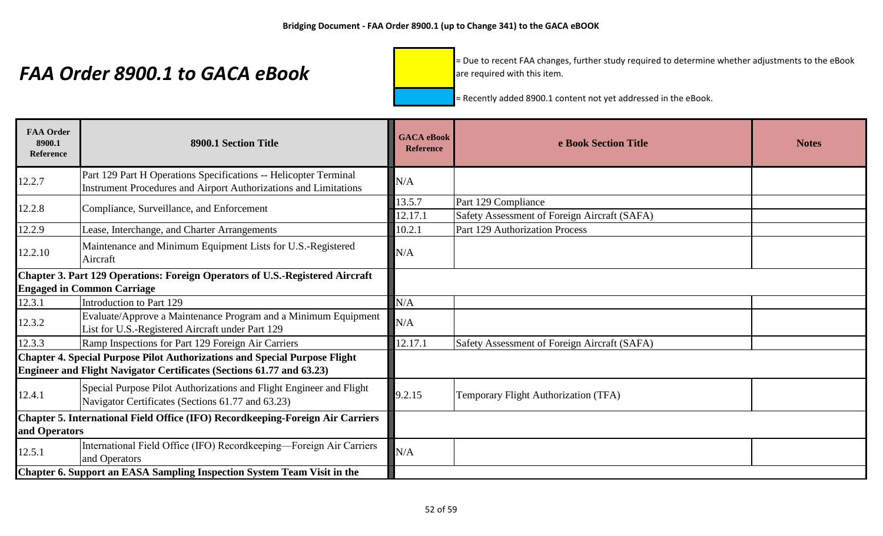= Due to recent FAA changes, further study required to determine whether adjustments to the eBook are required with this item.

| <b>FAA Order</b><br>8900.1<br><b>Reference</b>                                 | 8900.1 Section Title                                                                                                                                | <b>GACA</b> eBook<br><b>Reference</b> | e Book Section Title                                                | <b>Notes</b> |
|--------------------------------------------------------------------------------|-----------------------------------------------------------------------------------------------------------------------------------------------------|---------------------------------------|---------------------------------------------------------------------|--------------|
| 12.2.7                                                                         | Part 129 Part H Operations Specifications -- Helicopter Terminal<br><b>Instrument Procedures and Airport Authorizations and Limitations</b>         | N/A                                   |                                                                     |              |
| 12.2.8                                                                         | Compliance, Surveillance, and Enforcement                                                                                                           | 13.5.7<br>12.17.1                     | Part 129 Compliance<br>Safety Assessment of Foreign Aircraft (SAFA) |              |
| 12.2.9                                                                         | Lease, Interchange, and Charter Arrangements                                                                                                        | 10.2.1                                | Part 129 Authorization Process                                      |              |
| 12.2.10                                                                        | Maintenance and Minimum Equipment Lists for U.S.-Registered<br>Aircraft                                                                             | N/A                                   |                                                                     |              |
|                                                                                | Chapter 3. Part 129 Operations: Foreign Operators of U.S.-Registered Aircraft<br><b>Engaged in Common Carriage</b>                                  |                                       |                                                                     |              |
| 12.3.1                                                                         | Introduction to Part 129                                                                                                                            | N/A                                   |                                                                     |              |
| 12.3.2                                                                         | Evaluate/Approve a Maintenance Program and a Minimum Equipment<br>List for U.S.-Registered Aircraft under Part 129                                  | N/A                                   |                                                                     |              |
| 12.3.3                                                                         | Ramp Inspections for Part 129 Foreign Air Carriers                                                                                                  | 12.17.1                               | Safety Assessment of Foreign Aircraft (SAFA)                        |              |
|                                                                                | Chapter 4. Special Purpose Pilot Authorizations and Special Purpose Flight<br>Engineer and Flight Navigator Certificates (Sections 61.77 and 63.23) |                                       |                                                                     |              |
| 12.4.1                                                                         | Special Purpose Pilot Authorizations and Flight Engineer and Flight<br>Navigator Certificates (Sections 61.77 and 63.23)                            | 9.2.15                                | Temporary Flight Authorization (TFA)                                |              |
| Chapter 5. International Field Office (IFO) Recordkeeping-Foreign Air Carriers |                                                                                                                                                     |                                       |                                                                     |              |
| and Operators                                                                  |                                                                                                                                                     |                                       |                                                                     |              |
| 12.5.1                                                                         | International Field Office (IFO) Recordkeeping-Foreign Air Carriers<br>and Operators                                                                | N/A                                   |                                                                     |              |
|                                                                                | Chapter 6. Support an EASA Sampling Inspection System Team Visit in the                                                                             |                                       |                                                                     |              |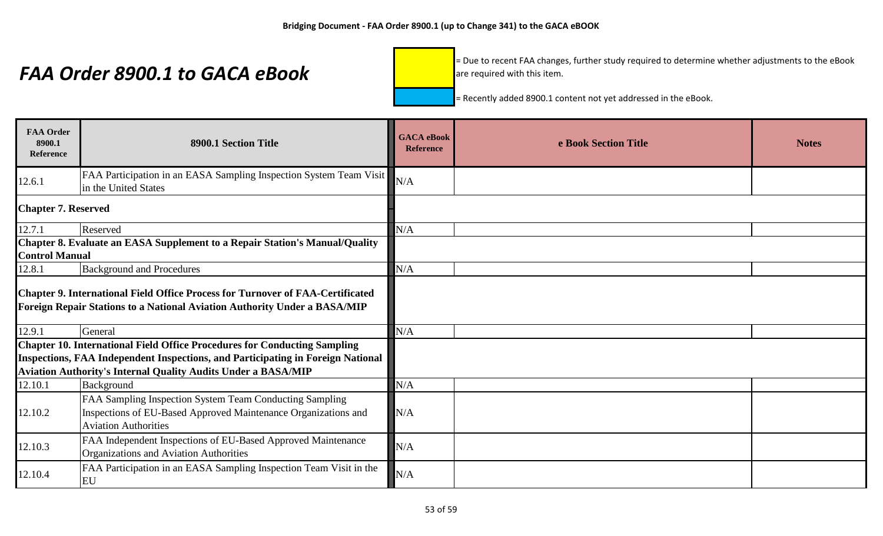= Due to recent FAA changes, further study required to determine whether adjustments to the eBook are required with this item.

| <b>FAA Order</b><br>8900.1<br><b>Reference</b> | 8900.1 Section Title                                                                                                                                        | <b>GACA</b> eBook<br><b>Reference</b> | e Book Section Title | <b>Notes</b> |
|------------------------------------------------|-------------------------------------------------------------------------------------------------------------------------------------------------------------|---------------------------------------|----------------------|--------------|
| 12.6.1                                         | FAA Participation in an EASA Sampling Inspection System Team Visit<br>in the United States                                                                  | N/A                                   |                      |              |
| <b>Chapter 7. Reserved</b>                     |                                                                                                                                                             |                                       |                      |              |
| 12.7.1                                         | Reserved                                                                                                                                                    | N/A                                   |                      |              |
| <b>Control Manual</b>                          | Chapter 8. Evaluate an EASA Supplement to a Repair Station's Manual/Quality                                                                                 |                                       |                      |              |
| 12.8.1                                         | <b>Background and Procedures</b>                                                                                                                            | N/A                                   |                      |              |
|                                                | Chapter 9. International Field Office Process for Turnover of FAA-Certificated<br>Foreign Repair Stations to a National Aviation Authority Under a BASA/MIP |                                       |                      |              |
| 12.9.1                                         | General                                                                                                                                                     | N/A                                   |                      |              |
|                                                | <b>Chapter 10. International Field Office Procedures for Conducting Sampling</b>                                                                            |                                       |                      |              |
|                                                | Inspections, FAA Independent Inspections, and Participating in Foreign National                                                                             |                                       |                      |              |
|                                                | Aviation Authority's Internal Quality Audits Under a BASA/MIP                                                                                               |                                       |                      |              |
| 12.10.1                                        | Background                                                                                                                                                  | N/A                                   |                      |              |
| 12.10.2                                        | FAA Sampling Inspection System Team Conducting Sampling<br>Inspections of EU-Based Approved Maintenance Organizations and<br><b>Aviation Authorities</b>    | N/A                                   |                      |              |
| 12.10.3                                        | FAA Independent Inspections of EU-Based Approved Maintenance<br>Organizations and Aviation Authorities                                                      | N/A                                   |                      |              |
| 12.10.4                                        | FAA Participation in an EASA Sampling Inspection Team Visit in the<br>EU                                                                                    | N/A                                   |                      |              |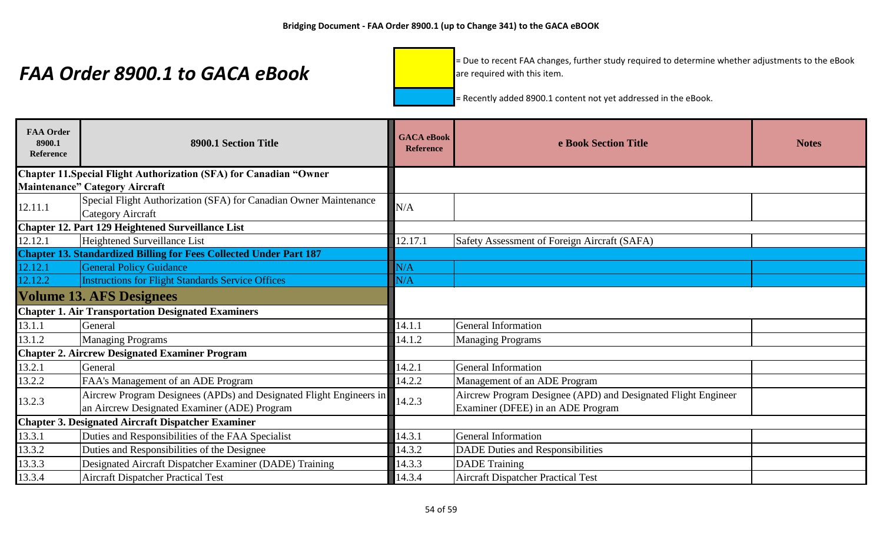= Due to recent FAA changes, further study required to determine whether adjustments to the eBook are required with this item.

| <b>FAA Order</b><br>8900.1<br><b>Reference</b> | 8900.1 Section Title                                                                                                | <b>GACA</b> eBook<br><b>Reference</b> | e Book Section Title                                                                               | <b>Notes</b> |
|------------------------------------------------|---------------------------------------------------------------------------------------------------------------------|---------------------------------------|----------------------------------------------------------------------------------------------------|--------------|
|                                                | <b>Chapter 11. Special Flight Authorization (SFA) for Canadian "Owner</b>                                           |                                       |                                                                                                    |              |
|                                                | <b>Maintenance" Category Aircraft</b>                                                                               |                                       |                                                                                                    |              |
| 12.11.1                                        | Special Flight Authorization (SFA) for Canadian Owner Maintenance<br><b>Category Aircraft</b>                       | N/A                                   |                                                                                                    |              |
|                                                | Chapter 12. Part 129 Heightened Surveillance List                                                                   |                                       |                                                                                                    |              |
| 12.12.1                                        | <b>Heightened Surveillance List</b>                                                                                 | 12.17.1                               | Safety Assessment of Foreign Aircraft (SAFA)                                                       |              |
|                                                | <b>Chapter 13. Standardized Billing for Fees Collected Under Part 187</b>                                           |                                       |                                                                                                    |              |
| 12.12.1                                        | <b>General Policy Guidance</b>                                                                                      | N/A                                   |                                                                                                    |              |
| 12.12.2                                        | <b>Instructions for Flight Standards Service Offices</b>                                                            | N/A                                   |                                                                                                    |              |
|                                                | <b>Volume 13. AFS Designees</b>                                                                                     |                                       |                                                                                                    |              |
|                                                | <b>Chapter 1. Air Transportation Designated Examiners</b>                                                           |                                       |                                                                                                    |              |
| 13.1.1                                         | General                                                                                                             | 14.1.1                                | <b>General Information</b>                                                                         |              |
| 13.1.2                                         | <b>Managing Programs</b>                                                                                            | 14.1.2                                | <b>Managing Programs</b>                                                                           |              |
|                                                | <b>Chapter 2. Aircrew Designated Examiner Program</b>                                                               |                                       |                                                                                                    |              |
| 13.2.1                                         | General                                                                                                             | 14.2.1                                | <b>General Information</b>                                                                         |              |
| 13.2.2                                         | FAA's Management of an ADE Program                                                                                  | 14.2.2                                | Management of an ADE Program                                                                       |              |
| 13.2.3                                         | Aircrew Program Designees (APDs) and Designated Flight Engineers in<br>an Aircrew Designated Examiner (ADE) Program | 14.2.3                                | Aircrew Program Designee (APD) and Designated Flight Engineer<br>Examiner (DFEE) in an ADE Program |              |
|                                                | <b>Chapter 3. Designated Aircraft Dispatcher Examiner</b>                                                           |                                       |                                                                                                    |              |
| 13.3.1                                         | Duties and Responsibilities of the FAA Specialist                                                                   | 14.3.1                                | <b>General Information</b>                                                                         |              |
| 13.3.2                                         | Duties and Responsibilities of the Designee                                                                         | 14.3.2                                | <b>DADE Duties and Responsibilities</b>                                                            |              |
| 13.3.3                                         | Designated Aircraft Dispatcher Examiner (DADE) Training                                                             | 14.3.3                                | <b>DADE</b> Training                                                                               |              |
| 13.3.4                                         | <b>Aircraft Dispatcher Practical Test</b>                                                                           | 14.3.4                                | <b>Aircraft Dispatcher Practical Test</b>                                                          |              |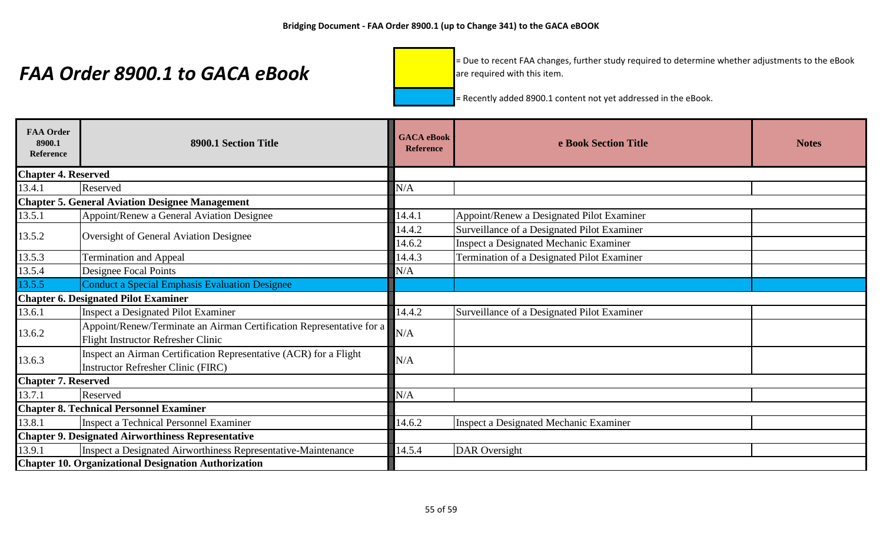= Due to recent FAA changes, further study required to determine whether adjustments to the eBook are required with this item.

| <b>FAA Order</b><br>8900.1<br><b>Reference</b>              | 8900.1 Section Title                                                                                              | <b>GACA</b> eBook<br><b>Reference</b> | e Book Section Title                        | <b>Notes</b> |
|-------------------------------------------------------------|-------------------------------------------------------------------------------------------------------------------|---------------------------------------|---------------------------------------------|--------------|
| <b>Chapter 4. Reserved</b>                                  |                                                                                                                   |                                       |                                             |              |
| 13.4.1                                                      | Reserved                                                                                                          | N/A                                   |                                             |              |
|                                                             | <b>Chapter 5. General Aviation Designee Management</b>                                                            |                                       |                                             |              |
| 13.5.1                                                      | Appoint/Renew a General Aviation Designee                                                                         | 14.4.1                                | Appoint/Renew a Designated Pilot Examiner   |              |
| 13.5.2                                                      | <b>Oversight of General Aviation Designee</b>                                                                     | 14.4.2                                | Surveillance of a Designated Pilot Examiner |              |
|                                                             |                                                                                                                   | 14.6.2                                | Inspect a Designated Mechanic Examiner      |              |
| 13.5.3                                                      | <b>Termination and Appeal</b>                                                                                     | 14.4.3                                | Termination of a Designated Pilot Examiner  |              |
| 13.5.4                                                      | Designee Focal Points                                                                                             | N/A                                   |                                             |              |
| 13.5.5                                                      | <b>Conduct a Special Emphasis Evaluation Designee</b>                                                             |                                       |                                             |              |
|                                                             | <b>Chapter 6. Designated Pilot Examiner</b>                                                                       |                                       |                                             |              |
| 13.6.1                                                      | <b>Inspect a Designated Pilot Examiner</b>                                                                        | 14.4.2                                | Surveillance of a Designated Pilot Examiner |              |
| 13.6.2                                                      | Appoint/Renew/Terminate an Airman Certification Representative for a<br><b>Flight Instructor Refresher Clinic</b> | N/A                                   |                                             |              |
| 13.6.3                                                      | Inspect an Airman Certification Representative (ACR) for a Flight<br><b>Instructor Refresher Clinic (FIRC)</b>    | N/A                                   |                                             |              |
| <b>Chapter 7. Reserved</b>                                  |                                                                                                                   |                                       |                                             |              |
| 13.7.1                                                      | Reserved                                                                                                          | N/A                                   |                                             |              |
|                                                             | <b>Chapter 8. Technical Personnel Examiner</b>                                                                    |                                       |                                             |              |
| 13.8.1                                                      | Inspect a Technical Personnel Examiner                                                                            | 14.6.2                                | Inspect a Designated Mechanic Examiner      |              |
| <b>Chapter 9. Designated Airworthiness Representative</b>   |                                                                                                                   |                                       |                                             |              |
| 13.9.1                                                      | Inspect a Designated Airworthiness Representative-Maintenance                                                     | 14.5.4                                | <b>DAR</b> Oversight                        |              |
| <b>Chapter 10. Organizational Designation Authorization</b> |                                                                                                                   |                                       |                                             |              |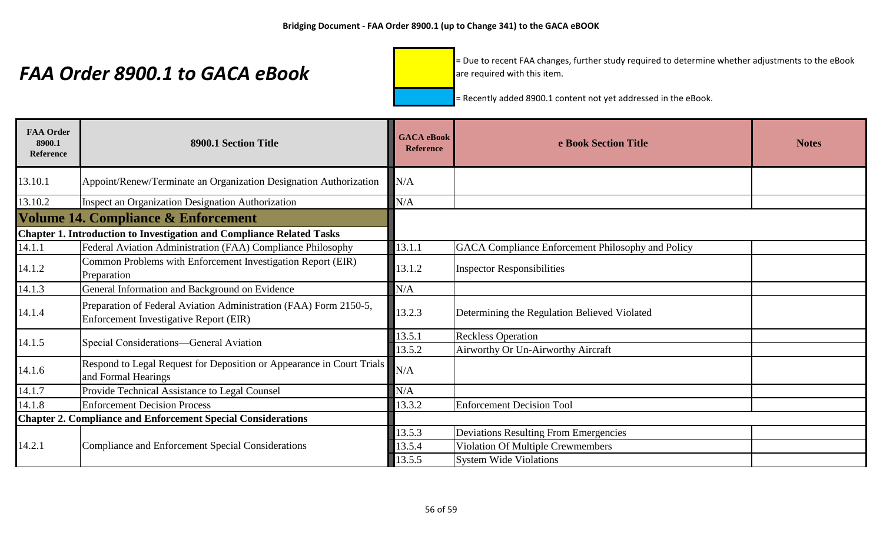= Due to recent FAA changes, further study required to determine whether adjustments to the eBook are required with this item.

| <b>FAA Order</b><br>8900.1<br><b>Reference</b> | 8900.1 Section Title                                                                                        | <b>GACA</b> eBook<br><b>Reference</b> | e Book Section Title                              | <b>Notes</b> |
|------------------------------------------------|-------------------------------------------------------------------------------------------------------------|---------------------------------------|---------------------------------------------------|--------------|
| 13.10.1                                        | Appoint/Renew/Terminate an Organization Designation Authorization                                           | N/A                                   |                                                   |              |
| 13.10.2                                        | <b>Inspect an Organization Designation Authorization</b>                                                    | N/A                                   |                                                   |              |
|                                                | <b>Volume 14. Compliance &amp; Enforcement</b>                                                              |                                       |                                                   |              |
|                                                | <b>Chapter 1. Introduction to Investigation and Compliance Related Tasks</b>                                |                                       |                                                   |              |
| 14.1.1                                         | Federal Aviation Administration (FAA) Compliance Philosophy                                                 | 13.1.1                                | GACA Compliance Enforcement Philosophy and Policy |              |
| 14.1.2                                         | Common Problems with Enforcement Investigation Report (EIR)<br>Preparation                                  | 13.1.2                                | <b>Inspector Responsibilities</b>                 |              |
| 14.1.3                                         | General Information and Background on Evidence                                                              | N/A                                   |                                                   |              |
| 14.1.4                                         | Preparation of Federal Aviation Administration (FAA) Form 2150-5,<br>Enforcement Investigative Report (EIR) | 13.2.3                                | Determining the Regulation Believed Violated      |              |
| 14.1.5                                         | Special Considerations-General Aviation                                                                     | 13.5.1                                | <b>Reckless Operation</b>                         |              |
|                                                |                                                                                                             | 13.5.2                                | Airworthy Or Un-Airworthy Aircraft                |              |
| 14.1.6                                         | Respond to Legal Request for Deposition or Appearance in Court Trials<br>and Formal Hearings                | N/A                                   |                                                   |              |
| 14.1.7                                         | Provide Technical Assistance to Legal Counsel                                                               | N/A                                   |                                                   |              |
| 14.1.8                                         | <b>Enforcement Decision Process</b>                                                                         | 13.3.2                                | <b>Enforcement Decision Tool</b>                  |              |
|                                                | <b>Chapter 2. Compliance and Enforcement Special Considerations</b>                                         |                                       |                                                   |              |
|                                                |                                                                                                             | 13.5.3                                | <b>Deviations Resulting From Emergencies</b>      |              |
| 14.2.1                                         | Compliance and Enforcement Special Considerations                                                           | 13.5.4                                | Violation Of Multiple Crewmembers                 |              |
|                                                |                                                                                                             | 13.5.5                                | <b>System Wide Violations</b>                     |              |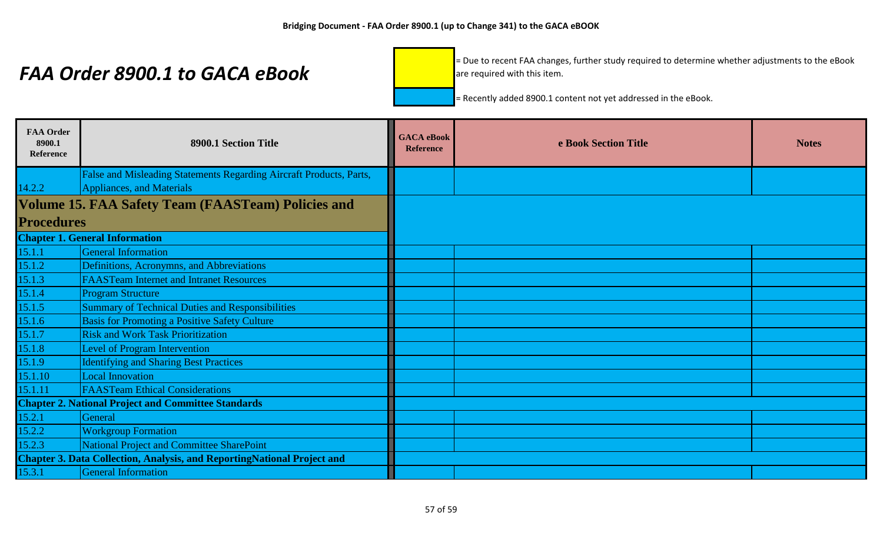= Due to recent FAA changes, further study required to determine whether adjustments to the eBook are required with this item.

| <b>FAA Order</b><br>8900.1<br>Reference | 8900.1 Section Title                                                           | <b>GACA</b> eBook<br><b>Reference</b> | e Book Section Title | <b>Notes</b> |
|-----------------------------------------|--------------------------------------------------------------------------------|---------------------------------------|----------------------|--------------|
|                                         | False and Misleading Statements Regarding Aircraft Products, Parts,            |                                       |                      |              |
| 14.2.2                                  | Appliances, and Materials                                                      |                                       |                      |              |
|                                         | <b>Volume 15. FAA Safety Team (FAASTeam) Policies and</b>                      |                                       |                      |              |
| <b>Procedures</b>                       |                                                                                |                                       |                      |              |
|                                         | <b>Chapter 1. General Information</b>                                          |                                       |                      |              |
| 15.1.1                                  | <b>General Information</b>                                                     |                                       |                      |              |
| 15.1.2                                  | Definitions, Acronymns, and Abbreviations                                      |                                       |                      |              |
| 15.1.3                                  | <b>FAASTeam Internet and Intranet Resources</b>                                |                                       |                      |              |
| 15.1.4                                  | <b>Program Structure</b>                                                       |                                       |                      |              |
| 15.1.5                                  | <b>Summary of Technical Duties and Responsibilities</b>                        |                                       |                      |              |
| 15.1.6                                  | <b>Basis for Promoting a Positive Safety Culture</b>                           |                                       |                      |              |
| 15.1.7                                  | <b>Risk and Work Task Prioritization</b>                                       |                                       |                      |              |
| 15.1.8                                  | Level of Program Intervention                                                  |                                       |                      |              |
| 15.1.9                                  | <b>Identifying and Sharing Best Practices</b>                                  |                                       |                      |              |
| 15.1.10                                 | <b>Local Innovation</b>                                                        |                                       |                      |              |
| 15.1.11                                 | <b>FAASTeam Ethical Considerations</b>                                         |                                       |                      |              |
|                                         | <b>Chapter 2. National Project and Committee Standards</b>                     |                                       |                      |              |
| 15.2.1                                  | General                                                                        |                                       |                      |              |
| 15.2.2                                  | <b>Workgroup Formation</b>                                                     |                                       |                      |              |
| 15.2.3                                  | National Project and Committee SharePoint                                      |                                       |                      |              |
|                                         | <b>Chapter 3. Data Collection, Analysis, and ReportingNational Project and</b> |                                       |                      |              |
| 15.3.1                                  | <b>General Information</b>                                                     |                                       |                      |              |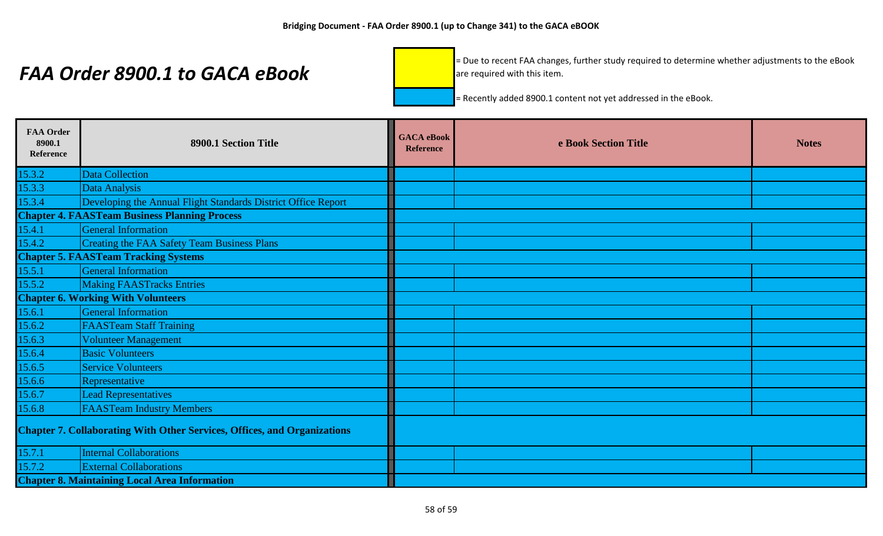= Due to recent FAA changes, further study required to determine whether adjustments to the eBook are required with this item.

| <b>FAA Order</b><br>8900.1<br>Reference | 8900.1 Section Title                                                            | <b>GACA</b> eBook<br><b>Reference</b> | e Book Section Title | <b>Notes</b> |
|-----------------------------------------|---------------------------------------------------------------------------------|---------------------------------------|----------------------|--------------|
| 15.3.2                                  | <b>Data Collection</b>                                                          |                                       |                      |              |
| 15.3.3                                  | Data Analysis                                                                   |                                       |                      |              |
| 15.3.4                                  | Developing the Annual Flight Standards District Office Report                   |                                       |                      |              |
|                                         | <b>Chapter 4. FAASTeam Business Planning Process</b>                            |                                       |                      |              |
| 15.4.1                                  | <b>General Information</b>                                                      |                                       |                      |              |
| 15.4.2                                  | <b>Creating the FAA Safety Team Business Plans</b>                              |                                       |                      |              |
|                                         | <b>Chapter 5. FAASTeam Tracking Systems</b>                                     |                                       |                      |              |
| 15.5.1                                  | <b>General Information</b>                                                      |                                       |                      |              |
| 15.5.2                                  | <b>Making FAASTracks Entries</b>                                                |                                       |                      |              |
|                                         | <b>Chapter 6. Working With Volunteers</b>                                       |                                       |                      |              |
| 15.6.1                                  | <b>General Information</b>                                                      |                                       |                      |              |
| 15.6.2                                  | <b>FAASTeam Staff Training</b>                                                  |                                       |                      |              |
| 15.6.3                                  | Volunteer Management                                                            |                                       |                      |              |
| 15.6.4                                  | <b>Basic Volunteers</b>                                                         |                                       |                      |              |
| 15.6.5                                  | <b>Service Volunteers</b>                                                       |                                       |                      |              |
| 15.6.6                                  | Representative                                                                  |                                       |                      |              |
| 15.6.7                                  | <b>Lead Representatives</b>                                                     |                                       |                      |              |
| 15.6.8                                  | <b>FAASTeam Industry Members</b>                                                |                                       |                      |              |
|                                         | <b>Chapter 7. Collaborating With Other Services, Offices, and Organizations</b> |                                       |                      |              |
| 15.7.1                                  | <b>Internal Collaborations</b>                                                  |                                       |                      |              |
| 15.7.2                                  | <b>External Collaborations</b>                                                  |                                       |                      |              |
|                                         | <b>Chapter 8. Maintaining Local Area Information</b>                            |                                       |                      |              |